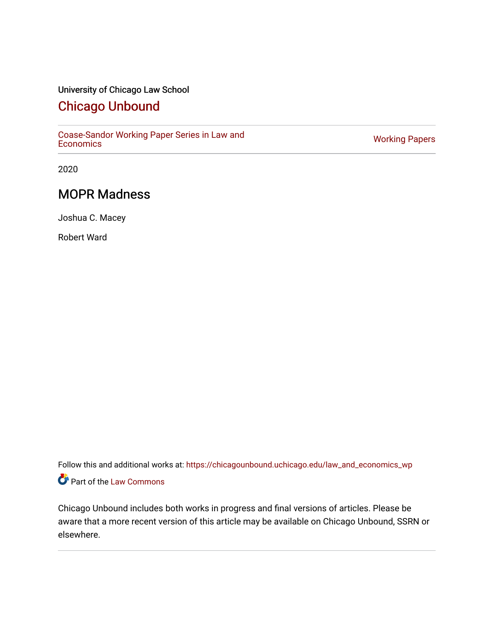# University of Chicago Law School

# [Chicago Unbound](https://chicagounbound.uchicago.edu/)

[Coase-Sandor Working Paper Series in Law and](https://chicagounbound.uchicago.edu/law_and_economics_wp) [Economics](https://chicagounbound.uchicago.edu/law_and_economics_wp) [Working Papers](https://chicagounbound.uchicago.edu/working_papers) 

2020

# MOPR Madness

Joshua C. Macey

Robert Ward

Follow this and additional works at: [https://chicagounbound.uchicago.edu/law\\_and\\_economics\\_wp](https://chicagounbound.uchicago.edu/law_and_economics_wp?utm_source=chicagounbound.uchicago.edu%2Flaw_and_economics_wp%2F29&utm_medium=PDF&utm_campaign=PDFCoverPages)  Part of the [Law Commons](http://network.bepress.com/hgg/discipline/578?utm_source=chicagounbound.uchicago.edu%2Flaw_and_economics_wp%2F29&utm_medium=PDF&utm_campaign=PDFCoverPages)

Chicago Unbound includes both works in progress and final versions of articles. Please be aware that a more recent version of this article may be available on Chicago Unbound, SSRN or elsewhere.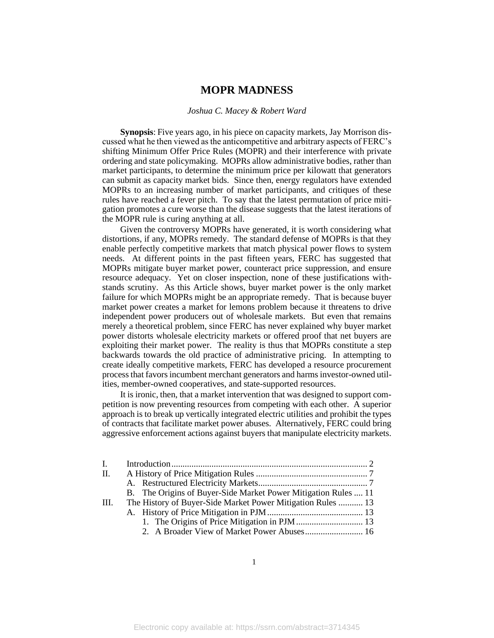### *Joshua C. Macey & Robert Ward*

**Synopsis**: Five years ago, in his piece on capacity markets, Jay Morrison discussed what he then viewed as the anticompetitive and arbitrary aspects of FERC's shifting Minimum Offer Price Rules (MOPR) and their interference with private ordering and state policymaking. MOPRs allow administrative bodies, rather than market participants, to determine the minimum price per kilowatt that generators can submit as capacity market bids. Since then, energy regulators have extended MOPRs to an increasing number of market participants, and critiques of these rules have reached a fever pitch. To say that the latest permutation of price mitigation promotes a cure worse than the disease suggests that the latest iterations of the MOPR rule is curing anything at all.

Given the controversy MOPRs have generated, it is worth considering what distortions, if any, MOPRs remedy. The standard defense of MOPRs is that they enable perfectly competitive markets that match physical power flows to system needs. At different points in the past fifteen years, FERC has suggested that MOPRs mitigate buyer market power, counteract price suppression, and ensure resource adequacy. Yet on closer inspection, none of these justifications withstands scrutiny. As this Article shows, buyer market power is the only market failure for which MOPRs might be an appropriate remedy. That is because buyer market power creates a market for lemons problem because it threatens to drive independent power producers out of wholesale markets. But even that remains merely a theoretical problem, since FERC has never explained why buyer market power distorts wholesale electricity markets or offered proof that net buyers are exploiting their market power. The reality is thus that MOPRs constitute a step backwards towards the old practice of administrative pricing. In attempting to create ideally competitive markets, FERC has developed a resource procurement process that favors incumbent merchant generators and harms investor-owned utilities, member-owned cooperatives, and state-supported resources.

It is ironic, then, that a market intervention that was designed to support competition is now preventing resources from competing with each other. A superior approach is to break up vertically integrated electric utilities and prohibit the types of contracts that facilitate market power abuses. Alternatively, FERC could bring aggressive enforcement actions against buyers that manipulate electricity markets.

| $\mathbf{I}$ . |                                                                |  |
|----------------|----------------------------------------------------------------|--|
| II.            |                                                                |  |
|                |                                                                |  |
|                | B. The Origins of Buyer-Side Market Power Mitigation Rules  11 |  |
| III.           | The History of Buyer-Side Market Power Mitigation Rules  13    |  |
|                |                                                                |  |
|                |                                                                |  |
|                |                                                                |  |
|                |                                                                |  |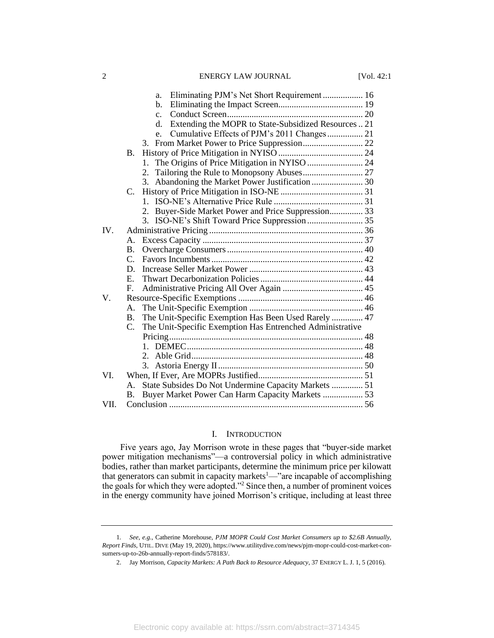|             |                | Eliminating PJM's Net Short Requirement  16<br>a.          |  |
|-------------|----------------|------------------------------------------------------------|--|
|             |                | $\mathbf{b}$ .                                             |  |
|             |                | $\mathbf{c}$ .                                             |  |
|             |                | Extending the MOPR to State-Subsidized Resources  21<br>d. |  |
|             |                | Cumulative Effects of PJM's 2011 Changes 21<br>$e_{-}$     |  |
|             |                | 3.                                                         |  |
|             | <b>B.</b>      |                                                            |  |
|             |                | $1_{-}$                                                    |  |
|             |                |                                                            |  |
|             |                | 3. Abandoning the Market Power Justification  30           |  |
|             | $C_{\cdot}$    |                                                            |  |
|             |                | 1                                                          |  |
|             |                | 2. Buyer-Side Market Power and Price Suppression 33        |  |
|             |                |                                                            |  |
| IV.         |                |                                                            |  |
|             | А.             |                                                            |  |
|             | B.             |                                                            |  |
|             | $C_{\cdot}$    |                                                            |  |
|             | D.             |                                                            |  |
|             | $E_{\cdot}$    |                                                            |  |
|             | $F_{\cdot}$    |                                                            |  |
| $V_{\cdot}$ |                |                                                            |  |
|             | A.             |                                                            |  |
|             | <b>B.</b>      | The Unit-Specific Exemption Has Been Used Rarely  47       |  |
|             | C.             | The Unit-Specific Exemption Has Entrenched Administrative  |  |
|             |                |                                                            |  |
|             |                |                                                            |  |
|             |                |                                                            |  |
|             |                |                                                            |  |
| VI.         |                |                                                            |  |
|             | $\mathsf{A}$ . | State Subsides Do Not Undermine Capacity Markets  51       |  |
|             | Β.             | Buyer Market Power Can Harm Capacity Markets  53           |  |
| VII.        |                |                                                            |  |

# I. INTRODUCTION

Five years ago, Jay Morrison wrote in these pages that "buyer-side market power mitigation mechanisms"—a controversial policy in which administrative bodies, rather than market participants, determine the minimum price per kilowatt that generators can submit in capacity markets<sup>1</sup>—"are incapable of accomplishing the goals for which they were adopted."<sup>2</sup> Since then, a number of prominent voices in the energy community have joined Morrison's critique, including at least three

<sup>1</sup>*. See*, *e.g.*, Catherine Morehouse, *PJM MOPR Could Cost Market Consumers up to \$2.6B Annually, Report Finds*, UTIL. DIVE (May 19, 2020), https://www.utilitydive.com/news/pjm-mopr-could-cost-market-consumers-up-to-26b-annually-report-finds/578183/.

<sup>2.</sup> Jay Morrison, *Capacity Markets: A Path Back to Resource Adequacy*, 37 ENERGY L. J. 1, 5 (2016).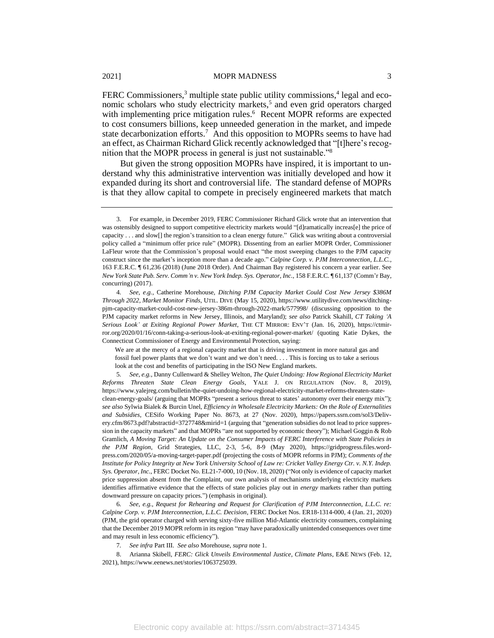FERC Commissioners,<sup>3</sup> multiple state public utility commissions,<sup>4</sup> legal and economic scholars who study electricity markets,<sup>5</sup> and even grid operators charged with implementing price mitigation rules.<sup>6</sup> Recent MOPR reforms are expected to cost consumers billions, keep unneeded generation in the market, and impede state decarbonization efforts.<sup>7</sup> And this opposition to MOPRs seems to have had an effect, as Chairman Richard Glick recently acknowledged that "[t]here's recognition that the MOPR process in general is just not sustainable."<sup>8</sup>

But given the strong opposition MOPRs have inspired, it is important to understand why this administrative intervention was initially developed and how it expanded during its short and controversial life. The standard defense of MOPRs is that they allow capital to compete in precisely engineered markets that match

We are at the mercy of a regional capacity market that is driving investment in more natural gas and fossil fuel power plants that we don't want and we don't need. . . . This is forcing us to take a serious look at the cost and benefits of participating in the ISO New England markets.

5*. See*, *e.g.*, Danny Cullenward & Shelley Welton, *The Quiet Undoing: How Regional Electricity Market Reforms Threaten State Clean Energy Goals*, YALE J. ON REGULATION (Nov. 8, 2019), https://www.yalejreg.com/bulletin/the-quiet-undoing-how-regional-electricity-market-reforms-threaten-stateclean-energy-goals/ (arguing that MOPRs "present a serious threat to states' autonomy over their energy mix"); *see also* Sylwia Bialek & Burcin Unel, *Efficiency in Wholesale Electricity Markets: On the Role of Externalities and Subsidies*, CESifo Working Paper No. 8673, at 27 (Nov. 2020), https://papers.ssrn.com/sol3/Delivery.cfm/8673.pdf?abstractid=3727748&mirid=1 (arguing that "generation subsidies do not lead to price suppression in the capacity markets" and that MOPRs "are not supported by economic theory"); Michael Goggin & Rob Gramlich, *A Moving Target: An Update on the Consumer Impacts of FERC Interference with State Policies in the PJM Region*, Grid Strategies, LLC, 2-3, 5-6, 8-9 (May 2020), https://gridprogress.files.wordpress.com/2020/05/a-moving-target-paper.pdf (projecting the costs of MOPR reforms in PJM); *Comments of the Institute for Policy Integrity at New York University School of Law re: Cricket Valley Energy Ctr. v. N.Y. Indep. Sys. Operator, Inc.*, FERC Docket No. EL21-7-000, 10 (Nov. 18, 2020) ("Not only is evidence of capacity market price suppression absent from the Complaint, our own analysis of mechanisms underlying electricity markets identifies affirmative evidence that the effects of state policies play out in *energy* markets rather than putting downward pressure on capacity prices.") (emphasis in original).

6*. See*, *e.g.*, *Request for Rehearing and Request for Clarification of PJM Interconnection, L.L.C. re: Calpine Corp. v. PJM Interconnection, L.L.C. Decision*, FERC Docket Nos. ER18-1314-000, 4 (Jan. 21, 2020) (PJM, the grid operator charged with serving sixty-five million Mid-Atlantic electricity consumers, complaining that the December 2019 MOPR reform in its region "may have paradoxically unintended consequences over time and may result in less economic efficiency").

7*. See infra* Part III. *See also* Morehouse, *supra* note 1.

8. Arianna Skibell, *FERC: Glick Unveils Environmental Justice, Climate Plans*, E&E NEWS (Feb. 12, 2021), https://www.eenews.net/stories/1063725039.

<sup>3.</sup> For example, in December 2019, FERC Commissioner Richard Glick wrote that an intervention that was ostensibly designed to support competitive electricity markets would "[d]ramatically increas[e] the price of capacity . . . and slow[] the region's transition to a clean energy future." Glick was writing about a controversial policy called a "minimum offer price rule" (MOPR). Dissenting from an earlier MOPR Order, Commissioner LaFleur wrote that the Commission's proposal would enact "the most sweeping changes to the PJM capacity construct since the market's inception more than a decade ago." *Calpine Corp. v. PJM Interconnection, L.L.C.*, 163 F.E.R.C. ¶ 61,236 (2018) (June 2018 Order). And Chairman Bay registered his concern a year earlier. See *New York State Pub. Serv. Comm'n v. New York Indep. Sys. Operator, Inc.,* 158 F.E.R.C. ¶ 61,137 (Comm'r Bay, concurring) (2017).

<sup>4</sup>*. See*, *e.g.*, Catherine Morehouse, *Ditching PJM Capacity Market Could Cost New Jersey \$386M Through 2022, Market Monitor Finds*, UTIL. DIVE (May 15, 2020), https://www.utilitydive.com/news/ditchingpjm-capacity-market-could-cost-new-jersey-386m-through-2022-mark/577998/ (discussing opposition to the PJM capacity market reforms in New Jersey, Illinois, and Maryland); *see also* Patrick Skahill, *CT Taking 'A Serious Look' at Exiting Regional Power Market*, THE CT MIRROR: ENV'T (Jan. 16, 2020), https://ctmirror.org/2020/01/16/conn-taking-a-serious-look-at-exiting-regional-power-market/ (quoting Katie Dykes, the Connecticut Commissioner of Energy and Environmental Protection, saying: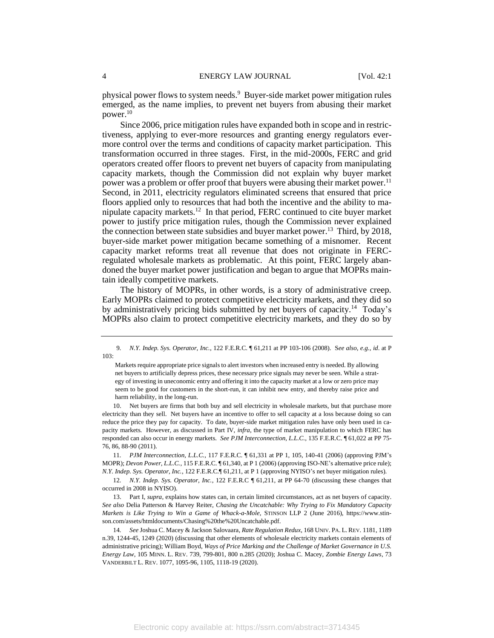physical power flows to system needs.<sup>9</sup> Buyer-side market power mitigation rules emerged, as the name implies, to prevent net buyers from abusing their market power.<sup>10</sup>

Since 2006, price mitigation rules have expanded both in scope and in restrictiveness, applying to ever-more resources and granting energy regulators evermore control over the terms and conditions of capacity market participation. This transformation occurred in three stages. First, in the mid-2000s, FERC and grid operators created offer floors to prevent net buyers of capacity from manipulating capacity markets, though the Commission did not explain why buyer market power was a problem or offer proof that buyers were abusing their market power.<sup>11</sup> Second, in 2011, electricity regulators eliminated screens that ensured that price floors applied only to resources that had both the incentive and the ability to manipulate capacity markets.<sup>12</sup> In that period, FERC continued to cite buyer market power to justify price mitigation rules, though the Commission never explained the connection between state subsidies and buyer market power.<sup>13</sup> Third, by 2018, buyer-side market power mitigation became something of a misnomer. Recent capacity market reforms treat all revenue that does not originate in FERCregulated wholesale markets as problematic. At this point, FERC largely abandoned the buyer market power justification and began to argue that MOPRs maintain ideally competitive markets.

The history of MOPRs, in other words, is a story of administrative creep. Early MOPRs claimed to protect competitive electricity markets, and they did so by administratively pricing bids submitted by net buyers of capacity.<sup>14</sup> Today's MOPRs also claim to protect competitive electricity markets, and they do so by

10. Net buyers are firms that both buy and sell electricity in wholesale markets, but that purchase more electricity than they sell. Net buyers have an incentive to offer to sell capacity at a loss because doing so can reduce the price they pay for capacity. To date, buyer-side market mitigation rules have only been used in capacity markets. However, as discussed in Part IV, *infra*, the type of market manipulation to which FERC has responded can also occur in energy markets. *See PJM Interconnection, L.L.C.*, 135 F.E.R.C. ¶ 61,022 at PP 75- 76, 86, 88-90 (2011).

11*. PJM Interconnection, L.L.C.*, 117 F.E.R.C. ¶ 61,331 at PP 1, 105, 140-41 (2006) (approving PJM's MOPR); *Devon Power, L.L.C.*, 115 F.E.R.C. ¶ 61,340, at P 1 (2006) (approving ISO-NE's alternative price rule); *N.Y. Indep. Sys. Operator, Inc.*, 122 F.E.R.C.¶ 61,211, at P 1 (approving NYISO's net buyer mitigation rules).

12*. N.Y. Indep. Sys. Operator, Inc.*, 122 F.E.R.C ¶ 61,211, at PP 64-70 (discussing these changes that occurred in 2008 in NYISO).

13. Part I, *supra*, explains how states can, in certain limited circumstances, act as net buyers of capacity. *See also* Delia Patterson & Harvey Reiter, *Chasing the Uncatchable: Why Trying to Fix Mandatory Capacity Markets is Like Trying to Win a Game of Whack-a-Mole*, STINSON LLP 2 (June 2016), https://www.stinson.com/assets/htmldocuments/Chasing%20the%20Uncatchable.pdf.

14*. See* Joshua C. Macey & Jackson Salovaara, *Rate Regulation Redux*, 168 UNIV. PA. L. REV. 1181, 1189 n.39, 1244-45, 1249 (2020) (discussing that other elements of wholesale electricity markets contain elements of administrative pricing); William Boyd, *Ways of Price Marking and the Challenge of Market Governance in U.S. Energy Law*, 105 MINN. L. REV. 739, 799-801, 800 n.285 (2020); Joshua C. Macey, *Zombie Energy Laws*, 73 VANDERBILT L. REV. 1077, 1095-96, 1105, 1118-19 (2020).

<sup>9</sup>*. N.Y. Indep. Sys. Operator, Inc.*, 122 F.E.R.C. ¶ 61,211 at PP 103-106 (2008). S*ee also, e.g.*, *id*. at P 103:

Markets require appropriate price signals to alert investors when increased entry is needed. By allowing net buyers to artificially depress prices, these necessary price signals may never be seen. While a strategy of investing in uneconomic entry and offering it into the capacity market at a low or zero price may seem to be good for customers in the short-run, it can inhibit new entry, and thereby raise price and harm reliability, in the long-run.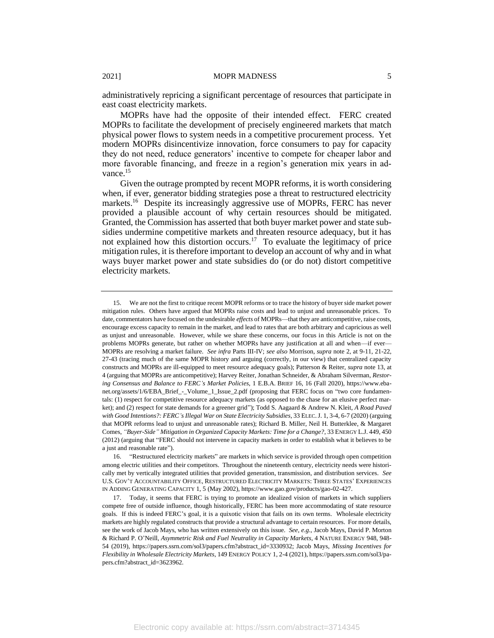administratively repricing a significant percentage of resources that participate in east coast electricity markets.

MOPRs have had the opposite of their intended effect. FERC created MOPRs to facilitate the development of precisely engineered markets that match physical power flows to system needs in a competitive procurement process. Yet modern MOPRs disincentivize innovation, force consumers to pay for capacity they do not need, reduce generators' incentive to compete for cheaper labor and more favorable financing, and freeze in a region's generation mix years in advance.<sup>15</sup>

Given the outrage prompted by recent MOPR reforms, it is worth considering when, if ever, generator bidding strategies pose a threat to restructured electricity markets.<sup>16</sup> Despite its increasingly aggressive use of MOPRs, FERC has never provided a plausible account of why certain resources should be mitigated. Granted, the Commission has asserted that both buyer market power and state subsidies undermine competitive markets and threaten resource adequacy, but it has not explained how this distortion occurs.<sup>17</sup> To evaluate the legitimacy of price mitigation rules, it is therefore important to develop an account of why and in what ways buyer market power and state subsidies do (or do not) distort competitive electricity markets.

<sup>15.</sup> We are not the first to critique recent MOPR reforms or to trace the history of buyer side market power mitigation rules. Others have argued that MOPRs raise costs and lead to unjust and unreasonable prices. To date, commentators have focused on the undesirable *effects* of MOPRs—that they are anticompetitive, raise costs, encourage excess capacity to remain in the market, and lead to rates that are both arbitrary and capricious as well as unjust and unreasonable. However, while we share these concerns, our focus in this Article is not on the problems MOPRs generate, but rather on whether MOPRs have any justification at all and when—if ever— MOPRs are resolving a market failure. *See infra* Parts III-IV; *see also* Morrison, *supra* note 2, at 9-11, 21-22, 27-43 (tracing much of the same MOPR history and arguing (correctly, in our view) that centralized capacity constructs and MOPRs are ill-equipped to meet resource adequacy goals); Patterson & Reiter, *supra* note 13, at 4 (arguing that MOPRs are anticompetitive); Harvey Reiter, Jonathan Schneider, & Abraham Silverman, *Restoring Consensus and Balance to FERC's Market Policies*, 1 E.B.A. BRIEF 16, 16 (Fall 2020), https://www.ebanet.org/assets/1/6/EBA\_Brief\_-\_Volume\_1\_Issue\_2.pdf (proposing that FERC focus on "two core fundamentals: (1) respect for competitive resource adequacy markets (as opposed to the chase for an elusive perfect market); and (2) respect for state demands for a greener grid"); Todd S. Aagaard & Andrew N. Kleit, *A Road Paved with Good Intentions?: FERC's Illegal War on State Electricity Subsidies*, 33 ELEC.J. 1, 3-4, 6-7 (2020) (arguing that MOPR reforms lead to unjust and unreasonable rates); Richard B. Miller, Neil H. Butterklee, & Margaret Comes, *"Buyer-Side" Mitigation in Organized Capacity Markets: Time for a Change?*, 33 ENERGY L.J. 449, 450 (2012) (arguing that "FERC should not intervene in capacity markets in order to establish what it believes to be a just and reasonable rate").

<sup>16.</sup> "Restructured electricity markets" are markets in which service is provided through open competition among electric utilities and their competitors. Throughout the nineteenth century, electricity needs were historically met by vertically integrated utilities that provided generation, transmission, and distribution services. *See*  U.S. GOV'T ACCOUNTABILITY OFFICE, RESTRUCTURED ELECTRICITY MARKETS: THREE STATES' EXPERIENCES IN ADDING GENERATING CAPACITY 1, 5 (May 2002), https://www.gao.gov/products/gao-02-427.

<sup>17.</sup> Today, it seems that FERC is trying to promote an idealized vision of markets in which suppliers compete free of outside influence, though historically, FERC has been more accommodating of state resource goals. If this is indeed FERC's goal, it is a quixotic vision that fails on its own terms. Wholesale electricity markets are highly regulated constructs that provide a structural advantage to certain resources. For more details, see the work of Jacob Mays, who has written extensively on this issue. *See*, *e.g.*, Jacob Mays, David P. Morton & Richard P. O'Neill, *Asymmetric Risk and Fuel Neutrality in Capacity Markets*, 4 NATURE ENERGY 948, 948- 54 (2019), https://papers.ssrn.com/sol3/papers.cfm?abstract\_id=3330932; Jacob Mays, *Missing Incentives for Flexibility in Wholesale Electricity Markets*, 149 ENERGY POLICY 1, 2-4 (2021), https://papers.ssrn.com/sol3/papers.cfm?abstract\_id=3623962.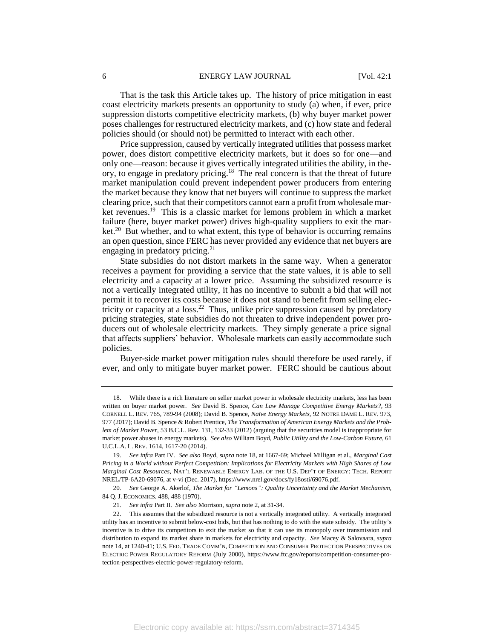#### 6 ENERGY LAW JOURNAL [Vol. 42:1

That is the task this Article takes up. The history of price mitigation in east coast electricity markets presents an opportunity to study (a) when, if ever, price suppression distorts competitive electricity markets, (b) why buyer market power poses challenges for restructured electricity markets, and (c) how state and federal policies should (or should not) be permitted to interact with each other.

Price suppression, caused by vertically integrated utilities that possess market power, does distort competitive electricity markets, but it does so for one—and only one—reason: because it gives vertically integrated utilities the ability, in theory, to engage in predatory pricing.<sup>18</sup> The real concern is that the threat of future market manipulation could prevent independent power producers from entering the market because they know that net buyers will continue to suppress the market clearing price, such that their competitors cannot earn a profit from wholesale market revenues.<sup>19</sup> This is a classic market for lemons problem in which a market failure (here, buyer market power) drives high-quality suppliers to exit the market.<sup>20</sup> But whether, and to what extent, this type of behavior is occurring remains an open question, since FERC has never provided any evidence that net buyers are engaging in predatory pricing.<sup>21</sup>

State subsidies do not distort markets in the same way. When a generator receives a payment for providing a service that the state values, it is able to sell electricity and a capacity at a lower price. Assuming the subsidized resource is not a vertically integrated utility, it has no incentive to submit a bid that will not permit it to recover its costs because it does not stand to benefit from selling electricity or capacity at a  $loss.<sup>22</sup>$  Thus, unlike price suppression caused by predatory pricing strategies, state subsidies do not threaten to drive independent power producers out of wholesale electricity markets. They simply generate a price signal that affects suppliers' behavior. Wholesale markets can easily accommodate such policies.

Buyer-side market power mitigation rules should therefore be used rarely, if ever, and only to mitigate buyer market power. FERC should be cautious about

<sup>18.</sup> While there is a rich literature on seller market power in wholesale electricity markets, less has been written on buyer market power. *See* David B. Spence, *Can Law Manage Competitive Energy Markets?*, 93 CORNELL L. REV. 765, 789-94 (2008); David B. Spence, *Naïve Energy Markets*, 92 NOTRE DAME L. REV. 973, 977 (2017); David B. Spence & Robert Prentice, *The Transformation of American Energy Markets and the Problem of Market Power*, 53 B.C.L. Rev. 131, 132-33 (2012) (arguing that the securities model is inappropriate for market power abuses in energy markets). *See also* William Boyd, *Public Utility and the Low-Carbon Future*, 61 U.C.L.A. L. REV. 1614, 1617-20 (2014).

<sup>19</sup>*. See infra* Part IV*. See also* Boyd*, supra* note 18, at 1667-69; Michael Milligan et al., *Marginal Cost Pricing in a World without Perfect Competition: Implications for Electricity Markets with High Shares of Low Marginal Cost Resources,* NAT'L RENEWABLE ENERGY LAB. OF THE U.S. DEP'T OF ENERGY: TECH. REPORT NREL/TP-6A20-69076, at v-vi (Dec. 2017), https://www.nrel.gov/docs/fy18osti/69076.pdf.

<sup>20</sup>*. See* George A. Akerlof, *The Market for "Lemons": Quality Uncertainty and the Market Mechanism*, 84 Q. J. ECONOMICS. 488, 488 (1970).

<sup>21</sup>*. See infra* Part II. *See also* Morrison, *supra* note 2, at 31-34.

<sup>22.</sup> This assumes that the subsidized resource is not a vertically integrated utility. A vertically integrated utility has an incentive to submit below-cost bids, but that has nothing to do with the state subsidy. The utility's incentive is to drive its competitors to exit the market so that it can use its monopoly over transmission and distribution to expand its market share in markets for electricity and capacity. *See* Macey & Salovaara, *supra* note 14, at 1240-41; U.S. FED. TRADE COMM'N, COMPETITION AND CONSUMER PROTECTION PERSPECTIVES ON ELECTRIC POWER REGULATORY REFORM (July 2000), https://www.ftc.gov/reports/competition-consumer-protection-perspectives-electric-power-regulatory-reform.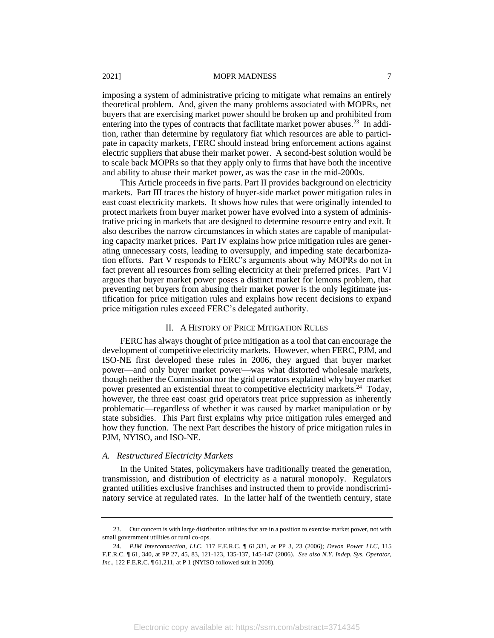imposing a system of administrative pricing to mitigate what remains an entirely theoretical problem. And, given the many problems associated with MOPRs, net buyers that are exercising market power should be broken up and prohibited from entering into the types of contracts that facilitate market power abuses.<sup>23</sup> In addition, rather than determine by regulatory fiat which resources are able to participate in capacity markets, FERC should instead bring enforcement actions against electric suppliers that abuse their market power. A second-best solution would be to scale back MOPRs so that they apply only to firms that have both the incentive and ability to abuse their market power, as was the case in the mid-2000s.

This Article proceeds in five parts. Part II provides background on electricity markets. Part III traces the history of buyer-side market power mitigation rules in east coast electricity markets. It shows how rules that were originally intended to protect markets from buyer market power have evolved into a system of administrative pricing in markets that are designed to determine resource entry and exit. It also describes the narrow circumstances in which states are capable of manipulating capacity market prices. Part IV explains how price mitigation rules are generating unnecessary costs, leading to oversupply, and impeding state decarbonization efforts. Part V responds to FERC's arguments about why MOPRs do not in fact prevent all resources from selling electricity at their preferred prices. Part VI argues that buyer market power poses a distinct market for lemons problem, that preventing net buyers from abusing their market power is the only legitimate justification for price mitigation rules and explains how recent decisions to expand price mitigation rules exceed FERC's delegated authority.

# II. A HISTORY OF PRICE MITIGATION RULES

FERC has always thought of price mitigation as a tool that can encourage the development of competitive electricity markets. However, when FERC, PJM, and ISO-NE first developed these rules in 2006, they argued that buyer market power—and only buyer market power—was what distorted wholesale markets, though neither the Commission nor the grid operators explained why buyer market power presented an existential threat to competitive electricity markets.<sup>24</sup> Today, however, the three east coast grid operators treat price suppression as inherently problematic—regardless of whether it was caused by market manipulation or by state subsidies. This Part first explains why price mitigation rules emerged and how they function. The next Part describes the history of price mitigation rules in PJM, NYISO, and ISO-NE.

# *A. Restructured Electricity Markets*

In the United States, policymakers have traditionally treated the generation, transmission, and distribution of electricity as a natural monopoly. Regulators granted utilities exclusive franchises and instructed them to provide nondiscriminatory service at regulated rates. In the latter half of the twentieth century, state

<sup>23.</sup> Our concern is with large distribution utilities that are in a position to exercise market power, not with small government utilities or rural co-ops.

<sup>24</sup>*. PJM Interconnection, LLC*, 117 F.E.R.C. ¶ 61,331, at PP 3, 23 (2006); *Devon Power LLC*, 115 F.E.R.C. ¶ 61, 340, at PP 27, 45, 83, 121-123, 135-137, 145-147 (2006). *See also N.Y. Indep. Sys. Operator, Inc.*, 122 F.E.R.C.  $\P$  61,211, at P 1 (NYISO followed suit in 2008).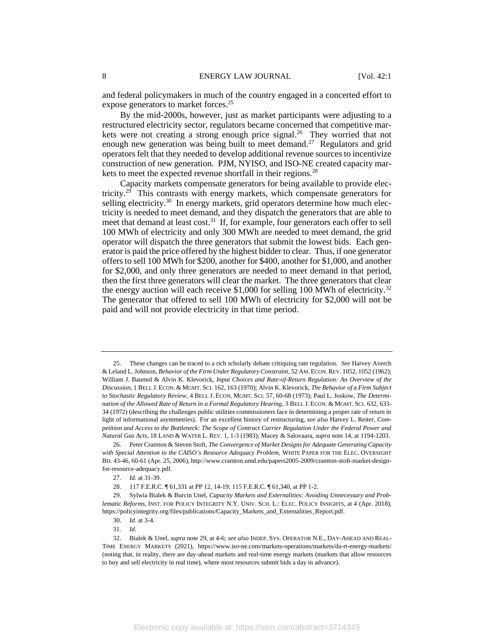and federal policymakers in much of the country engaged in a concerted effort to expose generators to market forces.<sup>25</sup>

By the mid-2000s, however, just as market participants were adjusting to a restructured electricity sector, regulators became concerned that competitive markets were not creating a strong enough price signal.<sup>26</sup> They worried that not enough new generation was being built to meet demand.<sup>27</sup> Regulators and grid operators felt that they needed to develop additional revenue sources to incentivize construction of new generation. PJM, NYISO, and ISO-NE created capacity markets to meet the expected revenue shortfall in their regions.<sup>28</sup>

Capacity markets compensate generators for being available to provide electricity.<sup>29</sup> This contrasts with energy markets, which compensate generators for selling electricity.<sup>30</sup> In energy markets, grid operators determine how much electricity is needed to meet demand, and they dispatch the generators that are able to meet that demand at least cost.<sup>31</sup> If, for example, four generators each offer to sell 100 MWh of electricity and only 300 MWh are needed to meet demand, the grid operator will dispatch the three generators that submit the lowest bids. Each generator is paid the price offered by the highest bidder to clear. Thus, if one generator offers to sell 100 MWh for \$200, another for \$400, another for \$1,000, and another for \$2,000, and only three generators are needed to meet demand in that period, then the first three generators will clear the market. The three generators that clear the energy auction will each receive  $$1,000$  for selling 100 MWh of electricity.<sup>32</sup> The generator that offered to sell 100 MWh of electricity for \$2,000 will not be paid and will not provide electricity in that time period.

<sup>25.</sup> These changes can be traced to a rich scholarly debate critiquing rate regulation. *See* Harvey Averch & Leland L. Johnson, *Behavior of the Firm Under Regulatory Constraint*, 52 AM. ECON.REV. 1052, 1052 (1962); William J. Baumol & Alvin K. Klevorick, *Input Choices and Rate-of-Return Regulation: An Overview of the Discussion*, 1 BELL J. ECON. & MGMT. SCI. 162, 163 (1970); Alvin K. Klevorick, *The Behavior of a Firm Subject to Stochastic Regulatory Review*, 4 BELL J. ECON. MGMT. SCI. 57, 60-68 (1973); Paul L. Joskow, *The Determination of the Allowed Rate of Return in a Formal Regulatory Hearing*, 3 BELL J. ECON. & MGMT. SCI. 632, 633- 34 (1972) (describing the challenges public utilities commissioners face in determining a proper rate of return in light of informational asymmetries). For an excellent history of restructuring, *see also* Harvey L. Reiter, *Competition and Access to the Bottleneck: The Scope of Contract Carrier Regulation Under the Federal Power and Natural Gas Acts*, 18 LAND & WATER L. REV. 1, 1-3 (1983); Macey & Salovaara, *supra* note 14, at 1194-1203.

<sup>26.</sup> Peter Cramton & Steven Stoft, *The Convergence of Market Designs for Adequate Generating Capacity with Special Attention to the CAISO's Resource Adequacy Problem*, WHITE PAPER FOR THE ELEC. OVERSIGHT BD. 43-46, 60-61 (Apr. 25, 2006), http://www.cramton.umd.edu/papers2005-2009/cramton-stoft-market-designfor-resource-adequacy.pdf.

<sup>27</sup>*. Id*. at 31-39.

<sup>28.</sup> 117 F.E.R.C. ¶ 61,331 at PP 12, 14-19; 115 F.E.R.C. ¶ 61,340, at PP 1-2.

<sup>29.</sup> Sylwia Bialek & Burcin Unel, *Capacity Markets and Externalities: Avoiding Unnecessary and Problematic Reforms*, INST. FOR POLICY INTEGRITY N.Y. UNIV. SCH. L.: ELEC. POLICY INSIGHTS, at 4 (Apr. 2018), https://policyintegrity.org/files/publications/Capacity\_Markets\_and\_Externalities\_Report.pdf.

<sup>30</sup>*. Id*. at 3-4.

<sup>31</sup>*. Id.*

<sup>32.</sup> Bialek & Unel, *supra* note 29, at 4-6; *see also* INDEP. SYS. OPERATOR N.E., DAY-AHEAD AND REAL-TIME ENERGY MARKETS (2021), https://www.iso-ne.com/markets-operations/markets/da-rt-energy-markets/ (noting that, in reality, there are day-ahead markets and real-time energy markets (markets that allow resources to buy and sell electricity in real time), where most resources submit bids a day in advance).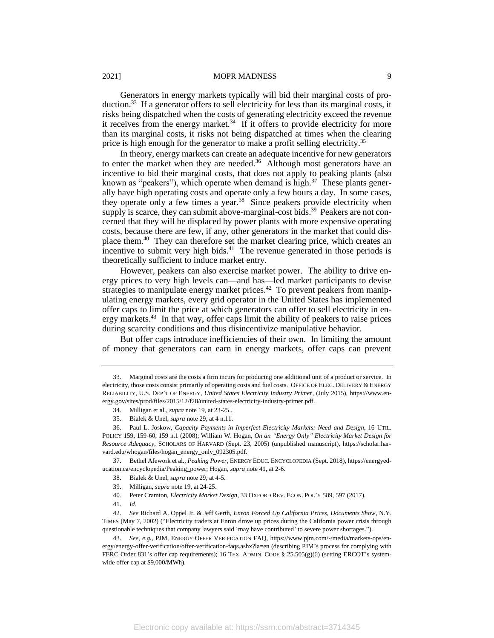Generators in energy markets typically will bid their marginal costs of production.<sup>33</sup> If a generator offers to sell electricity for less than its marginal costs, it risks being dispatched when the costs of generating electricity exceed the revenue it receives from the energy market. $34$  If it offers to provide electricity for more than its marginal costs, it risks not being dispatched at times when the clearing price is high enough for the generator to make a profit selling electricity.<sup>35</sup>

In theory, energy markets can create an adequate incentive for new generators to enter the market when they are needed.<sup>36</sup> Although most generators have an incentive to bid their marginal costs, that does not apply to peaking plants (also known as "peakers"), which operate when demand is high.<sup>37</sup> These plants generally have high operating costs and operate only a few hours a day. In some cases, they operate only a few times a year.<sup>38</sup> Since peakers provide electricity when supply is scarce, they can submit above-marginal-cost bids.<sup>39</sup> Peakers are not concerned that they will be displaced by power plants with more expensive operating costs, because there are few, if any, other generators in the market that could displace them.<sup>40</sup> They can therefore set the market clearing price, which creates an incentive to submit very high bids. $41$  The revenue generated in those periods is theoretically sufficient to induce market entry.

However, peakers can also exercise market power. The ability to drive energy prices to very high levels can—and has—led market participants to devise strategies to manipulate energy market prices. $42$  To prevent peakers from manipulating energy markets, every grid operator in the United States has implemented offer caps to limit the price at which generators can offer to sell electricity in energy markets.<sup>43</sup> In that way, offer caps limit the ability of peakers to raise prices during scarcity conditions and thus disincentivize manipulative behavior.

But offer caps introduce inefficiencies of their own. In limiting the amount of money that generators can earn in energy markets, offer caps can prevent

37. Bethel Afework et al., *Peaking Power*, ENERGY EDUC. ENCYCLOPEDIA (Sept. 2018), https://energyeducation.ca/encyclopedia/Peaking\_power; Hogan, *supra* note 41, at 2-6.

39. Milligan, *supra* note 19, at 24-25.

40. Peter Cramton, *Electricity Market Design*, 33 OXFORD REV. ECON. POL'Y 589, 597 (2017).

42*. See* Richard A. Oppel Jr. & Jeff Gerth, *Enron Forced Up California Prices, Documents Show*, N.Y. TIMES (May 7, 2002) ("Electricity traders at Enron drove up prices during the California power crisis through questionable techniques that company lawyers said 'may have contributed' to severe power shortages.").

<sup>33.</sup> Marginal costs are the costs a firm incurs for producing one additional unit of a product or service. In electricity, those costs consist primarily of operating costs and fuel costs. OFFICE OF ELEC. DELIVERY & ENERGY RELIABILITY, U.S. DEP'T OF ENERGY, *United States Electricity Industry Primer*, (July 2015), https://www.energy.gov/sites/prod/files/2015/12/f28/united-states-electricity-industry-primer.pdf.

<sup>34.</sup> Milligan et al., *supra* note 19, at 23-25..

<sup>35.</sup> Bialek & Unel, *supra* note 29, at 4 n.11.

<sup>36.</sup> Paul L. Joskow, *Capacity Payments in Imperfect Electricity Markets: Need and Design*, 16 UTIL. POLICY 159, 159-60, 159 n.1 (2008); William W. Hogan, *On an "Energy Only" Electricity Market Design for Resource Adequacy*, SCHOLARS OF HARVARD (Sept. 23, 2005) (unpublished manuscript), https://scholar.harvard.edu/whogan/files/hogan\_energy\_only\_092305.pdf.

<sup>38.</sup> Bialek & Unel, *supra* note 29, at 4-5.

<sup>41</sup>*. Id*.

<sup>43</sup>*. See, e.g.*, PJM, ENERGY OFFER VERIFICATION FAQ, https://www.pjm.com/-/media/markets-ops/energy/energy-offer-verification/offer-verification-faqs.ashx?la=en (describing PJM's process for complying with FERC Order 831's offer cap requirements); 16 TEX. ADMIN. CODE § 25.505(g)(6) (setting ERCOT's systemwide offer cap at \$9,000/MWh).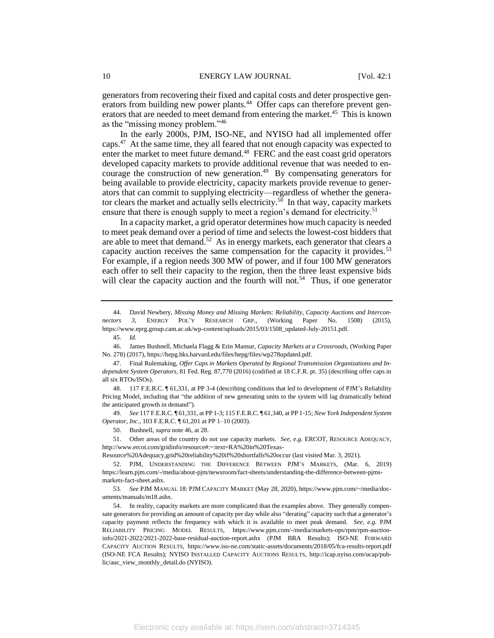generators from recovering their fixed and capital costs and deter prospective generators from building new power plants.<sup>44</sup> Offer caps can therefore prevent generators that are needed to meet demand from entering the market.<sup>45</sup> This is known as the "missing money problem."<sup>46</sup>

In the early 2000s, PJM, ISO-NE, and NYISO had all implemented offer caps.<sup>47</sup> At the same time, they all feared that not enough capacity was expected to enter the market to meet future demand.<sup>48</sup> FERC and the east coast grid operators developed capacity markets to provide additional revenue that was needed to encourage the construction of new generation.<sup>49</sup> By compensating generators for being available to provide electricity, capacity markets provide revenue to generators that can commit to supplying electricity—regardless of whether the generator clears the market and actually sells electricity.<sup>50</sup> In that way, capacity markets ensure that there is enough supply to meet a region's demand for electricity.<sup>51</sup>

In a capacity market, a grid operator determines how much capacity is needed to meet peak demand over a period of time and selects the lowest-cost bidders that are able to meet that demand.<sup>52</sup> As in energy markets, each generator that clears a capacity auction receives the same compensation for the capacity it provides.<sup>53</sup> For example, if a region needs 300 MW of power, and if four 100 MW generators each offer to sell their capacity to the region, then the three least expensive bids will clear the capacity auction and the fourth will not.<sup>54</sup> Thus, if one generator

49*. See* 117 F.E.R.C. ¶ 61,331, at PP 1-3; 115 F.E.R.C. ¶ 61,340, at PP 1-15; *New York Independent System Operator, Inc.*, 103 F.E.R.C. ¶ 61,201 at PP 1–10 (2003).

Resource%20Adequacy,grid%20reliability%20if%20shortfalls%20occur (last visited Mar. 3, 2021).

52. PJM, UNDERSTANDING THE DIFFERENCE BETWEEN PJM'S MARKETS, (Mar. 6, 2019) https://learn.pjm.com/-/media/about-pjm/newsroom/fact-sheets/understanding-the-difference-between-pjmsmarkets-fact-sheet.ashx.

53*. See* PJM MANUAL 18: PJM CAPACITY MARKET (May 28, 2020), https://www.pjm.com/~/media/documents/manuals/m18.ashx.

<sup>44.</sup> David Newbery, *Missing Money and Missing Markets: Reliability, Capacity Auctions and Interconnectors 3,* ENERGY POL'Y RESEARCH GRP., (Working Paper No. 1508) (2015), https://www.eprg.group.cam.ac.uk/wp-content/uploads/2015/03/1508\_updated-July-20151.pdf.

<sup>45</sup>*. Id.*

<sup>46.</sup> James Bushnell, Michaela Flagg & Erin Mansur, *Capacity Markets at a Crossroads*, (Working Paper No. 278) (2017), https://hepg.hks.harvard.edu/files/hepg/files/wp278updated.pdf.

<sup>47.</sup> Final Rulemaking, *Offer Caps in Markets Operated by Regional Transmission Organizations and Independent System Operators*, 81 Fed. Reg. 87,770 (2016) (codified at 18 C.F.R. pt. 35) (describing offer caps in all six RTOs/ISOs).

<sup>48.</sup> 117 F.E.R.C. ¶ 61,331, at PP 3-4 (describing conditions that led to development of PJM's Reliability Pricing Model, including that "the addition of new generating units to the system will lag dramatically behind the anticipated growth in demand").

<sup>50.</sup> Bushnell, *supra* note 46, at 28.

<sup>51.</sup> Other areas of the country do not use capacity markets. *See, e.g.* ERCOT, RESOURCE ADEQUACY, http://www.ercot.com/gridinfo/resource#:~:text=RA%20in%20Texas-

<sup>54.</sup> In reality, capacity markets are more complicated than the examples above. They generally compensate generators for providing an amount of capacity per day while also "derating" capacity such that a generator's capacity payment reflects the frequency with which it is available to meet peak demand. *See*, *e.g.* PJM RELIABILITY PRICING MODEL RESULTS, https://www.pjm.com/-/media/markets-ops/rpm/rpm-auctioninfo/2021-2022/2021-2022-base-residual-auction-report.ashx (PJM BRA Results); ISO-NE FORWARD CAPACITY AUCTION RESULTS, https://www.iso-ne.com/static-assets/documents/2018/05/fca-results-report.pdf (ISO-NE FCA Results); NYISO INSTALLED CAPACITY AUCTIONS RESULTS, http://icap.nyiso.com/ucap/public/auc\_view\_monthly\_detail.do (NYISO).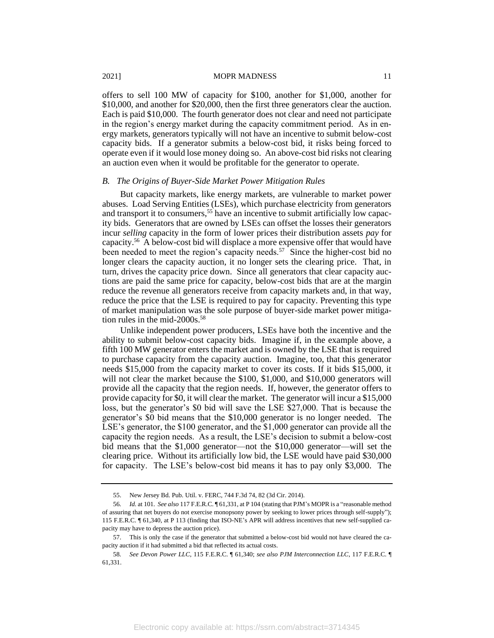offers to sell 100 MW of capacity for \$100, another for \$1,000, another for \$10,000, and another for \$20,000, then the first three generators clear the auction. Each is paid \$10,000. The fourth generator does not clear and need not participate in the region's energy market during the capacity commitment period. As in energy markets, generators typically will not have an incentive to submit below-cost capacity bids. If a generator submits a below-cost bid, it risks being forced to operate even if it would lose money doing so. An above-cost bid risks not clearing an auction even when it would be profitable for the generator to operate.

# *B. The Origins of Buyer-Side Market Power Mitigation Rules*

But capacity markets, like energy markets, are vulnerable to market power abuses. Load Serving Entities (LSEs), which purchase electricity from generators and transport it to consumers,<sup>55</sup> have an incentive to submit artificially low capacity bids. Generators that are owned by LSEs can offset the losses their generators incur *selling* capacity in the form of lower prices their distribution assets *pay* for capacity.<sup>56</sup> A below-cost bid will displace a more expensive offer that would have been needed to meet the region's capacity needs.<sup>57</sup> Since the higher-cost bid no longer clears the capacity auction, it no longer sets the clearing price. That, in turn, drives the capacity price down. Since all generators that clear capacity auctions are paid the same price for capacity, below-cost bids that are at the margin reduce the revenue all generators receive from capacity markets and, in that way, reduce the price that the LSE is required to pay for capacity. Preventing this type of market manipulation was the sole purpose of buyer-side market power mitigation rules in the mid-2000s.<sup>58</sup>

Unlike independent power producers, LSEs have both the incentive and the ability to submit below-cost capacity bids. Imagine if, in the example above, a fifth 100 MW generator enters the market and is owned by the LSE that is required to purchase capacity from the capacity auction. Imagine, too, that this generator needs \$15,000 from the capacity market to cover its costs. If it bids \$15,000, it will not clear the market because the \$100, \$1,000, and \$10,000 generators will provide all the capacity that the region needs. If, however, the generator offers to provide capacity for \$0, it will clear the market. The generator will incur a \$15,000 loss, but the generator's \$0 bid will save the LSE \$27,000. That is because the generator's \$0 bid means that the \$10,000 generator is no longer needed. The LSE's generator, the \$100 generator, and the \$1,000 generator can provide all the capacity the region needs. As a result, the LSE's decision to submit a below-cost bid means that the \$1,000 generator—not the \$10,000 generator—will set the clearing price. Without its artificially low bid, the LSE would have paid \$30,000 for capacity. The LSE's below-cost bid means it has to pay only \$3,000. The

<sup>55.</sup> New Jersey Bd. Pub. Util. v. FERC, 744 F.3d 74, 82 (3d Cir. 2014).

<sup>56</sup>*. Id.* at 101. *See also* 117 F.E.R.C. ¶ 61,331, at P 104 (stating that PJM's MOPR is a "reasonable method of assuring that net buyers do not exercise monopsony power by seeking to lower prices through self-supply"); 115 F.E.R.C. ¶ 61,340, at P 113 (finding that ISO-NE's APR will address incentives that new self-supplied capacity may have to depress the auction price).

<sup>57.</sup> This is only the case if the generator that submitted a below-cost bid would not have cleared the capacity auction if it had submitted a bid that reflected its actual costs.

<sup>58</sup>*. See Devon Power LLC*, 115 F.E.R.C. ¶ 61,340; *see also PJM Interconnection LLC*, 117 F.E.R.C. ¶ 61,331.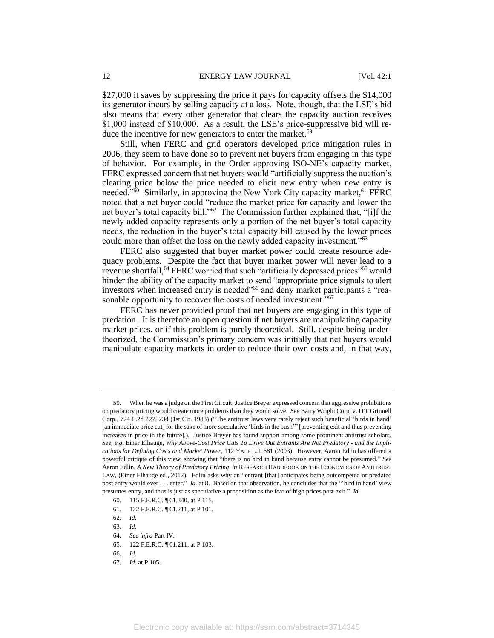\$27,000 it saves by suppressing the price it pays for capacity offsets the \$14,000 its generator incurs by selling capacity at a loss. Note, though, that the LSE's bid also means that every other generator that clears the capacity auction receives \$1,000 instead of \$10,000. As a result, the LSE's price-suppressive bid will reduce the incentive for new generators to enter the market.<sup>59</sup>

Still, when FERC and grid operators developed price mitigation rules in 2006, they seem to have done so to prevent net buyers from engaging in this type of behavior. For example, in the Order approving ISO-NE's capacity market, FERC expressed concern that net buyers would "artificially suppress the auction's clearing price below the price needed to elicit new entry when new entry is needed." $\overline{60}$  Similarly, in approving the New York City capacity market, <sup>61</sup> FERC noted that a net buyer could "reduce the market price for capacity and lower the net buyer's total capacity bill."<sup>62</sup> The Commission further explained that, "[i]f the newly added capacity represents only a portion of the net buyer's total capacity needs, the reduction in the buyer's total capacity bill caused by the lower prices could more than offset the loss on the newly added capacity investment."<sup>63</sup>

FERC also suggested that buyer market power could create resource adequacy problems. Despite the fact that buyer market power will never lead to a revenue shortfall,<sup>64</sup> FERC worried that such "artificially depressed prices"<sup>65</sup> would hinder the ability of the capacity market to send "appropriate price signals to alert investors when increased entry is needed"<sup>66</sup> and deny market participants a "reasonable opportunity to recover the costs of needed investment."<sup>67</sup>

FERC has never provided proof that net buyers are engaging in this type of predation. It is therefore an open question if net buyers are manipulating capacity market prices, or if this problem is purely theoretical. Still, despite being undertheorized, the Commission's primary concern was initially that net buyers would manipulate capacity markets in order to reduce their own costs and, in that way,

<sup>59.</sup> When he was a judge on the First Circuit, Justice Breyer expressed concern that aggressive prohibitions on predatory pricing would create more problems than they would solve. *See* Barry Wright Corp. v. ITT Grinnell Corp., 724 F.2d 227, 234 (1st Cir. 1983) ("The antitrust laws very rarely reject such beneficial 'birds in hand' [an immediate price cut] for the sake of more speculative 'birds in the bush'" [preventing exit and thus preventing increases in price in the future].). Justice Breyer has found support among some prominent antitrust scholars. *See, e.g*. Einer Elhauge, *Why Above-Cost Price Cuts To Drive Out Entrants Are Not Predatory - and the Implications for Defining Costs and Market Power*, 112 YALE L.J. 681 (2003). However, Aaron Edlin has offered a powerful critique of this view, showing that "there is no bird in hand because entry cannot be presumed." *See* Aaron Edlin, *A New Theory of Predatory Pricing, in* RESEARCH HANDBOOK ON THE ECONOMICS OF ANTITRUST LAW, (Einer Elhauge ed., 2012). Edlin asks why an "entrant [that] anticipates being outcompeted or predated post entry would ever . . . enter." *Id.* at 8. Based on that observation, he concludes that the "'bird in hand' view presumes entry, and thus is just as speculative a proposition as the fear of high prices post exit." *Id.*

<sup>60.</sup> 115 F.E.R.C. ¶ 61,340, at P 115.

<sup>61.</sup> 122 F.E.R.C. ¶ 61,211, at P 101.

<sup>62</sup>*. Id*.

<sup>63</sup>*. Id.*

<sup>64</sup>*. See infra* Part IV.

<sup>65.</sup> 122 F.E.R.C. ¶ 61,211, at P 103.

<sup>66</sup>*. Id.*

<sup>67</sup>*. Id.* at P 105.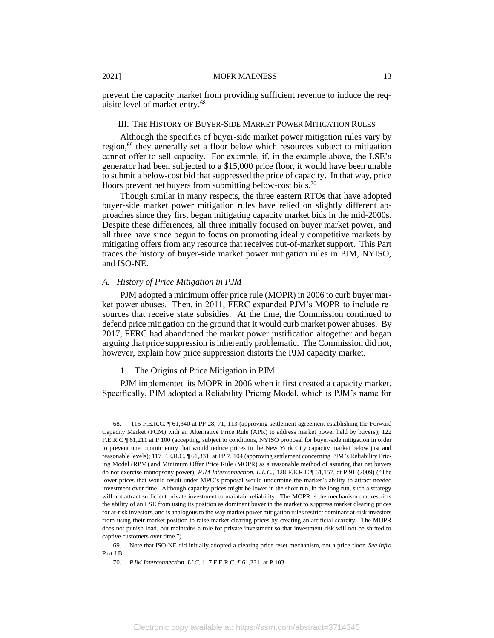prevent the capacity market from providing sufficient revenue to induce the requisite level of market entry.<sup>68</sup>

# III. THE HISTORY OF BUYER-SIDE MARKET POWER MITIGATION RULES

Although the specifics of buyer-side market power mitigation rules vary by region,<sup>69</sup> they generally set a floor below which resources subject to mitigation cannot offer to sell capacity. For example, if, in the example above, the LSE's generator had been subjected to a \$15,000 price floor, it would have been unable to submit a below-cost bid that suppressed the price of capacity. In that way, price floors prevent net buyers from submitting below-cost bids.<sup>70</sup>

Though similar in many respects, the three eastern RTOs that have adopted buyer-side market power mitigation rules have relied on slightly different approaches since they first began mitigating capacity market bids in the mid-2000s. Despite these differences, all three initially focused on buyer market power, and all three have since begun to focus on promoting ideally competitive markets by mitigating offers from any resource that receives out-of-market support. This Part traces the history of buyer-side market power mitigation rules in PJM, NYISO, and ISO-NE.

# *A. History of Price Mitigation in PJM*

PJM adopted a minimum offer price rule (MOPR) in 2006 to curb buyer market power abuses. Then, in 2011, FERC expanded PJM's MOPR to include resources that receive state subsidies. At the time, the Commission continued to defend price mitigation on the ground that it would curb market power abuses. By 2017, FERC had abandoned the market power justification altogether and began arguing that price suppression is inherently problematic. The Commission did not, however, explain how price suppression distorts the PJM capacity market.

# 1. The Origins of Price Mitigation in PJM

PJM implemented its MOPR in 2006 when it first created a capacity market. Specifically, PJM adopted a Reliability Pricing Model, which is PJM's name for

<sup>68</sup>*.* 115 F.E.R.C. ¶ 61,340 at PP 28, 71, 113 (approving settlement agreement establishing the Forward Capacity Market (FCM) with an Alternative Price Rule (APR) to address market power held by buyers); 122 F.E.R.C ¶ 61,211 at P 100 (accepting, subject to conditions, NYISO proposal for buyer-side mitigation in order to prevent uneconomic entry that would reduce prices in the New York City capacity market below just and reasonable levels); 117 F.E.R.C. ¶ 61,331, at PP 7, 104 (approving settlement concerning PJM's Reliability Pricing Model (RPM) and Minimum Offer Price Rule (MOPR) as a reasonable method of assuring that net buyers do not exercise monopsony power); *PJM Interconnection, L.L.C.*, 128 F.E.R.C.¶ 61,157, at P 91 (2009) ("The lower prices that would result under MPC's proposal would undermine the market's ability to attract needed investment over time. Although capacity prices might be lower in the short run, in the long run, such a strategy will not attract sufficient private investment to maintain reliability. The MOPR is the mechanism that restricts the ability of an LSE from using its position as dominant buyer in the market to suppress market clearing prices for at-risk investors, and is analogous to the way market power mitigation rules restrict dominant at-risk investors from using their market position to raise market clearing prices by creating an artificial scarcity. The MOPR does not punish load, but maintains a role for private investment so that investment risk will not be shifted to captive customers over time.").

<sup>69.</sup> Note that ISO-NE did initially adopted a clearing price reset mechanism, not a price floor. *See infra* Part I.B.

<sup>70</sup>*. PJM Interconnection, LLC*, 117 F.E.R.C. ¶ 61,331, at P 103.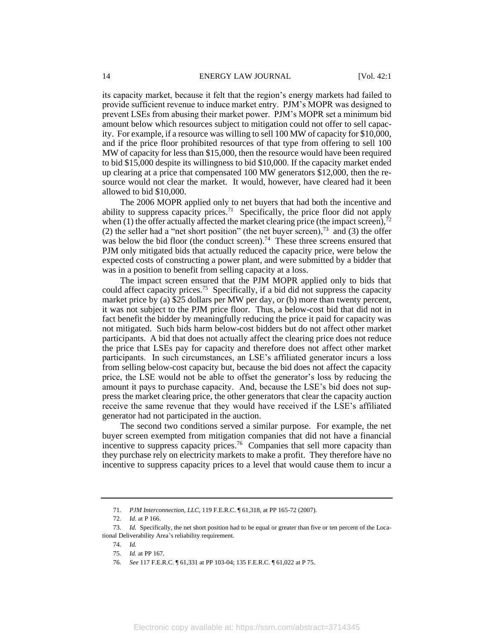its capacity market, because it felt that the region's energy markets had failed to provide sufficient revenue to induce market entry. PJM's MOPR was designed to prevent LSEs from abusing their market power. PJM's MOPR set a minimum bid amount below which resources subject to mitigation could not offer to sell capacity. For example, if a resource was willing to sell 100 MW of capacity for \$10,000, and if the price floor prohibited resources of that type from offering to sell 100 MW of capacity for less than \$15,000, then the resource would have been required to bid \$15,000 despite its willingness to bid \$10,000. If the capacity market ended up clearing at a price that compensated 100 MW generators \$12,000, then the resource would not clear the market. It would, however, have cleared had it been allowed to bid \$10,000.

The 2006 MOPR applied only to net buyers that had both the incentive and ability to suppress capacity prices.<sup>71</sup> Specifically, the price floor did not apply when  $(1)$  the offer actually affected the market clearing price (the impact screen), $\overline{3}$ (2) the seller had a "net short position" (the net buyer screen),<sup>73</sup> and (3) the offer was below the bid floor (the conduct screen).<sup>74</sup> These three screens ensured that PJM only mitigated bids that actually reduced the capacity price, were below the expected costs of constructing a power plant, and were submitted by a bidder that was in a position to benefit from selling capacity at a loss.

The impact screen ensured that the PJM MOPR applied only to bids that could affect capacity prices.<sup>75</sup> Specifically, if a bid did not suppress the capacity market price by (a) \$25 dollars per MW per day, or (b) more than twenty percent, it was not subject to the PJM price floor. Thus, a below-cost bid that did not in fact benefit the bidder by meaningfully reducing the price it paid for capacity was not mitigated. Such bids harm below-cost bidders but do not affect other market participants. A bid that does not actually affect the clearing price does not reduce the price that LSEs pay for capacity and therefore does not affect other market participants. In such circumstances, an LSE's affiliated generator incurs a loss from selling below-cost capacity but, because the bid does not affect the capacity price, the LSE would not be able to offset the generator's loss by reducing the amount it pays to purchase capacity. And, because the LSE's bid does not suppress the market clearing price, the other generators that clear the capacity auction receive the same revenue that they would have received if the LSE's affiliated generator had not participated in the auction.

The second two conditions served a similar purpose. For example, the net buyer screen exempted from mitigation companies that did not have a financial incentive to suppress capacity prices.<sup>76</sup> Companies that sell more capacity than they purchase rely on electricity markets to make a profit. They therefore have no incentive to suppress capacity prices to a level that would cause them to incur a

<sup>71</sup>*. PJM Interconnection, LLC*, 119 F.E.R.C. ¶ 61,318, at PP 165-72 (2007).

<sup>72</sup>*. Id*. at P 166.

<sup>73</sup>*. Id.* Specifically, the net short position had to be equal or greater than five or ten percent of the Locational Deliverability Area's reliability requirement.

<sup>74</sup>*. Id.*

<sup>75</sup>*. Id.* at PP 167.

<sup>76</sup>*. See* 117 F.E.R.C. ¶ 61,331 at PP 103-04; 135 F.E.R.C. ¶ 61,022 at P 75.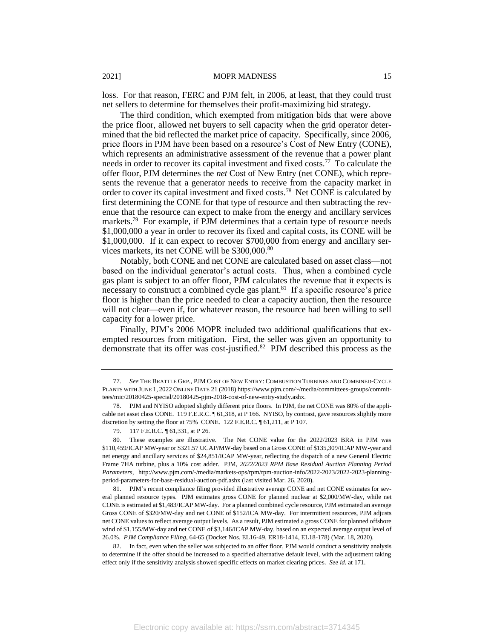loss. For that reason, FERC and PJM felt, in 2006, at least, that they could trust net sellers to determine for themselves their profit-maximizing bid strategy.

The third condition, which exempted from mitigation bids that were above the price floor, allowed net buyers to sell capacity when the grid operator determined that the bid reflected the market price of capacity. Specifically, since 2006, price floors in PJM have been based on a resource's Cost of New Entry (CONE), which represents an administrative assessment of the revenue that a power plant needs in order to recover its capital investment and fixed costs.<sup>77</sup> To calculate the offer floor, PJM determines the *net* Cost of New Entry (net CONE), which represents the revenue that a generator needs to receive from the capacity market in order to cover its capital investment and fixed costs.<sup>78</sup> Net CONE is calculated by first determining the CONE for that type of resource and then subtracting the revenue that the resource can expect to make from the energy and ancillary services markets.<sup>79</sup> For example, if PJM determines that a certain type of resource needs \$1,000,000 a year in order to recover its fixed and capital costs, its CONE will be \$1,000,000. If it can expect to recover \$700,000 from energy and ancillary services markets, its net CONE will be \$300,000.<sup>80</sup>

Notably, both CONE and net CONE are calculated based on asset class—not based on the individual generator's actual costs. Thus, when a combined cycle gas plant is subject to an offer floor, PJM calculates the revenue that it expects is necessary to construct a combined cycle gas plant.<sup>81</sup> If a specific resource's price floor is higher than the price needed to clear a capacity auction, then the resource will not clear—even if, for whatever reason, the resource had been willing to sell capacity for a lower price.

Finally, PJM's 2006 MOPR included two additional qualifications that exempted resources from mitigation. First, the seller was given an opportunity to demonstrate that its offer was cost-justified.<sup>82</sup> PJM described this process as the

<sup>77</sup>*. See* THE BRATTLE GRP., PJM COST OF NEW ENTRY: COMBUSTION TURBINES AND COMBINED-CYCLE PLANTS WITH JUNE 1, 2022 ONLINE DATE 21 (2018) https://www.pjm.com/~/media/committees-groups/committees/mic/20180425-special/20180425-pjm-2018-cost-of-new-entry-study.ashx.

<sup>78.</sup> PJM and NYISO adopted slightly different price floors. In PJM, the net CONE was 80% of the applicable net asset class CONE. 119 F.E.R.C. ¶ 61,318, at P 166. NYISO, by contrast, gave resources slightly more discretion by setting the floor at 75% CONE. 122 F.E.R.C. ¶ 61,211, at P 107.

<sup>79.</sup> 117 F.E.R.C. ¶ 61,331, at P 26.

<sup>80.</sup> These examples are illustrative. The Net CONE value for the 2022/2023 BRA in PJM was \$110,459/ICAP MW-year or \$321.57 UCAP/MW-day based on a Gross CONE of \$135,309/ICAP MW-year and net energy and ancillary services of \$24,851/ICAP MW-year, reflecting the dispatch of a new General Electric Frame 7HA turbine, plus a 10% cost adder. PJM, *2022/2023 RPM Base Residual Auction Planning Period Parameters*, http://www.pjm.com/-/media/markets-ops/rpm/rpm-auction-info/2022-2023/2022-2023-planningperiod-parameters-for-base-residual-auction-pdf.ashx (last visited Mar. 26, 2020).

<sup>81.</sup> PJM's recent compliance filing provided illustrative average CONE and net CONE estimates for several planned resource types. PJM estimates gross CONE for planned nuclear at \$2,000/MW-day, while net CONE is estimated at \$1,483/ICAP MW-day. For a planned combined cycle resource, PJM estimated an average Gross CONE of \$320/MW-day and net CONE of \$152/ICA MW-day. For intermittent resources, PJM adjusts net CONE values to reflect average output levels. As a result, PJM estimated a gross CONE for planned offshore wind of \$1,155/MW-day and net CONE of \$3,146/ICAP MW-day, based on an expected average output level of 26.0%. *PJM Compliance Filing*, 64-65 (Docket Nos. EL16-49, ER18-1414, EL18-178) (Mar. 18, 2020).

<sup>82.</sup> In fact, even when the seller was subjected to an offer floor, PJM would conduct a sensitivity analysis to determine if the offer should be increased to a specified alternative default level, with the adjustment taking effect only if the sensitivity analysis showed specific effects on market clearing prices. *See id.* at 171.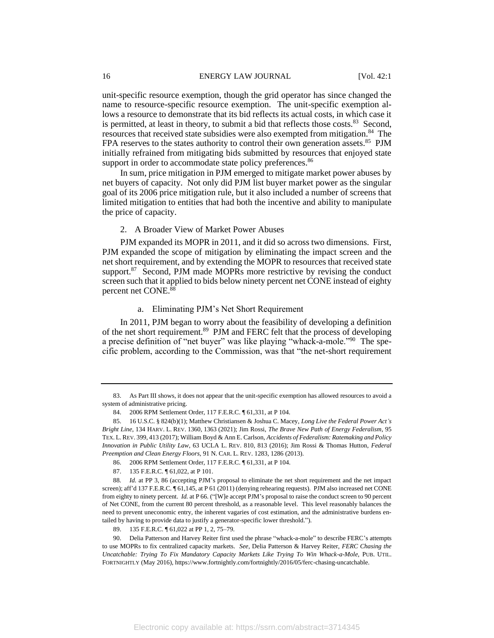unit-specific resource exemption, though the grid operator has since changed the name to resource-specific resource exemption. The unit-specific exemption allows a resource to demonstrate that its bid reflects its actual costs, in which case it is permitted, at least in theory, to submit a bid that reflects those costs. $83$  Second, resources that received state subsidies were also exempted from mitigation.<sup>84</sup> The FPA reserves to the states authority to control their own generation assets.<sup>85</sup> PJM initially refrained from mitigating bids submitted by resources that enjoyed state support in order to accommodate state policy preferences.<sup>86</sup>

In sum, price mitigation in PJM emerged to mitigate market power abuses by net buyers of capacity. Not only did PJM list buyer market power as the singular goal of its 2006 price mitigation rule, but it also included a number of screens that limited mitigation to entities that had both the incentive and ability to manipulate the price of capacity.

# 2. A Broader View of Market Power Abuses

PJM expanded its MOPR in 2011, and it did so across two dimensions. First, PJM expanded the scope of mitigation by eliminating the impact screen and the net short requirement, and by extending the MOPR to resources that received state support.<sup>87</sup> Second, PJM made MOPRs more restrictive by revising the conduct screen such that it applied to bids below ninety percent net CONE instead of eighty percent net CONE.<sup>88</sup>

# a. Eliminating PJM's Net Short Requirement

In 2011, PJM began to worry about the feasibility of developing a definition of the net short requirement.<sup>89</sup> PJM and FERC felt that the process of developing a precise definition of "net buyer" was like playing "whack-a-mole."<sup>90</sup> The specific problem, according to the Commission, was that "the net-short requirement

<sup>83.</sup> As Part III shows, it does not appear that the unit-specific exemption has allowed resources to avoid a system of administrative pricing.

<sup>84.</sup> 2006 RPM Settlement Order, 117 F.E.R.C. ¶ 61,331, at P 104.

<sup>85.</sup> 16 U.S.C. § 824(b)(1); Matthew Christiansen & Joshua C. Macey, *Long Live the Federal Power Act's Bright Line*, 134 HARV. L. REV. 1360, 1363 (2021); Jim Rossi, *The Brave New Path of Energy Federalism*, 95 TEX. L.REV. 399, 413 (2017); William Boyd & Ann E. Carlson, *Accidents of Federalism: Ratemaking and Policy Innovation in Public Utility Law*, 63 UCLA L. REV. 810, 813 (2016); Jim Rossi & Thomas Hutton, *Federal Preemption and Clean Energy Floors*, 91 N. CAR. L. REV. 1283, 1286 (2013).

<sup>86.</sup> 2006 RPM Settlement Order, 117 F.E.R.C. ¶ 61,331, at P 104.

<sup>87. 135</sup> F.E.R.C. ¶ 61,022, at P 101.

<sup>88</sup>*. Id.* at PP 3, 86 (accepting PJM's proposal to eliminate the net short requirement and the net impact screen); aff'd 137 F.E.R.C. ¶ 61,145, at P 61 (2011) (denying rehearing requests). PJM also increased net CONE from eighty to ninety percent. *Id.* at P 66. ("[W]e accept PJM's proposal to raise the conduct screen to 90 percent of Net CONE, from the current 80 percent threshold, as a reasonable level. This level reasonably balances the need to prevent uneconomic entry, the inherent vagaries of cost estimation, and the administrative burdens entailed by having to provide data to justify a generator-specific lower threshold.").

<sup>89. 135</sup> F.E.R.C.  $\sqrt{ }$  61,022 at PP 1, 2, 75–79.

<sup>90.</sup> Delia Patterson and Harvey Reiter first used the phrase "whack-a-mole" to describe FERC's attempts to use MOPRs to fix centralized capacity markets. *See*, Delia Patterson & Harvey Reiter, *FERC Chasing the Uncatchable: Trying To Fix Mandatory Capacity Markets Like Trying To Win Whack-a-Mole*, PUB. UTIL. FORTNIGHTLY (May 2016), https://www.fortnightly.com/fortnightly/2016/05/ferc-chasing-uncatchable.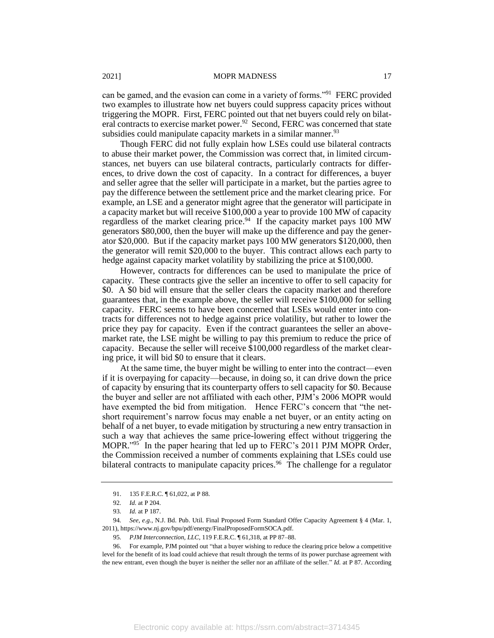can be gamed, and the evasion can come in a variety of forms."<sup>91</sup> FERC provided two examples to illustrate how net buyers could suppress capacity prices without triggering the MOPR. First, FERC pointed out that net buyers could rely on bilateral contracts to exercise market power.<sup>92</sup> Second, FERC was concerned that state subsidies could manipulate capacity markets in a similar manner.<sup>93</sup>

Though FERC did not fully explain how LSEs could use bilateral contracts to abuse their market power, the Commission was correct that, in limited circumstances, net buyers can use bilateral contracts, particularly contracts for differences, to drive down the cost of capacity. In a contract for differences, a buyer and seller agree that the seller will participate in a market, but the parties agree to pay the difference between the settlement price and the market clearing price. For example, an LSE and a generator might agree that the generator will participate in a capacity market but will receive \$100,000 a year to provide 100 MW of capacity regardless of the market clearing price.<sup>94</sup> If the capacity market pays  $100$  MW generators \$80,000, then the buyer will make up the difference and pay the generator \$20,000. But if the capacity market pays 100 MW generators \$120,000, then the generator will remit \$20,000 to the buyer. This contract allows each party to hedge against capacity market volatility by stabilizing the price at \$100,000.

However, contracts for differences can be used to manipulate the price of capacity. These contracts give the seller an incentive to offer to sell capacity for \$0. A \$0 bid will ensure that the seller clears the capacity market and therefore guarantees that, in the example above, the seller will receive \$100,000 for selling capacity. FERC seems to have been concerned that LSEs would enter into contracts for differences not to hedge against price volatility, but rather to lower the price they pay for capacity. Even if the contract guarantees the seller an abovemarket rate, the LSE might be willing to pay this premium to reduce the price of capacity. Because the seller will receive \$100,000 regardless of the market clearing price, it will bid \$0 to ensure that it clears.

At the same time, the buyer might be willing to enter into the contract—even if it is overpaying for capacity—because, in doing so, it can drive down the price of capacity by ensuring that its counterparty offers to sell capacity for \$0. Because the buyer and seller are not affiliated with each other, PJM's 2006 MOPR would have exempted the bid from mitigation. Hence FERC's concern that "the netshort requirement's narrow focus may enable a net buyer, or an entity acting on behalf of a net buyer, to evade mitigation by structuring a new entry transaction in such a way that achieves the same price-lowering effect without triggering the MOPR."<sup>95</sup> In the paper hearing that led up to FERC's 2011 PJM MOPR Order, the Commission received a number of comments explaining that LSEs could use bilateral contracts to manipulate capacity prices.<sup>96</sup> The challenge for a regulator

<sup>91. 135</sup> F.E.R.C. 161,022, at P 88.

<sup>92</sup>*. Id.* at P 204.

<sup>93</sup>*. Id.* at P 187.

<sup>94</sup>*. See*, *e.g.*, N.J. Bd. Pub. Util. Final Proposed Form Standard Offer Capacity Agreement § 4 (Mar. 1, 2011), https://www.nj.gov/bpu/pdf/energy/FinalProposedFormSOCA.pdf.

<sup>95</sup>*. PJM Interconnection, LLC*, 119 F.E.R.C. ¶ 61,318, at PP 87–88.

<sup>96.</sup> For example, PJM pointed out "that a buyer wishing to reduce the clearing price below a competitive level for the benefit of its load could achieve that result through the terms of its power purchase agreement with the new entrant, even though the buyer is neither the seller nor an affiliate of the seller." *Id.* at P 87. According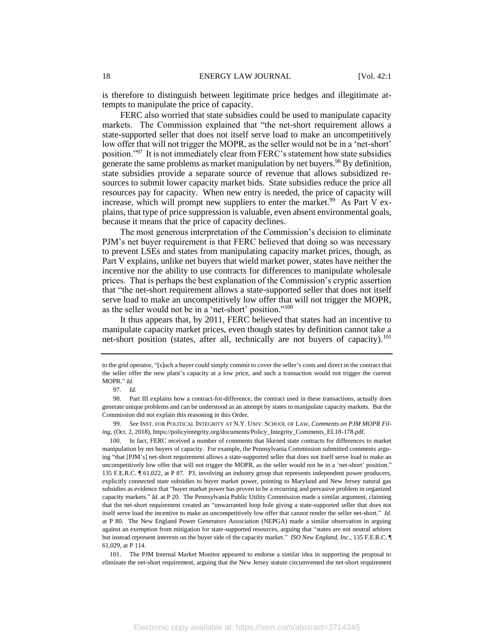is therefore to distinguish between legitimate price hedges and illegitimate attempts to manipulate the price of capacity.

FERC also worried that state subsidies could be used to manipulate capacity markets. The Commission explained that "the net-short requirement allows a state-supported seller that does not itself serve load to make an uncompetitively low offer that will not trigger the MOPR, as the seller would not be in a 'net-short' position."<sup>97</sup> It is not immediately clear from FERC's statement how state subsidies generate the same problems as market manipulation by net buyers.<sup>98</sup> By definition, state subsidies provide a separate source of revenue that allows subsidized resources to submit lower capacity market bids. State subsidies reduce the price all resources pay for capacity. When new entry is needed, the price of capacity will increase, which will prompt new suppliers to enter the market.<sup>99</sup> As Part V explains, that type of price suppression is valuable, even absent environmental goals, because it means that the price of capacity declines.

The most generous interpretation of the Commission's decision to eliminate PJM's net buyer requirement is that FERC believed that doing so was necessary to prevent LSEs and states from manipulating capacity market prices, though, as Part V explains, unlike net buyers that wield market power, states have neither the incentive nor the ability to use contracts for differences to manipulate wholesale prices. That is perhaps the best explanation of the Commission's cryptic assertion that "the net-short requirement allows a state-supported seller that does not itself serve load to make an uncompetitively low offer that will not trigger the MOPR, as the seller would not be in a 'net-short' position."<sup>100</sup>

It thus appears that, by 2011, FERC believed that states had an incentive to manipulate capacity market prices, even though states by definition cannot take a net-short position (states, after all, technically are not buyers of capacity).<sup>101</sup>

to the grid operator, "[s]uch a buyer could simply commit to cover the seller's costs and direct in the contract that the seller offer the new plant's capacity at a low price, and such a transaction would not trigger the current MOPR." *Id.*

<sup>97</sup>*. Id.*

<sup>98.</sup> Part III explains how a contract-for-difference, the contract used in these transactions, actually does generate unique problems and can be understood as an attempt by states to manipulate capacity markets. But the Commission did not explain this reasoning in this Order.

<sup>99</sup>*. See* INST. FOR POLITICAL INTEGRITY AT N.Y. UNIV. SCHOOL OF LAW, *Comments on PJM MOPR Filing*, (Oct. 2, 2018), https://policyintegrity.org/documents/Policy\_Integrity\_Comments\_EL18-178.pdf.

<sup>100.</sup> In fact, FERC received a number of comments that likened state contracts for differences to market manipulation by net buyers of capacity. For example, the Pennsylvania Commission submitted comments arguing "that [PJM's] net-short requirement allows a state-supported seller that does not itself serve load to make an uncompetitively low offer that will not trigger the MOPR, as the seller would not be in a 'net-short' position." 135 F.E.R.C. ¶ 61,022, at P 87. P3, involving an industry group that represents independent power producers, explicitly connected state subsidies to buyer market power, pointing to Maryland and New Jersey natural gas subsidies as evidence that "buyer market power has proven to be a recurring and pervasive problem in organized capacity markets." *Id.* at P 20. The Pennsylvania Public Utility Commission made a similar argument, claiming that the net-short requirement created an "unwarranted loop hole giving a state-supported seller that does not itself serve load the incentive to make an uncompetitively low offer that cannot render the seller net-short." *Id.* at P 80. The New England Power Generators Association (NEPGA) made a similar observation in arguing against an exemption from mitigation for state-supported resources, arguing that "states are not neutral arbiters but instead represent interests on the buyer side of the capacity market." *ISO New England, Inc.*, 135 F.E.R.C. ¶ 61,029, at P 114.

<sup>101.</sup> The PJM Internal Market Monitor appeared to endorse a similar idea in supporting the proposal to eliminate the net-short requirement, arguing that the New Jersey statute circumvented the net-short requirement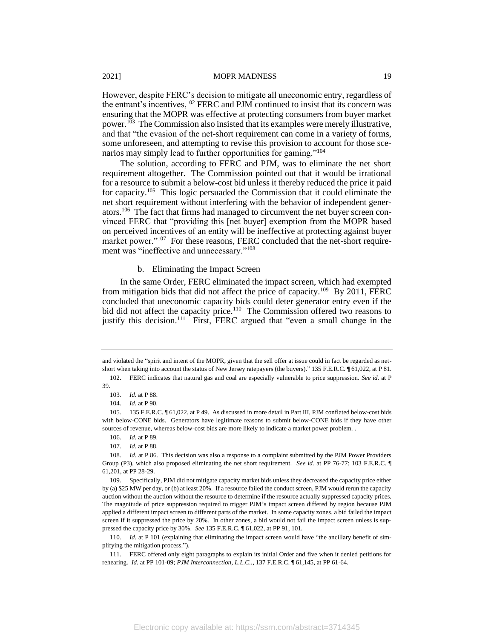However, despite FERC's decision to mitigate all uneconomic entry, regardless of the entrant's incentives,<sup>102</sup> FERC and PJM continued to insist that its concern was ensuring that the MOPR was effective at protecting consumers from buyer market power.<sup>103</sup> The Commission also insisted that its examples were merely illustrative, and that "the evasion of the net-short requirement can come in a variety of forms, some unforeseen, and attempting to revise this provision to account for those scenarios may simply lead to further opportunities for gaming."<sup>104</sup>

The solution, according to FERC and PJM, was to eliminate the net short requirement altogether. The Commission pointed out that it would be irrational for a resource to submit a below-cost bid unless it thereby reduced the price it paid for capacity.<sup>105</sup> This logic persuaded the Commission that it could eliminate the net short requirement without interfering with the behavior of independent generators.<sup>106</sup> The fact that firms had managed to circumvent the net buyer screen convinced FERC that "providing this [net buyer] exemption from the MOPR based on perceived incentives of an entity will be ineffective at protecting against buyer market power."<sup>107</sup> For these reasons, FERC concluded that the net-short requirement was "ineffective and unnecessary."<sup>108</sup>

#### b. Eliminating the Impact Screen

In the same Order, FERC eliminated the impact screen, which had exempted from mitigation bids that did not affect the price of capacity.<sup>109</sup> By 2011, FERC concluded that uneconomic capacity bids could deter generator entry even if the bid did not affect the capacity price.<sup>110</sup> The Commission offered two reasons to justify this decision.<sup>111</sup> First, FERC argued that "even a small change in the

and violated the "spirit and intent of the MOPR, given that the sell offer at issue could in fact be regarded as netshort when taking into account the status of New Jersey ratepayers (the buyers)." 135 F.E.R.C. ¶ 61,022, at P 81.

<sup>102.</sup> FERC indicates that natural gas and coal are especially vulnerable to price suppression. *See id.* at P 39.

<sup>103</sup>*. Id.* at P 88.

<sup>104</sup>*. Id.* at P 90.

<sup>105.</sup> 135 F.E.R.C. ¶ 61,022, at P 49. As discussed in more detail in Part III, PJM conflated below-cost bids with below-CONE bids. Generators have legitimate reasons to submit below-CONE bids if they have other sources of revenue, whereas below-cost bids are more likely to indicate a market power problem. .

<sup>106</sup>*. Id.* at P 89.

<sup>107</sup>*. Id.* at P 88.

<sup>108</sup>*. Id.* at P 86. This decision was also a response to a complaint submitted by the PJM Power Providers Group (P3), which also proposed eliminating the net short requirement. *See id.* at PP 76-77; 103 F.E.R.C. ¶ 61,201, at PP 28-29.

<sup>109.</sup> Specifically, PJM did not mitigate capacity market bids unless they decreased the capacity price either by (a) \$25 MW per day, or (b) at least 20%. If a resource failed the conduct screen, PJM would rerun the capacity auction without the auction without the resource to determine if the resource actually suppressed capacity prices. The magnitude of price suppression required to trigger PJM's impact screen differed by region because PJM applied a different impact screen to different parts of the market. In some capacity zones, a bid failed the impact screen if it suppressed the price by 20%. In other zones, a bid would not fail the impact screen unless is suppressed the capacity price by 30%. *See* 135 F.E.R.C. ¶ 61,022, at PP 91, 101.

<sup>110</sup>*. Id.* at P 101 (explaining that eliminating the impact screen would have "the ancillary benefit of simplifying the mitigation process.").

<sup>111.</sup> FERC offered only eight paragraphs to explain its initial Order and five when it denied petitions for rehearing. *Id.* at PP 101-09; *PJM Interconnection, L.L.C..*, 137 F.E.R.C. ¶ 61,145, at PP 61-64.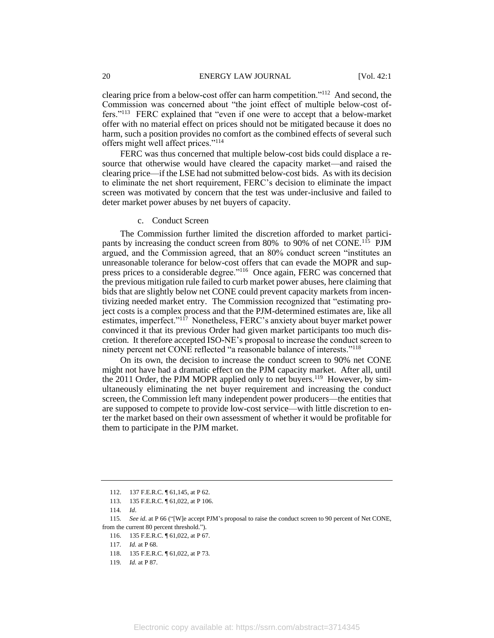clearing price from a below-cost offer can harm competition."<sup>112</sup> And second, the Commission was concerned about "the joint effect of multiple below-cost offers."<sup>113</sup> FERC explained that "even if one were to accept that a below-market offer with no material effect on prices should not be mitigated because it does no harm, such a position provides no comfort as the combined effects of several such offers might well affect prices."<sup>114</sup>

FERC was thus concerned that multiple below-cost bids could displace a resource that otherwise would have cleared the capacity market—and raised the clearing price—if the LSE had not submitted below-cost bids. As with its decision to eliminate the net short requirement, FERC's decision to eliminate the impact screen was motivated by concern that the test was under-inclusive and failed to deter market power abuses by net buyers of capacity.

c. Conduct Screen

The Commission further limited the discretion afforded to market participants by increasing the conduct screen from 80% to 90% of net CONE.<sup>115</sup> PJM argued, and the Commission agreed, that an 80% conduct screen "institutes an unreasonable tolerance for below-cost offers that can evade the MOPR and suppress prices to a considerable degree."<sup>116</sup> Once again, FERC was concerned that the previous mitigation rule failed to curb market power abuses, here claiming that bids that are slightly below net CONE could prevent capacity markets from incentivizing needed market entry. The Commission recognized that "estimating project costs is a complex process and that the PJM-determined estimates are, like all estimates, imperfect."<sup>117</sup> Nonetheless, FERC's anxiety about buyer market power convinced it that its previous Order had given market participants too much discretion. It therefore accepted ISO-NE's proposal to increase the conduct screen to ninety percent net CONE reflected "a reasonable balance of interests."<sup>118</sup>

On its own, the decision to increase the conduct screen to 90% net CONE might not have had a dramatic effect on the PJM capacity market. After all, until the 2011 Order, the PJM MOPR applied only to net buyers.<sup>119</sup> However, by simultaneously eliminating the net buyer requirement and increasing the conduct screen, the Commission left many independent power producers—the entities that are supposed to compete to provide low-cost service—with little discretion to enter the market based on their own assessment of whether it would be profitable for them to participate in the PJM market.

<sup>112.</sup> 137 F.E.R.C. ¶ 61,145, at P 62.

<sup>113. 135</sup> F.E.R.C. ¶ 61,022, at P 106.

<sup>114</sup>*. Id*.

<sup>115</sup>*. See id*. at P 66 ("[W]e accept PJM's proposal to raise the conduct screen to 90 percent of Net CONE, from the current 80 percent threshold.").

<sup>116. 135</sup> F.E.R.C. ¶ 61,022, at P 67.

<sup>117</sup>*. Id.* at P 68.

<sup>118.</sup> 135 F.E.R.C. ¶ 61,022, at P 73*.*

<sup>119</sup>*. Id.* at P 87.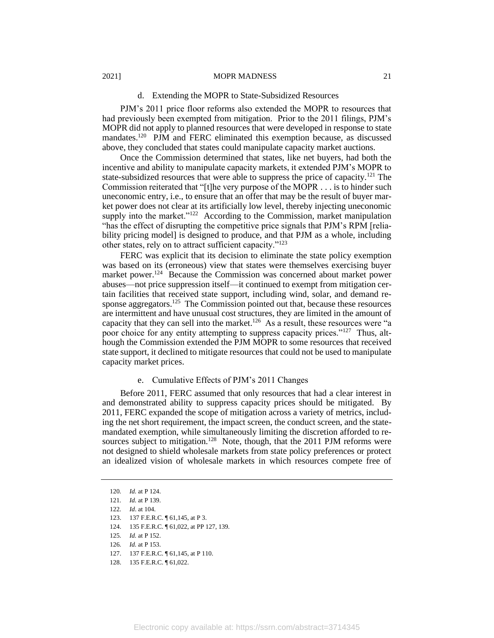#### d. Extending the MOPR to State-Subsidized Resources

PJM's 2011 price floor reforms also extended the MOPR to resources that had previously been exempted from mitigation. Prior to the 2011 filings, PJM's MOPR did not apply to planned resources that were developed in response to state mandates.<sup>120</sup> PJM and FERC eliminated this exemption because, as discussed above, they concluded that states could manipulate capacity market auctions.

Once the Commission determined that states, like net buyers, had both the incentive and ability to manipulate capacity markets, it extended PJM's MOPR to state-subsidized resources that were able to suppress the price of capacity.<sup>121</sup> The Commission reiterated that "[t]he very purpose of the MOPR . . . is to hinder such uneconomic entry, i.e., to ensure that an offer that may be the result of buyer market power does not clear at its artificially low level, thereby injecting uneconomic supply into the market."<sup>122</sup> According to the Commission, market manipulation "has the effect of disrupting the competitive price signals that PJM's RPM [reliability pricing model] is designed to produce, and that PJM as a whole, including other states, rely on to attract sufficient capacity."<sup>123</sup>

FERC was explicit that its decision to eliminate the state policy exemption was based on its (erroneous) view that states were themselves exercising buyer market power.<sup>124</sup> Because the Commission was concerned about market power abuses—not price suppression itself—it continued to exempt from mitigation certain facilities that received state support, including wind, solar, and demand response aggregators.<sup>125</sup> The Commission pointed out that, because these resources are intermittent and have unusual cost structures, they are limited in the amount of capacity that they can sell into the market.<sup>126</sup> As a result, these resources were "a poor choice for any entity attempting to suppress capacity prices."<sup>127</sup> Thus, although the Commission extended the PJM MOPR to some resources that received state support, it declined to mitigate resources that could not be used to manipulate capacity market prices.

# e. Cumulative Effects of PJM's 2011 Changes

Before 2011, FERC assumed that only resources that had a clear interest in and demonstrated ability to suppress capacity prices should be mitigated. By 2011, FERC expanded the scope of mitigation across a variety of metrics, including the net short requirement, the impact screen, the conduct screen, and the statemandated exemption, while simultaneously limiting the discretion afforded to resources subject to mitigation.<sup>128</sup> Note, though, that the 2011 PJM reforms were not designed to shield wholesale markets from state policy preferences or protect an idealized vision of wholesale markets in which resources compete free of

<sup>120</sup>*. Id.* at P 124.

<sup>121</sup>*. Id.* at P 139.

<sup>122</sup>*. Id*. at 104.

<sup>123. 137</sup> F.E.R.C. ¶ 61,145, at P 3.

<sup>124.</sup> 135 F.E.R.C. ¶ 61,022, at PP 127, 139.

<sup>125</sup>*. Id.* at P 152.

<sup>126</sup>*. Id.* at P 153.

<sup>127. 137</sup> F.E.R.C. ¶ 61,145, at P 110.

<sup>128.</sup> 135 F.E.R.C. ¶ 61,022.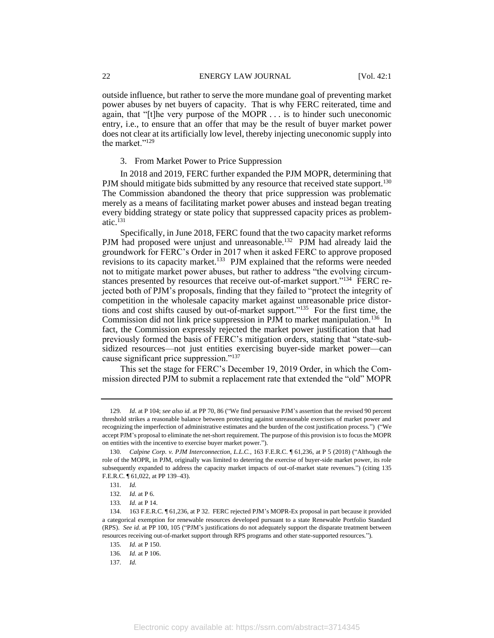outside influence, but rather to serve the more mundane goal of preventing market power abuses by net buyers of capacity. That is why FERC reiterated, time and again, that "[t]he very purpose of the MOPR . . . is to hinder such uneconomic entry, i.e., to ensure that an offer that may be the result of buyer market power does not clear at its artificially low level, thereby injecting uneconomic supply into the market."<sup>129</sup>

#### 3. From Market Power to Price Suppression

In 2018 and 2019, FERC further expanded the PJM MOPR, determining that PJM should mitigate bids submitted by any resource that received state support.<sup>130</sup> The Commission abandoned the theory that price suppression was problematic merely as a means of facilitating market power abuses and instead began treating every bidding strategy or state policy that suppressed capacity prices as problematic. $^{131}$ 

Specifically, in June 2018, FERC found that the two capacity market reforms PJM had proposed were unjust and unreasonable.<sup>132</sup> PJM had already laid the groundwork for FERC's Order in 2017 when it asked FERC to approve proposed revisions to its capacity market.<sup>133</sup> PJM explained that the reforms were needed not to mitigate market power abuses, but rather to address "the evolving circumstances presented by resources that receive out-of-market support."<sup>134</sup> FERC rejected both of PJM's proposals, finding that they failed to "protect the integrity of competition in the wholesale capacity market against unreasonable price distortions and cost shifts caused by out-of-market support."<sup>135</sup> For the first time, the Commission did not link price suppression in PJM to market manipulation.<sup>136</sup> In fact, the Commission expressly rejected the market power justification that had previously formed the basis of FERC's mitigation orders, stating that "state-subsidized resources—not just entities exercising buyer-side market power—can cause significant price suppression."<sup>137</sup>

This set the stage for FERC's December 19, 2019 Order, in which the Commission directed PJM to submit a replacement rate that extended the "old" MOPR

<sup>129</sup>*. Id*. at P 104; *see also id.* at PP 70, 86 ("We find persuasive PJM's assertion that the revised 90 percent threshold strikes a reasonable balance between protecting against unreasonable exercises of market power and recognizing the imperfection of administrative estimates and the burden of the cost justification process.") ("We accept PJM's proposal to eliminate the net-short requirement. The purpose of this provision is to focus the MOPR on entities with the incentive to exercise buyer market power.").

<sup>130</sup>*. Calpine Corp. v. PJM Interconnection, L.L.C.*, 163 F.E.R.C. ¶ 61,236, at P 5 (2018) ("Although the role of the MOPR, in PJM, originally was limited to deterring the exercise of buyer-side market power, its role subsequently expanded to address the capacity market impacts of out-of-market state revenues.") (citing 135 F.E.R.C. ¶ 61,022, at PP 139–43).

<sup>131</sup>*. Id.*

<sup>132</sup>*. Id.* at P 6.

<sup>133</sup>*. Id.* at P 14.

<sup>134.</sup> 163 F.E.R.C. ¶ 61,236, at P 32. FERC rejected PJM's MOPR-Ex proposal in part because it provided a categorical exemption for renewable resources developed pursuant to a state Renewable Portfolio Standard (RPS). *See id.* at PP 100, 105 ("PJM's justifications do not adequately support the disparate treatment between resources receiving out-of-market support through RPS programs and other state-supported resources.").

<sup>135</sup>*. Id.* at P 150.

<sup>136</sup>*. Id.* at P 106.

<sup>137</sup>*. Id.*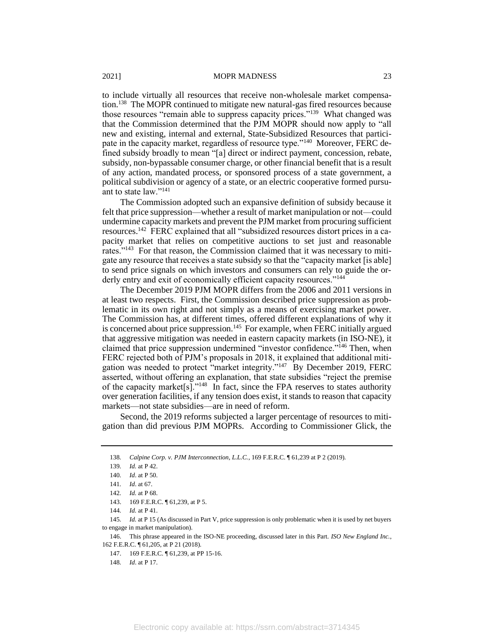to include virtually all resources that receive non-wholesale market compensation.<sup>138</sup> The MOPR continued to mitigate new natural-gas fired resources because those resources "remain able to suppress capacity prices."<sup>139</sup> What changed was that the Commission determined that the PJM MOPR should now apply to "all new and existing, internal and external, State-Subsidized Resources that participate in the capacity market, regardless of resource type."<sup>140</sup> Moreover, FERC defined subsidy broadly to mean "[a] direct or indirect payment, concession, rebate, subsidy, non-bypassable consumer charge, or other financial benefit that is a result of any action, mandated process, or sponsored process of a state government, a political subdivision or agency of a state, or an electric cooperative formed pursuant to state law."<sup>141</sup>

The Commission adopted such an expansive definition of subsidy because it felt that price suppression—whether a result of market manipulation or not—could undermine capacity markets and prevent the PJM market from procuring sufficient resources.<sup>142</sup> FERC explained that all "subsidized resources distort prices in a capacity market that relies on competitive auctions to set just and reasonable rates."<sup>143</sup> For that reason, the Commission claimed that it was necessary to mitigate any resource that receives a state subsidy so that the "capacity market [is able] to send price signals on which investors and consumers can rely to guide the orderly entry and exit of economically efficient capacity resources."<sup>144</sup>

The December 2019 PJM MOPR differs from the 2006 and 2011 versions in at least two respects. First, the Commission described price suppression as problematic in its own right and not simply as a means of exercising market power. The Commission has, at different times, offered different explanations of why it is concerned about price suppression.<sup>145</sup> For example, when FERC initially argued that aggressive mitigation was needed in eastern capacity markets (in ISO-NE), it claimed that price suppression undermined "investor confidence."<sup>146</sup> Then, when FERC rejected both of PJM's proposals in 2018, it explained that additional mitigation was needed to protect "market integrity."<sup>147</sup> By December 2019, FERC asserted, without offering an explanation, that state subsidies "reject the premise of the capacity market[s]."<sup>148</sup> In fact, since the FPA reserves to states authority over generation facilities, if any tension does exist, it stands to reason that capacity markets—not state subsidies—are in need of reform.

Second, the 2019 reforms subjected a larger percentage of resources to mitigation than did previous PJM MOPRs. According to Commissioner Glick, the

<sup>138</sup>*. Calpine Corp. v. PJM Interconnection, L.L.C.*, 169 F.E.R.C. ¶ 61,239 at P 2 (2019).

<sup>139</sup>*. Id.* at P 42.

<sup>140</sup>*. Id*. at P 50.

<sup>141</sup>*. Id*. at 67.

<sup>142</sup>*. Id.* at P 68.

<sup>143.</sup> 169 F.E.R.C. ¶ 61,239, at P 5.

<sup>144</sup>*. Id.* at P 41.

<sup>145</sup>*. Id.* at P 15 (As discussed in Part V, price suppression is only problematic when it is used by net buyers to engage in market manipulation).

<sup>146.</sup> This phrase appeared in the ISO-NE proceeding, discussed later in this Part. *ISO New England Inc.*, 162 F.E.R.C. ¶ 61,205, at P 21 (2018).

<sup>147.</sup> 169 F.E.R.C. ¶ 61,239, at PP 15-16.

<sup>148</sup>*. Id*. at P 17.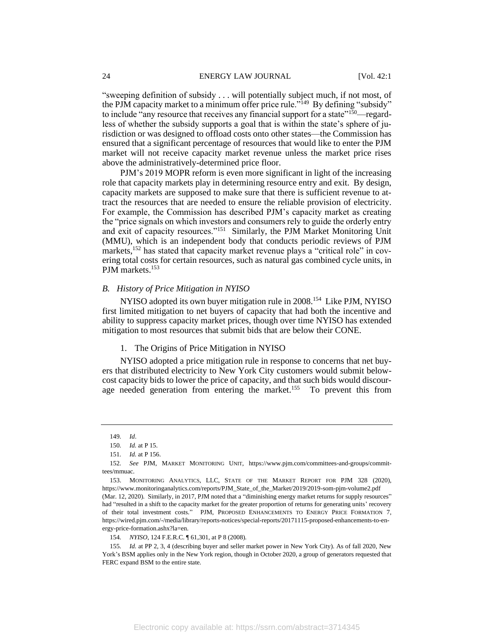"sweeping definition of subsidy . . . will potentially subject much, if not most, of the PJM capacity market to a minimum offer price rule."<sup>149</sup> By defining "subsidy" to include "any resource that receives any financial support for a state"<sup>150</sup>—regardless of whether the subsidy supports a goal that is within the state's sphere of jurisdiction or was designed to offload costs onto other states—the Commission has ensured that a significant percentage of resources that would like to enter the PJM market will not receive capacity market revenue unless the market price rises above the administratively-determined price floor.

PJM's 2019 MOPR reform is even more significant in light of the increasing role that capacity markets play in determining resource entry and exit. By design, capacity markets are supposed to make sure that there is sufficient revenue to attract the resources that are needed to ensure the reliable provision of electricity. For example, the Commission has described PJM's capacity market as creating the "price signals on which investors and consumers rely to guide the orderly entry and exit of capacity resources."<sup>151</sup> Similarly, the PJM Market Monitoring Unit (MMU), which is an independent body that conducts periodic reviews of PJM markets,<sup>152</sup> has stated that capacity market revenue plays a "critical role" in covering total costs for certain resources, such as natural gas combined cycle units, in PJM markets.<sup>153</sup>

# *B. History of Price Mitigation in NYISO*

NYISO adopted its own buyer mitigation rule in 2008.<sup>154</sup> Like PJM, NYISO first limited mitigation to net buyers of capacity that had both the incentive and ability to suppress capacity market prices, though over time NYISO has extended mitigation to most resources that submit bids that are below their CONE.

1. The Origins of Price Mitigation in NYISO

NYISO adopted a price mitigation rule in response to concerns that net buyers that distributed electricity to New York City customers would submit belowcost capacity bids to lower the price of capacity, and that such bids would discourage needed generation from entering the market.<sup>155</sup> To prevent this from

<sup>149</sup>*. Id*.

<sup>150</sup>*. Id.* at P 15.

<sup>151</sup>*. Id.* at P 156.

<sup>152</sup>*. See* PJM, MARKET MONITORING UNIT, https://www.pjm.com/committees-and-groups/committees/mmuac.

<sup>153.</sup> MONITORING ANALYTICS, LLC, STATE OF THE MARKET REPORT FOR PJM 328 (2020), https://www.monitoringanalytics.com/reports/PJM\_State\_of\_the\_Market/2019/2019-som-pjm-volume2.pdf (Mar. 12, 2020). Similarly, in 2017, PJM noted that a "diminishing energy market returns for supply resources" had "resulted in a shift to the capacity market for the greater proportion of returns for generating units' recovery of their total investment costs." PJM, PROPOSED ENHANCEMENTS TO ENERGY PRICE FORMATION 7, https://wired.pjm.com/-/media/library/reports-notices/special-reports/20171115-proposed-enhancements-to-energy-price-formation.ashx?la=en.

<sup>154</sup>*. NYISO*, 124 F.E.R.C. ¶ 61,301, at P 8 (2008).

<sup>155</sup>*. Id.* at PP 2, 3, 4 (describing buyer and seller market power in New York City). As of fall 2020, New York's BSM applies only in the New York region, though in October 2020, a group of generators requested that FERC expand BSM to the entire state.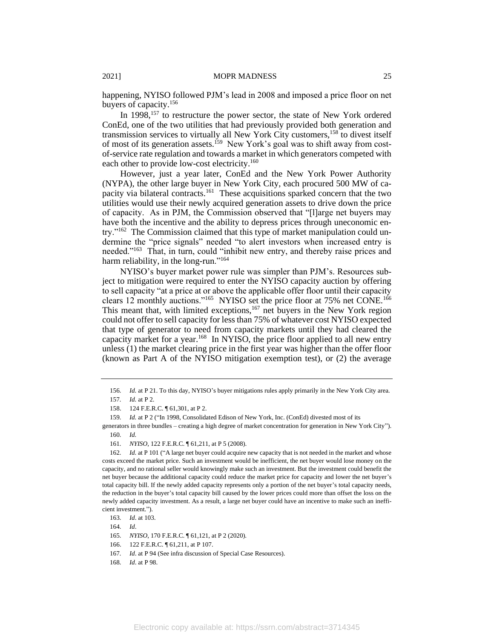happening, NYISO followed PJM's lead in 2008 and imposed a price floor on net buyers of capacity.<sup>156</sup>

In 1998,<sup>157</sup> to restructure the power sector, the state of New York ordered ConEd, one of the two utilities that had previously provided both generation and transmission services to virtually all New York City customers,<sup>158</sup> to divest itself of most of its generation assets.<sup>159</sup> New York's goal was to shift away from costof-service rate regulation and towards a market in which generators competed with each other to provide low-cost electricity.<sup>160</sup>

However, just a year later, ConEd and the New York Power Authority (NYPA), the other large buyer in New York City, each procured 500 MW of capacity via bilateral contracts.<sup>161</sup> These acquisitions sparked concern that the two utilities would use their newly acquired generation assets to drive down the price of capacity. As in PJM, the Commission observed that "[l]arge net buyers may have both the incentive and the ability to depress prices through uneconomic entry."<sup>162</sup> The Commission claimed that this type of market manipulation could undermine the "price signals" needed "to alert investors when increased entry is needed."<sup>163</sup> That, in turn, could "inhibit new entry, and thereby raise prices and harm reliability, in the long-run."<sup>164</sup>

NYISO's buyer market power rule was simpler than PJM's. Resources subject to mitigation were required to enter the NYISO capacity auction by offering to sell capacity "at a price at or above the applicable offer floor until their capacity clears 12 monthly auctions."<sup>165</sup> NYISO set the price floor at 75% net CONE.<sup>166</sup> This meant that, with limited exceptions, $167$  net buyers in the New York region could not offer to sell capacity for less than 75% of whatever cost NYISO expected that type of generator to need from capacity markets until they had cleared the capacity market for a year.<sup>168</sup> In NYISO, the price floor applied to all new entry unless (1) the market clearing price in the first year was higher than the offer floor (known as Part A of the NYISO mitigation exemption test), or (2) the average

<sup>156</sup>*. Id.* at P 21. To this day, NYISO's buyer mitigations rules apply primarily in the New York City area.

<sup>157</sup>*. Id.* at P 2.

<sup>158.</sup> 124 F.E.R.C. ¶ 61,301, at P 2.

<sup>159</sup>*. Id.* at P 2 ("In 1998, Consolidated Edison of New York, Inc. (ConEd) divested most of its

generators in three bundles – creating a high degree of market concentration for generation in New York City"). 160*. Id.*

<sup>161</sup>*. NYISO,* 122 F.E.R.C. ¶ 61,211, at P 5 (2008).

<sup>162.</sup> *Id.* at P 101 ("A large net buyer could acquire new capacity that is not needed in the market and whose costs exceed the market price. Such an investment would be inefficient, the net buyer would lose money on the capacity, and no rational seller would knowingly make such an investment. But the investment could benefit the net buyer because the additional capacity could reduce the market price for capacity and lower the net buyer's total capacity bill. If the newly added capacity represents only a portion of the net buyer's total capacity needs, the reduction in the buyer's total capacity bill caused by the lower prices could more than offset the loss on the newly added capacity investment. As a result, a large net buyer could have an incentive to make such an inefficient investment.").

<sup>163</sup>*. Id*. at 103.

<sup>164</sup>*. Id*.

<sup>165</sup>*. NYISO*, 170 F.E.R.C. ¶ 61,121, at P 2 (2020).

<sup>166.</sup> 122 F.E.R.C. ¶ 61,211, at P 107.

<sup>167</sup>*. Id*. at P 94 (See infra discussion of Special Case Resources).

<sup>168</sup>*. Id*. at P 98.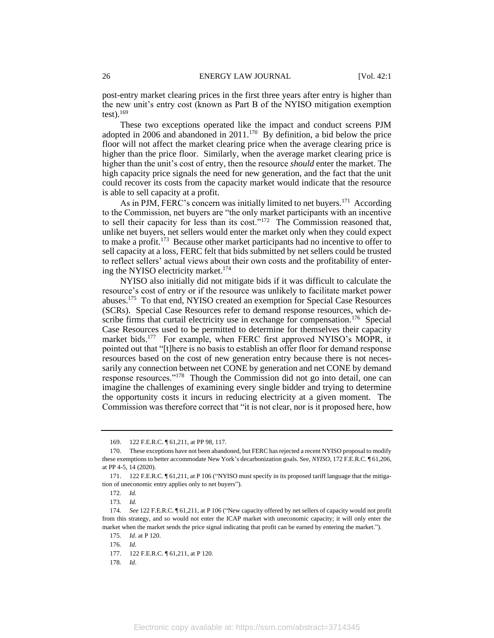post-entry market clearing prices in the first three years after entry is higher than the new unit's entry cost (known as Part B of the NYISO mitigation exemption test $)$ .<sup>169</sup>

These two exceptions operated like the impact and conduct screens PJM adopted in 2006 and abandoned in 2011.<sup>170</sup> By definition, a bid below the price floor will not affect the market clearing price when the average clearing price is higher than the price floor. Similarly, when the average market clearing price is higher than the unit's cost of entry, then the resource *should* enter the market. The high capacity price signals the need for new generation, and the fact that the unit could recover its costs from the capacity market would indicate that the resource is able to sell capacity at a profit.

As in PJM, FERC's concern was initially limited to net buyers.<sup>171</sup> According to the Commission, net buyers are "the only market participants with an incentive to sell their capacity for less than its cost."<sup>172</sup> The Commission reasoned that, unlike net buyers, net sellers would enter the market only when they could expect to make a profit.<sup>173</sup> Because other market participants had no incentive to offer to sell capacity at a loss, FERC felt that bids submitted by net sellers could be trusted to reflect sellers' actual views about their own costs and the profitability of entering the NYISO electricity market.<sup>174</sup>

NYISO also initially did not mitigate bids if it was difficult to calculate the resource's cost of entry or if the resource was unlikely to facilitate market power abuses.<sup>175</sup> To that end, NYISO created an exemption for Special Case Resources (SCRs). Special Case Resources refer to demand response resources, which describe firms that curtail electricity use in exchange for compensation.<sup>176</sup> Special Case Resources used to be permitted to determine for themselves their capacity market bids.<sup>177</sup> For example, when FERC first approved NYISO's MOPR, it pointed out that "[t]here is no basis to establish an offer floor for demand response resources based on the cost of new generation entry because there is not necessarily any connection between net CONE by generation and net CONE by demand response resources."<sup>178</sup> Though the Commission did not go into detail, one can imagine the challenges of examining every single bidder and trying to determine the opportunity costs it incurs in reducing electricity at a given moment. The Commission was therefore correct that "it is not clear, nor is it proposed here, how

<sup>169. 122</sup> F.E.R.C. ¶ 61,211, at PP 98, 117.

<sup>170.</sup> These exceptions have not been abandoned, but FERC has rejected a recent NYISO proposal to modify these exemptions to better accommodate New York's decarbonization goals. See, *NYISO*, 172 F.E.R.C. ¶ 61,206, at PP 4-5, 14 (2020).

<sup>171.</sup> 122 F.E.R.C. ¶ 61,211, at P 106 ("NYISO must specify in its proposed tariff language that the mitigation of uneconomic entry applies only to net buyers").

<sup>172</sup>*. Id.*

<sup>173</sup>*. Id.*

<sup>174</sup>*. See* 122 F.E.R.C. ¶ 61,211, at P 106 ("New capacity offered by net sellers of capacity would not profit from this strategy, and so would not enter the ICAP market with uneconomic capacity; it will only enter the market when the market sends the price signal indicating that profit can be earned by entering the market.").

<sup>175</sup>*. Id*. at P 120.

<sup>176</sup>*. Id.*

<sup>177. 122</sup> F.E.R.C.  $\sqrt{61,211}$ , at P 120.

<sup>178</sup>*. Id*.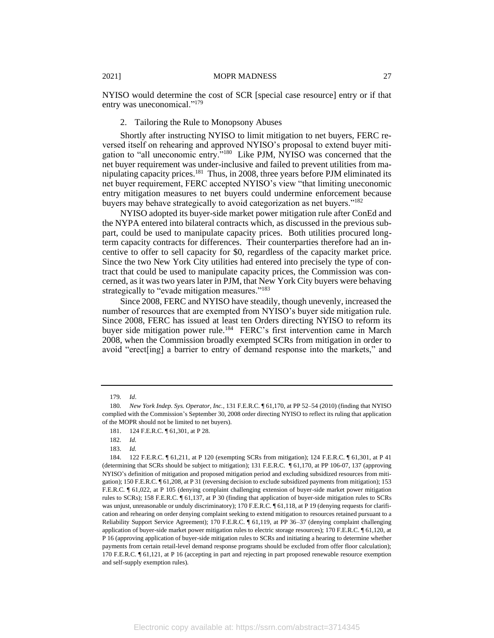NYISO would determine the cost of SCR [special case resource] entry or if that entry was uneconomical."<sup>179</sup>

### 2. Tailoring the Rule to Monopsony Abuses

Shortly after instructing NYISO to limit mitigation to net buyers, FERC reversed itself on rehearing and approved NYISO's proposal to extend buyer mitigation to "all uneconomic entry."<sup>180</sup> Like PJM, NYISO was concerned that the net buyer requirement was under-inclusive and failed to prevent utilities from manipulating capacity prices.<sup>181</sup> Thus, in 2008, three years before PJM eliminated its net buyer requirement, FERC accepted NYISO's view "that limiting uneconomic entry mitigation measures to net buyers could undermine enforcement because buyers may behave strategically to avoid categorization as net buyers."<sup>182</sup>

NYISO adopted its buyer-side market power mitigation rule after ConEd and the NYPA entered into bilateral contracts which, as discussed in the previous subpart, could be used to manipulate capacity prices. Both utilities procured longterm capacity contracts for differences. Their counterparties therefore had an incentive to offer to sell capacity for \$0, regardless of the capacity market price. Since the two New York City utilities had entered into precisely the type of contract that could be used to manipulate capacity prices, the Commission was concerned, as it was two years later in PJM, that New York City buyers were behaving strategically to "evade mitigation measures."<sup>183</sup>

Since 2008, FERC and NYISO have steadily, though unevenly, increased the number of resources that are exempted from NYISO's buyer side mitigation rule. Since 2008, FERC has issued at least ten Orders directing NYISO to reform its buyer side mitigation power rule.<sup>184</sup> FERC's first intervention came in March 2008, when the Commission broadly exempted SCRs from mitigation in order to avoid "erect[ing] a barrier to entry of demand response into the markets," and

<sup>179</sup>*. Id*.

<sup>180</sup>*. New York Indep. Sys. Operator, Inc.*, 131 F.E.R.C. ¶ 61,170, at PP 52–54 (2010) (finding that NYISO complied with the Commission's September 30, 2008 order directing NYISO to reflect its ruling that application of the MOPR should not be limited to net buyers).

<sup>181.</sup> 124 F.E.R.C. ¶ 61,301, at P 28.

<sup>182</sup>*. Id.*

<sup>183.</sup> *Id.*

<sup>184.</sup> 122 F.E.R.C. ¶ 61,211, at P 120 (exempting SCRs from mitigation); 124 F.E.R.C. ¶ 61,301, at P 41 (determining that SCRs should be subject to mitigation); 131 F.E.R.C. ¶ 61,170, at PP 106-07, 137 (approving NYISO's definition of mitigation and proposed mitigation period and excluding subsidized resources from mitigation); 150 F.E.R.C. ¶ 61,208, at P 31 (reversing decision to exclude subsidized payments from mitigation); 153 F.E.R.C. ¶ 61,022, at P 105 (denying complaint challenging extension of buyer-side market power mitigation rules to SCRs); 158 F.E.R.C. ¶ 61,137, at P 30 (finding that application of buyer-side mitigation rules to SCRs was unjust, unreasonable or unduly discriminatory); 170 F.E.R.C.  $\P$  61,118, at P 19 (denying requests for clarification and rehearing on order denying complaint seeking to extend mitigation to resources retained pursuant to a Reliability Support Service Agreement); 170 F.E.R.C. ¶ 61,119, at PP 36–37 (denying complaint challenging application of buyer-side market power mitigation rules to electric storage resources); 170 F.E.R.C. ¶ 61,120, at P 16 (approving application of buyer-side mitigation rules to SCRs and initiating a hearing to determine whether payments from certain retail-level demand response programs should be excluded from offer floor calculation); 170 F.E.R.C. ¶ 61,121, at P 16 (accepting in part and rejecting in part proposed renewable resource exemption and self-supply exemption rules).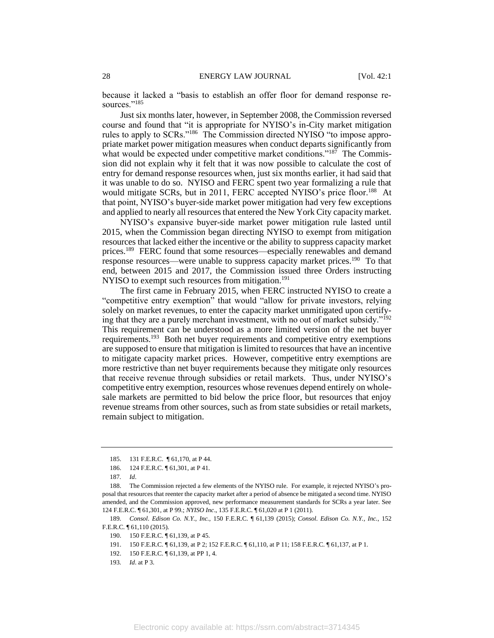because it lacked a "basis to establish an offer floor for demand response resources."<sup>185</sup>

Just six months later, however, in September 2008, the Commission reversed course and found that "it is appropriate for NYISO's in-City market mitigation rules to apply to SCRs."<sup>186</sup> The Commission directed NYISO "to impose appropriate market power mitigation measures when conduct departs significantly from what would be expected under competitive market conditions." $187$  The Commission did not explain why it felt that it was now possible to calculate the cost of entry for demand response resources when, just six months earlier, it had said that it was unable to do so. NYISO and FERC spent two year formalizing a rule that would mitigate SCRs, but in 2011, FERC accepted NYISO's price floor.<sup>188</sup> At that point, NYISO's buyer-side market power mitigation had very few exceptions and applied to nearly all resources that entered the New York City capacity market.

NYISO's expansive buyer-side market power mitigation rule lasted until 2015, when the Commission began directing NYISO to exempt from mitigation resources that lacked either the incentive or the ability to suppress capacity market prices.<sup>189</sup> FERC found that some resources—especially renewables and demand response resources—were unable to suppress capacity market prices.<sup>190</sup> To that end, between 2015 and 2017, the Commission issued three Orders instructing NYISO to exempt such resources from mitigation.<sup>191</sup>

The first came in February 2015, when FERC instructed NYISO to create a "competitive entry exemption" that would "allow for private investors, relying solely on market revenues, to enter the capacity market unmitigated upon certifying that they are a purely merchant investment, with no out of market subsidy."<sup>192</sup> This requirement can be understood as a more limited version of the net buyer requirements.<sup>193</sup> Both net buyer requirements and competitive entry exemptions are supposed to ensure that mitigation is limited to resources that have an incentive to mitigate capacity market prices. However, competitive entry exemptions are more restrictive than net buyer requirements because they mitigate only resources that receive revenue through subsidies or retail markets. Thus, under NYISO's competitive entry exemption, resources whose revenues depend entirely on wholesale markets are permitted to bid below the price floor, but resources that enjoy revenue streams from other sources, such as from state subsidies or retail markets, remain subject to mitigation.

189*. Consol. Edison Co. N.Y., Inc.,* 150 F.E.R.C. ¶ 61,139 (2015); *Consol. Edison Co. N.Y., Inc.,* 152 F.E.R.C. ¶ 61,110 (2015).

<sup>185.</sup> 131 F.E.R.C. ¶ 61,170, at P 44.

<sup>186.</sup> 124 F.E.R.C. ¶ 61,301, at P 41.

<sup>187</sup>*. Id*.

<sup>188.</sup> The Commission rejected a few elements of the NYISO rule. For example, it rejected NYISO's proposal that resources that reenter the capacity market after a period of absence be mitigated a second time. NYISO amended, and the Commission approved, new performance measurement standards for SCRs a year later. See 124 F.E.R.C. ¶ 61,301, at P 99.; *NYISO Inc*., 135 F.E.R.C. ¶ 61,020 at P 1 (2011).

<sup>190.</sup> 150 F.E.R.C. ¶ 61,139, at P 45.

<sup>191.</sup> 150 F.E.R.C. ¶ 61,139, at P 2; 152 F.E.R.C. ¶ 61,110, at P 11; 158 F.E.R.C. ¶ 61,137, at P 1.

<sup>192. 150</sup> F.E.R.C.  $\parallel$  61, 139, at PP 1, 4.

<sup>193</sup>*. Id*. at P 3.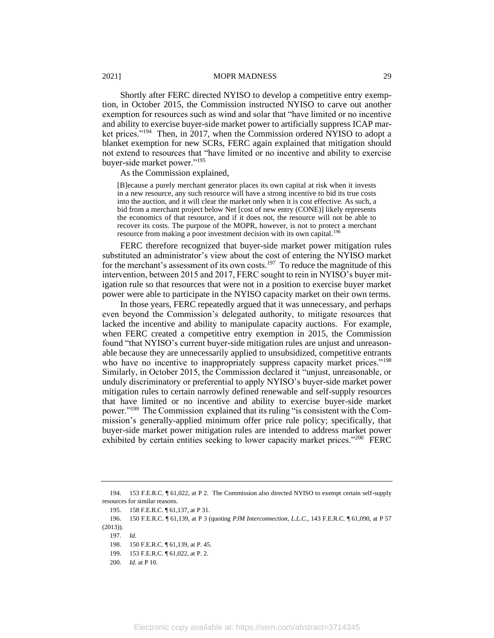Shortly after FERC directed NYISO to develop a competitive entry exemption, in October 2015, the Commission instructed NYISO to carve out another exemption for resources such as wind and solar that "have limited or no incentive and ability to exercise buyer-side market power to artificially suppress ICAP market prices."<sup>194</sup> Then, in 2017, when the Commission ordered NYISO to adopt a blanket exemption for new SCRs, FERC again explained that mitigation should not extend to resources that "have limited or no incentive and ability to exercise buyer-side market power."<sup>195</sup>

As the Commission explained,

[B]ecause a purely merchant generator places its own capital at risk when it invests in a new resource, any such resource will have a strong incentive to bid its true costs into the auction, and it will clear the market only when it is cost effective. As such, a bid from a merchant project below Net [cost of new entry (CONE)] likely represents the economics of that resource, and if it does not, the resource will not be able to recover its costs. The purpose of the MOPR, however, is not to protect a merchant resource from making a poor investment decision with its own capital.<sup>19</sup>

FERC therefore recognized that buyer-side market power mitigation rules substituted an administrator's view about the cost of entering the NYISO market for the merchant's assessment of its own costs.<sup>197</sup> To reduce the magnitude of this intervention, between 2015 and 2017, FERC sought to rein in NYISO's buyer mitigation rule so that resources that were not in a position to exercise buyer market power were able to participate in the NYISO capacity market on their own terms.

In those years, FERC repeatedly argued that it was unnecessary, and perhaps even beyond the Commission's delegated authority, to mitigate resources that lacked the incentive and ability to manipulate capacity auctions. For example, when FERC created a competitive entry exemption in 2015, the Commission found "that NYISO's current buyer-side mitigation rules are unjust and unreasonable because they are unnecessarily applied to unsubsidized, competitive entrants who have no incentive to inappropriately suppress capacity market prices."<sup>198</sup> Similarly, in October 2015, the Commission declared it "unjust, unreasonable, or unduly discriminatory or preferential to apply NYISO's buyer-side market power mitigation rules to certain narrowly defined renewable and self-supply resources that have limited or no incentive and ability to exercise buyer-side market power."<sup>199</sup> The Commission explained that its ruling "is consistent with the Commission's generally-applied minimum offer price rule policy; specifically, that buyer-side market power mitigation rules are intended to address market power exhibited by certain entities seeking to lower capacity market prices."<sup>200</sup> FERC

<sup>194.</sup> 153 F.E.R.C. ¶ 61,022, at P 2. The Commission also directed NYISO to exempt certain self-supply resources for similar reasons.

<sup>195.</sup> 158 F.E.R.C. ¶ 61,137, at P 31.

<sup>196.</sup> 150 F.E.R.C. ¶ 61,139, at P 3 (quoting *PJM Interconnection, L.L.C.*, 143 F.E.R.C. ¶ 61,090, at P 57 (2013)).

<sup>197</sup>*. Id.*

<sup>198.</sup> 150 F.E.R.C. ¶ 61,139, at P. 45.

<sup>199.</sup> 153 F.E.R.C. ¶ 61,022, at P. 2.

<sup>200</sup>*. Id.* at P 10.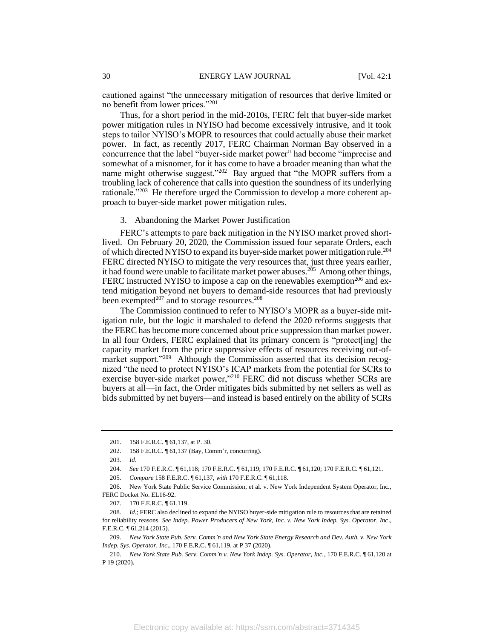cautioned against "the unnecessary mitigation of resources that derive limited or no benefit from lower prices."<sup>201</sup>

Thus, for a short period in the mid-2010s, FERC felt that buyer-side market power mitigation rules in NYISO had become excessively intrusive, and it took steps to tailor NYISO's MOPR to resources that could actually abuse their market power. In fact, as recently 2017, FERC Chairman Norman Bay observed in a concurrence that the label "buyer-side market power" had become "imprecise and somewhat of a misnomer, for it has come to have a broader meaning than what the name might otherwise suggest."<sup>202</sup> Bay argued that "the MOPR suffers from a troubling lack of coherence that calls into question the soundness of its underlying rationale."<sup>203</sup> He therefore urged the Commission to develop a more coherent approach to buyer-side market power mitigation rules.

3. Abandoning the Market Power Justification

FERC's attempts to pare back mitigation in the NYISO market proved shortlived. On February 20, 2020, the Commission issued four separate Orders, each of which directed NYISO to expand its buyer-side market power mitigation rule.<sup>204</sup> FERC directed NYISO to mitigate the very resources that, just three years earlier, it had found were unable to facilitate market power abuses.<sup>205</sup> Among other things, FERC instructed NYISO to impose a cap on the renewables exemption<sup>206</sup> and extend mitigation beyond net buyers to demand-side resources that had previously been exempted $207$  and to storage resources. $208$ 

The Commission continued to refer to NYISO's MOPR as a buyer-side mitigation rule, but the logic it marshaled to defend the 2020 reforms suggests that the FERC has become more concerned about price suppression than market power. In all four Orders, FERC explained that its primary concern is "protect[ing] the capacity market from the price suppressive effects of resources receiving out-ofmarket support."<sup>209</sup> Although the Commission asserted that its decision recognized "the need to protect NYISO's ICAP markets from the potential for SCRs to exercise buyer-side market power,"<sup>210</sup> FERC did not discuss whether SCRs are buyers at all—in fact, the Order mitigates bids submitted by net sellers as well as bids submitted by net buyers—and instead is based entirely on the ability of SCRs

<sup>201.</sup> 158 F.E.R.C. ¶ 61,137, at P. 30.

<sup>202.</sup> 158 F.E.R.C. ¶ 61,137 (Bay, Comm'r, concurring).

<sup>203</sup>*. Id*.

<sup>204</sup>*. See* 170 F.E.R.C. ¶ 61,118; 170 F.E.R.C. ¶ 61,119; 170 F.E.R.C. ¶ 61,120; 170 F.E.R.C. ¶ 61,121.

<sup>205</sup>*. Compare* 158 F.E.R.C. ¶ 61,137, *with* 170 F.E.R.C. ¶ 61,118.

<sup>206.</sup> New York State Public Service Commission, et al. v. New York Independent System Operator, Inc., FERC Docket No. EL16-92.

<sup>207.</sup> 170 F.E.R.C. ¶ 61,119.

<sup>208</sup>*. Id*.; FERC also declined to expand the NYISO buyer-side mitigation rule to resources that are retained for reliability reasons. *See Indep. Power Producers of New York, Inc. v. New York Indep. Sys. Operator, Inc*., F.E.R.C. ¶ 61,214 (2015).

<sup>209</sup>*. New York State Pub. Serv. Comm'n and New York State Energy Research and Dev. Auth. v. New York Indep. Sys. Operator, Inc*., 170 F.E.R.C. ¶ 61,119, at P 37 (2020).

<sup>210</sup>*. New York State Pub. Serv. Comm'n v. New York Indep. Sys. Operator, Inc.*, 170 F.E.R.C. ¶ 61,120 at P 19 (2020).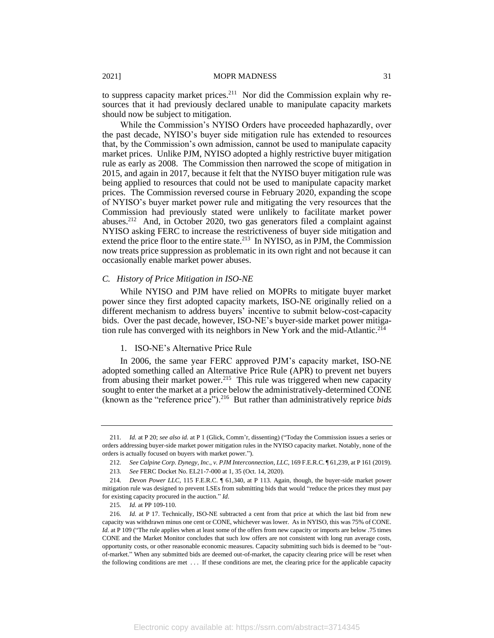to suppress capacity market prices.<sup>211</sup> Nor did the Commission explain why resources that it had previously declared unable to manipulate capacity markets should now be subject to mitigation.

While the Commission's NYISO Orders have proceeded haphazardly, over the past decade, NYISO's buyer side mitigation rule has extended to resources that, by the Commission's own admission, cannot be used to manipulate capacity market prices. Unlike PJM, NYISO adopted a highly restrictive buyer mitigation rule as early as 2008. The Commission then narrowed the scope of mitigation in 2015, and again in 2017, because it felt that the NYISO buyer mitigation rule was being applied to resources that could not be used to manipulate capacity market prices. The Commission reversed course in February 2020, expanding the scope of NYISO's buyer market power rule and mitigating the very resources that the Commission had previously stated were unlikely to facilitate market power abuses.<sup>212</sup> And, in October 2020, two gas generators filed a complaint against NYISO asking FERC to increase the restrictiveness of buyer side mitigation and extend the price floor to the entire state.<sup>213</sup> In NYISO, as in PJM, the Commission now treats price suppression as problematic in its own right and not because it can occasionally enable market power abuses.

# *C. History of Price Mitigation in ISO-NE*

While NYISO and PJM have relied on MOPRs to mitigate buyer market power since they first adopted capacity markets, ISO-NE originally relied on a different mechanism to address buyers' incentive to submit below-cost-capacity bids. Over the past decade, however, ISO-NE's buyer-side market power mitigation rule has converged with its neighbors in New York and the mid-Atlantic.<sup>214</sup>

#### 1. ISO-NE's Alternative Price Rule

In 2006, the same year FERC approved PJM's capacity market, ISO-NE adopted something called an Alternative Price Rule (APR) to prevent net buyers from abusing their market power.<sup>215</sup> This rule was triggered when new capacity sought to enter the market at a price below the administratively-determined CONE (known as the "reference price").<sup>216</sup> But rather than administratively reprice *bids*

<sup>211</sup>*. Id.* at P 20; *see also id.* at P 1 (Glick, Comm'r, dissenting) ("Today the Commission issues a series or orders addressing buyer-side market power mitigation rules in the NYISO capacity market. Notably, none of the orders is actually focused on buyers with market power.").

<sup>212</sup>*. See Calpine Corp. Dynegy, Inc., v. PJM Interconnection, LLC,* 169 F.E.R.C. ¶ 61,239, at P 161 (2019).

<sup>213</sup>*. See* FERC Docket No. EL21-7-000 at 1, 35 (Oct. 14, 2020).

<sup>214</sup>*. Devon Power LLC*, 115 F.E.R.C. ¶ 61,340, at P 113. Again, though, the buyer-side market power mitigation rule was designed to prevent LSEs from submitting bids that would "reduce the prices they must pay for existing capacity procured in the auction." *Id*.

<sup>215</sup>*. Id.* at PP 109-110.

<sup>216</sup>*. Id.* at P 17. Technically, ISO-NE subtracted a cent from that price at which the last bid from new capacity was withdrawn minus one cent or CONE, whichever was lower. As in NYISO, this was 75% of CONE. *Id.* at P 109 ("The rule applies when at least some of the offers from new capacity or imports are below .75 times CONE and the Market Monitor concludes that such low offers are not consistent with long run average costs, opportunity costs, or other reasonable economic measures. Capacity submitting such bids is deemed to be "outof-market." When any submitted bids are deemed out-of-market, the capacity clearing price will be reset when the following conditions are met . . . If these conditions are met, the clearing price for the applicable capacity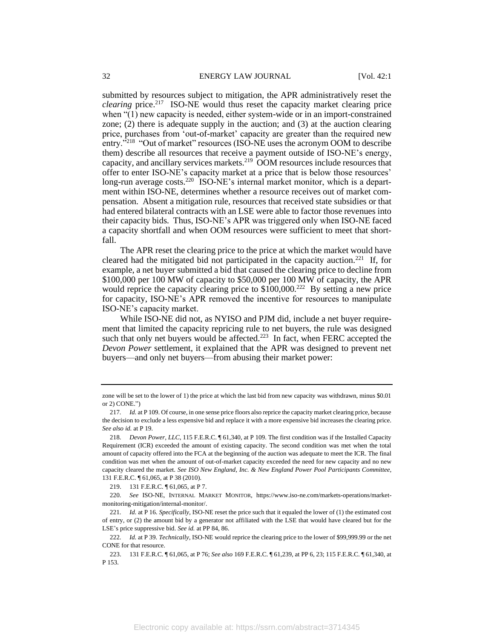submitted by resources subject to mitigation, the APR administratively reset the *clearing* price.<sup>217</sup> ISO-NE would thus reset the capacity market clearing price when "(1) new capacity is needed, either system-wide or in an import-constrained zone; (2) there is adequate supply in the auction; and (3) at the auction clearing price, purchases from 'out-of-market' capacity are greater than the required new entry."<sup>218</sup> "Out of market" resources (ISO-NE uses the acronym OOM to describe them) describe all resources that receive a payment outside of ISO-NE's energy, capacity, and ancillary services markets.<sup>219</sup> OOM resources include resources that offer to enter ISO-NE's capacity market at a price that is below those resources' long-run average costs.<sup>220</sup> ISO-NE's internal market monitor, which is a department within ISO-NE, determines whether a resource receives out of market compensation. Absent a mitigation rule, resources that received state subsidies or that had entered bilateral contracts with an LSE were able to factor those revenues into their capacity bids. Thus, ISO-NE's APR was triggered only when ISO-NE faced a capacity shortfall and when OOM resources were sufficient to meet that shortfall.

The APR reset the clearing price to the price at which the market would have cleared had the mitigated bid not participated in the capacity auction.<sup>221</sup> If, for example, a net buyer submitted a bid that caused the clearing price to decline from \$100,000 per 100 MW of capacity to \$50,000 per 100 MW of capacity, the APR would reprice the capacity clearing price to \$100,000.<sup>222</sup> By setting a new price for capacity, ISO-NE's APR removed the incentive for resources to manipulate ISO-NE's capacity market.

While ISO-NE did not, as NYISO and PJM did, include a net buyer requirement that limited the capacity repricing rule to net buyers, the rule was designed such that only net buyers would be affected. $223$  In fact, when FERC accepted the *Devon Power* settlement, it explained that the APR was designed to prevent net buyers—and only net buyers—from abusing their market power:

zone will be set to the lower of 1) the price at which the last bid from new capacity was withdrawn, minus \$0.01 or 2) CONE.")

<sup>217</sup>*. Id.* at P 109. Of course, in one sense price floors also reprice the capacity market clearing price, because the decision to exclude a less expensive bid and replace it with a more expensive bid increases the clearing price. *See also id.* at P 19.

<sup>218</sup>*. Devon Power, LLC*, 115 F.E.R.C. ¶ 61,340, at P 109. The first condition was if the Installed Capacity Requirement (ICR) exceeded the amount of existing capacity. The second condition was met when the total amount of capacity offered into the FCA at the beginning of the auction was adequate to meet the ICR. The final condition was met when the amount of out-of-market capacity exceeded the need for new capacity and no new capacity cleared the market. *See ISO New England, Inc. & New England Power Pool Participants Committee*, 131 F.E.R.C. ¶ 61,065, at P 38 (2010).

<sup>219.</sup> 131 F.E.R.C. ¶ 61,065, at P 7.

<sup>220</sup>*. See* ISO-NE, INTERNAL MARKET MONITOR, https://www.iso-ne.com/markets-operations/marketmonitoring-mitigation/internal-monitor/.

<sup>221</sup>*. Id.* at P 16. *Specifically*, ISO-NE reset the price such that it equaled the lower of (1) the estimated cost of entry, or (2) the amount bid by a generator not affiliated with the LSE that would have cleared but for the LSE's price suppressive bid. *See id.* at PP 84, 86.

<sup>222</sup>*. Id.* at P 39. *Technically*, ISO-NE would reprice the clearing price to the lower of \$99,999.99 or the net CONE for that resource.

<sup>223.</sup> 131 F.E.R.C. ¶ 61,065, at P 76; *See also* 169 F.E.R.C. ¶ 61,239, at PP 6, 23; 115 F.E.R.C. ¶ 61,340, at P 153.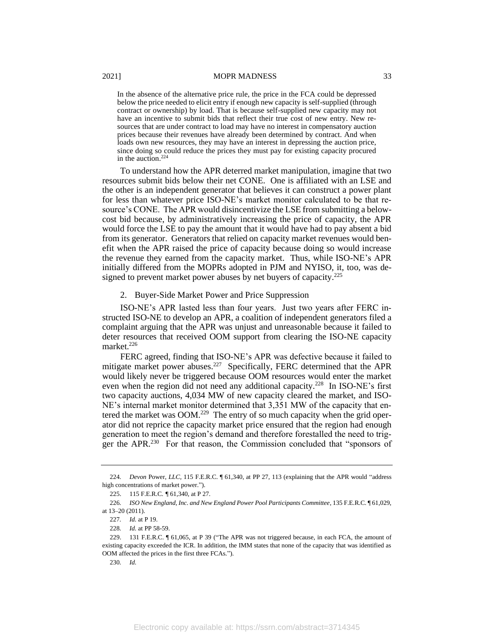In the absence of the alternative price rule, the price in the FCA could be depressed below the price needed to elicit entry if enough new capacity is self-supplied (through contract or ownership) by load. That is because self-supplied new capacity may not have an incentive to submit bids that reflect their true cost of new entry. New resources that are under contract to load may have no interest in compensatory auction prices because their revenues have already been determined by contract. And when loads own new resources, they may have an interest in depressing the auction price, since doing so could reduce the prices they must pay for existing capacity procured in the auction.<sup>224</sup>

To understand how the APR deterred market manipulation, imagine that two resources submit bids below their net CONE. One is affiliated with an LSE and the other is an independent generator that believes it can construct a power plant for less than whatever price ISO-NE's market monitor calculated to be that resource's CONE. The APR would disincentivize the LSE from submitting a belowcost bid because, by administratively increasing the price of capacity, the APR would force the LSE to pay the amount that it would have had to pay absent a bid from its generator. Generators that relied on capacity market revenues would benefit when the APR raised the price of capacity because doing so would increase the revenue they earned from the capacity market. Thus, while ISO-NE's APR initially differed from the MOPRs adopted in PJM and NYISO, it, too, was designed to prevent market power abuses by net buyers of capacity.<sup>225</sup>

#### 2. Buyer-Side Market Power and Price Suppression

ISO-NE's APR lasted less than four years. Just two years after FERC instructed ISO-NE to develop an APR, a coalition of independent generators filed a complaint arguing that the APR was unjust and unreasonable because it failed to deter resources that received OOM support from clearing the ISO-NE capacity market.<sup>226</sup>

FERC agreed, finding that ISO-NE's APR was defective because it failed to mitigate market power abuses.<sup>227</sup> Specifically, FERC determined that the APR would likely never be triggered because OOM resources would enter the market even when the region did not need any additional capacity.<sup>228</sup> In ISO-NE's first two capacity auctions, 4,034 MW of new capacity cleared the market, and ISO-NE's internal market monitor determined that 3,351 MW of the capacity that entered the market was OOM.<sup>229</sup> The entry of so much capacity when the grid operator did not reprice the capacity market price ensured that the region had enough generation to meet the region's demand and therefore forestalled the need to trigger the APR.<sup>230</sup> For that reason, the Commission concluded that "sponsors of

<sup>224</sup>*. Devon* Power, *LLC,* 115 F.E.R.C. ¶ 61,340, at PP 27, 113 (explaining that the APR would "address high concentrations of market power.").

<sup>225.</sup> 115 F.E.R.C*. ¶* 61,340, at P 27.

<sup>226</sup>*. ISO New England, Inc. and New England Power Pool Participants Committee*, 135 F.E.R.C. ¶ 61,029, at 13–20 (2011).

<sup>227</sup>*. Id.* at P 19.

<sup>228</sup>*. Id.* at PP 58-59.

<sup>229.</sup> 131 F.E.R.C. ¶ 61,065, at P 39 ("The APR was not triggered because, in each FCA, the amount of existing capacity exceeded the ICR. In addition, the IMM states that none of the capacity that was identified as OOM affected the prices in the first three FCAs.").

<sup>230</sup>*. Id.*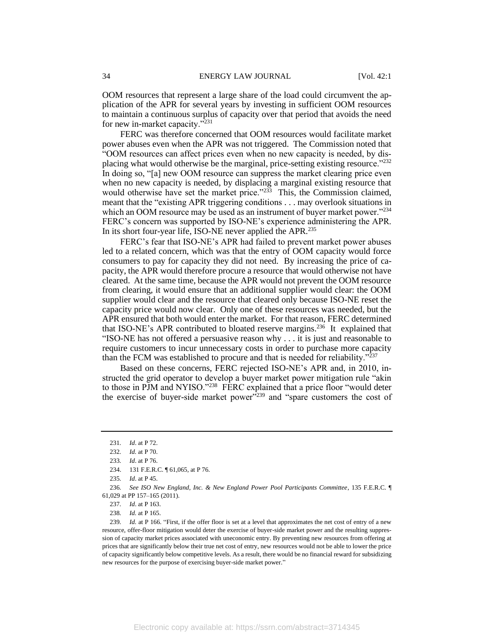OOM resources that represent a large share of the load could circumvent the application of the APR for several years by investing in sufficient OOM resources to maintain a continuous surplus of capacity over that period that avoids the need for new in-market capacity."<sup>231</sup>

FERC was therefore concerned that OOM resources would facilitate market power abuses even when the APR was not triggered. The Commission noted that "OOM resources can affect prices even when no new capacity is needed, by displacing what would otherwise be the marginal, price-setting existing resource."<sup>232</sup> In doing so, "[a] new OOM resource can suppress the market clearing price even when no new capacity is needed, by displacing a marginal existing resource that would otherwise have set the market price."<sup>233</sup> This, the Commission claimed, meant that the "existing APR triggering conditions . . . may overlook situations in which an OOM resource may be used as an instrument of buyer market power."<sup>234</sup> FERC's concern was supported by ISO-NE's experience administering the APR. In its short four-year life, ISO-NE never applied the APR.<sup>235</sup>

FERC's fear that ISO-NE's APR had failed to prevent market power abuses led to a related concern, which was that the entry of OOM capacity would force consumers to pay for capacity they did not need. By increasing the price of capacity, the APR would therefore procure a resource that would otherwise not have cleared. At the same time, because the APR would not prevent the OOM resource from clearing, it would ensure that an additional supplier would clear: the OOM supplier would clear and the resource that cleared only because ISO-NE reset the capacity price would now clear. Only one of these resources was needed, but the APR ensured that both would enter the market. For that reason, FERC determined that ISO-NE's APR contributed to bloated reserve margins.<sup>236</sup> It explained that "ISO-NE has not offered a persuasive reason why . . . it is just and reasonable to require customers to incur unnecessary costs in order to purchase more capacity than the FCM was established to procure and that is needed for reliability."<sup>237</sup>

Based on these concerns, FERC rejected ISO-NE's APR and, in 2010, instructed the grid operator to develop a buyer market power mitigation rule "akin to those in PJM and NYISO."<sup>238</sup> FERC explained that a price floor "would deter the exercise of buyer-side market power"<sup>239</sup> and "spare customers the cost of

<sup>231</sup>*. Id*. at P 72.

<sup>232</sup>*. Id.* at P 70.

<sup>233</sup>*. Id*. at P 76.

<sup>234.</sup> 131 F.E.R.C. ¶ 61,065, at P 76.

<sup>235</sup>*. Id*. at P 45.

<sup>236</sup>*. See ISO New England, Inc. & New England Power Pool Participants Committee*, 135 F.E.R.C. ¶ 61,029 at PP 157–165 (2011).

<sup>237</sup>*. Id*. at P 163.

<sup>238</sup>*. Id.* at P 165.

<sup>239</sup>*. Id.* at P 166. "First, if the offer floor is set at a level that approximates the net cost of entry of a new resource, offer-floor mitigation would deter the exercise of buyer-side market power and the resulting suppression of capacity market prices associated with uneconomic entry. By preventing new resources from offering at prices that are significantly below their true net cost of entry, new resources would not be able to lower the price of capacity significantly below competitive levels. As a result, there would be no financial reward for subsidizing new resources for the purpose of exercising buyer-side market power."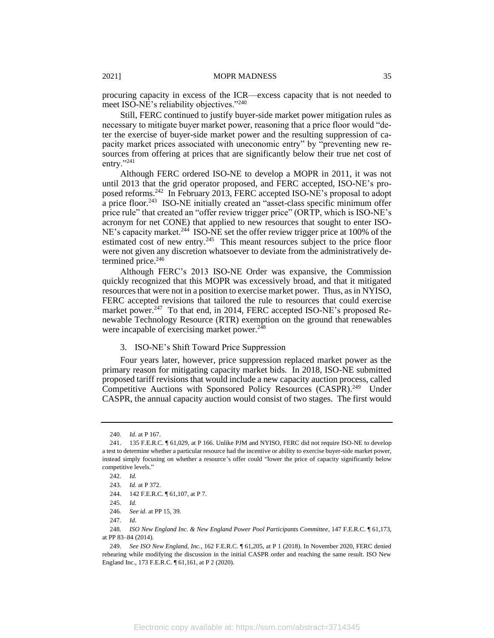procuring capacity in excess of the ICR—excess capacity that is not needed to meet ISO-NE's reliability objectives."<sup>240</sup>

Still, FERC continued to justify buyer-side market power mitigation rules as necessary to mitigate buyer market power, reasoning that a price floor would "deter the exercise of buyer-side market power and the resulting suppression of capacity market prices associated with uneconomic entry" by "preventing new resources from offering at prices that are significantly below their true net cost of entry."241

Although FERC ordered ISO-NE to develop a MOPR in 2011, it was not until 2013 that the grid operator proposed, and FERC accepted, ISO-NE's proposed reforms.<sup>242</sup> In February 2013, FERC accepted ISO-NE's proposal to adopt a price floor.<sup>243</sup> ISO-NE initially created an "asset-class specific minimum offer price rule" that created an "offer review trigger price" (ORTP, which is ISO-NE's acronym for net CONE) that applied to new resources that sought to enter ISO-NE's capacity market.<sup>244</sup> ISO-NE set the offer review trigger price at 100% of the estimated cost of new entry.<sup>245</sup> This meant resources subject to the price floor were not given any discretion whatsoever to deviate from the administratively determined price.<sup>246</sup>

Although FERC's 2013 ISO-NE Order was expansive, the Commission quickly recognized that this MOPR was excessively broad, and that it mitigated resources that were not in a position to exercise market power. Thus, as in NYISO, FERC accepted revisions that tailored the rule to resources that could exercise market power.<sup>247</sup> To that end, in 2014, FERC accepted ISO-NE's proposed Renewable Technology Resource (RTR) exemption on the ground that renewables were incapable of exercising market power.<sup>248</sup>

# 3. ISO-NE's Shift Toward Price Suppression

Four years later, however, price suppression replaced market power as the primary reason for mitigating capacity market bids. In 2018, ISO-NE submitted proposed tariff revisions that would include a new capacity auction process, called Competitive Auctions with Sponsored Policy Resources (CASPR).<sup>249</sup> Under CASPR, the annual capacity auction would consist of two stages. The first would

<sup>240</sup>*. Id*. at P 167.

<sup>241.</sup> 135 F.E.R.C. ¶ 61,029, at P 166. Unlike PJM and NYISO, FERC did not require ISO-NE to develop a test to determine whether a particular resource had the incentive or ability to exercise buyer-side market power, instead simply focusing on whether a resource's offer could "lower the price of capacity significantly below competitive levels."

<sup>242</sup>*. Id.*

<sup>243</sup>*. Id.* at P 372.

<sup>244.</sup> 142 F.E.R.C. ¶ 61,107, at P 7.

<sup>245</sup>*. Id.*

<sup>246</sup>*. See id*. at PP 15, 39.

<sup>247</sup>*. Id*.

<sup>248</sup>*. ISO New England Inc. & New England Power Pool Participants Committee*, 147 F.E.R.C. ¶ 61,173, at PP 83–84 (2014).

<sup>249</sup>*. See ISO New England, Inc.,* 162 F.E.R.C. ¶ 61,205, at P 1 (2018). In November 2020, FERC denied rehearing while modifying the discussion in the initial CASPR order and reaching the same result. ISO New England Inc., 173 F.E.R.C. ¶ 61,161, at P 2 (2020).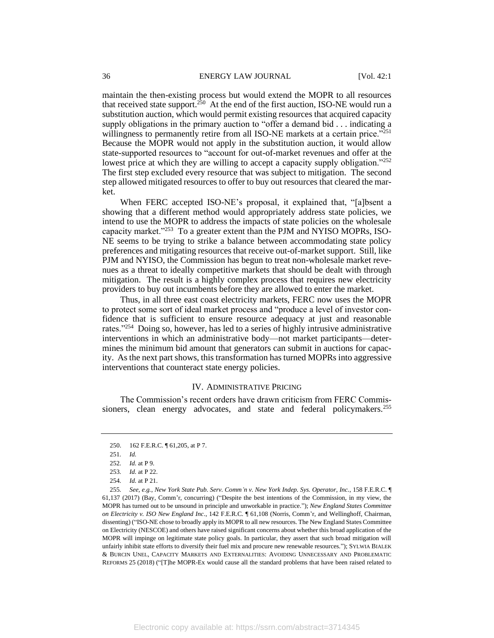maintain the then-existing process but would extend the MOPR to all resources that received state support.<sup>250</sup> At the end of the first auction, ISO-NE would run a substitution auction, which would permit existing resources that acquired capacity supply obligations in the primary auction to "offer a demand bid . . . indicating a willingness to permanently retire from all ISO-NE markets at a certain price."<sup>251</sup> Because the MOPR would not apply in the substitution auction, it would allow state-supported resources to "account for out-of-market revenues and offer at the lowest price at which they are willing to accept a capacity supply obligation."<sup>252</sup> The first step excluded every resource that was subject to mitigation. The second step allowed mitigated resources to offer to buy out resources that cleared the market.

When FERC accepted ISO-NE's proposal, it explained that, "[a]bsent a showing that a different method would appropriately address state policies, we intend to use the MOPR to address the impacts of state policies on the wholesale capacity market."<sup>253</sup> To a greater extent than the PJM and NYISO MOPRs, ISO-NE seems to be trying to strike a balance between accommodating state policy preferences and mitigating resources that receive out-of-market support. Still, like PJM and NYISO, the Commission has begun to treat non-wholesale market revenues as a threat to ideally competitive markets that should be dealt with through mitigation. The result is a highly complex process that requires new electricity providers to buy out incumbents before they are allowed to enter the market.

Thus, in all three east coast electricity markets, FERC now uses the MOPR to protect some sort of ideal market process and "produce a level of investor confidence that is sufficient to ensure resource adequacy at just and reasonable rates."<sup>254</sup> Doing so, however, has led to a series of highly intrusive administrative interventions in which an administrative body—not market participants—determines the minimum bid amount that generators can submit in auctions for capacity. As the next part shows, this transformation has turned MOPRs into aggressive interventions that counteract state energy policies.

#### IV. ADMINISTRATIVE PRICING

The Commission's recent orders have drawn criticism from FERC Commissioners, clean energy advocates, and state and federal policymakers.<sup>255</sup>

<sup>250.</sup> 162 F.E.R.C. ¶ 61,205, at P 7.

<sup>251</sup>*. Id.*

<sup>252</sup>*. Id.* at P 9.

<sup>253</sup>*. Id.* at P 22.

<sup>254</sup>*. Id.* at P 21.

<sup>255</sup>*. See, e.g.*, *New York State Pub. Serv. Comm'n v. New York Indep. Sys. Operator, Inc.*, 158 F.E.R.C. ¶ 61,137 (2017) (Bay, Comm'r, concurring) ("Despite the best intentions of the Commission, in my view, the MOPR has turned out to be unsound in principle and unworkable in practice."); *New England States Committee on Electricity v. ISO New England Inc*., 142 F.E.R.C. ¶ 61,108 (Norris, Comm'r, and Wellinghoff, Chairman, dissenting) ("ISO-NE chose to broadly apply its MOPR to all new resources. The New England States Committee on Electricity (NESCOE) and others have raised significant concerns about whether this broad application of the MOPR will impinge on legitimate state policy goals. In particular, they assert that such broad mitigation will unfairly inhibit state efforts to diversify their fuel mix and procure new renewable resources."); SYLWIA BIALEK & BURCIN UNEL, CAPACITY MARKETS AND EXTERNALITIES: AVOIDING UNNECESSARY AND PROBLEMATIC REFORMS 25 (2018) ("[T]he MOPR-Ex would cause all the standard problems that have been raised related to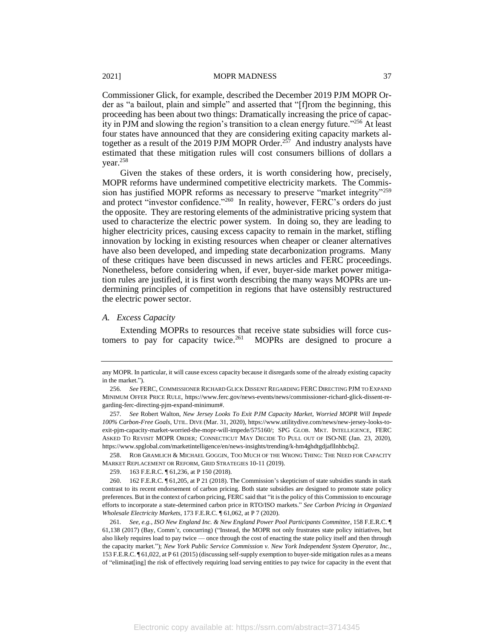Commissioner Glick, for example, described the December 2019 PJM MOPR Order as "a bailout, plain and simple" and asserted that "[f]rom the beginning, this proceeding has been about two things: Dramatically increasing the price of capacity in PJM and slowing the region's transition to a clean energy future."<sup>256</sup> At least four states have announced that they are considering exiting capacity markets altogether as a result of the 2019 PJM MOPR Order.<sup>257</sup> And industry analysts have estimated that these mitigation rules will cost consumers billions of dollars a year.<sup>258</sup>

Given the stakes of these orders, it is worth considering how, precisely, MOPR reforms have undermined competitive electricity markets. The Commission has justified MOPR reforms as necessary to preserve "market integrity"<sup>259</sup> and protect "investor confidence."<sup>260</sup> In reality, however, FERC's orders do just the opposite. They are restoring elements of the administrative pricing system that used to characterize the electric power system. In doing so, they are leading to higher electricity prices, causing excess capacity to remain in the market, stifling innovation by locking in existing resources when cheaper or cleaner alternatives have also been developed, and impeding state decarbonization programs. Many of these critiques have been discussed in news articles and FERC proceedings. Nonetheless, before considering when, if ever, buyer-side market power mitigation rules are justified, it is first worth describing the many ways MOPRs are undermining principles of competition in regions that have ostensibly restructured the electric power sector.

#### *A. Excess Capacity*

Extending MOPRs to resources that receive state subsidies will force customers to pay for capacity twice. $261$ MOPRs are designed to procure a

any MOPR. In particular, it will cause excess capacity because it disregards some of the already existing capacity in the market.").

<sup>256</sup>*. See* FERC, COMMISSIONER RICHARD GLICK DISSENT REGARDING FERC DIRECTING PJM TO EXPAND MINIMUM OFFER PRICE RULE, https://www.ferc.gov/news-events/news/commissioner-richard-glick-dissent-regarding-ferc-directing-pjm-expand-minimum#.

<sup>257</sup>*. See* Robert Walton, *New Jersey Looks To Exit PJM Capacity Market, Worried MOPR Will Impede 100% Carbon-Free Goals*, UTIL. DIVE (Mar. 31, 2020), https://www.utilitydive.com/news/new-jersey-looks-toexit-pjm-capacity-market-worried-the-mopr-will-impede/575160/; SPG GLOB. MKT. INTELLIGENCE, FERC ASKED TO REVISIT MOPR ORDER*;* CONNECTICUT MAY DECIDE TO PULL OUT OF ISO-NE (Jan. 23, 2020), https://www.spglobal.com/marketintelligence/en/news-insights/trending/k-hm4ghdtgdjafllnhbcbq2.

<sup>258.</sup> ROB GRAMLICH & MICHAEL GOGGIN, TOO MUCH OF THE WRONG THING: THE NEED FOR CAPACITY MARKET REPLACEMENT OR REFORM, GRID STRATEGIES 10-11 (2019).

<sup>259.</sup> 163 F.E.R.C. ¶ 61,236, at P 150 (2018).

<sup>260.</sup> 162 F.E.R.C. ¶ 61,205, at P 21 (2018). The Commission's skepticism of state subsidies stands in stark contrast to its recent endorsement of carbon pricing. Both state subsidies are designed to promote state policy preferences. But in the context of carbon pricing, FERC said that "it is the policy of this Commission to encourage efforts to incorporate a state-determined carbon price in RTO/ISO markets." *See Carbon Pricing in Organized Wholesale Electricity Markets*, 173 F.E.R.C. ¶ 61,062, at P 7 (2020).

<sup>261</sup>*. See, e.g.*, *ISO New England Inc. & New England Power Pool Participants Committee*, 158 F.E.R.C. ¶ 61,138 (2017) (Bay, Comm'r, concurring) ("Instead, the MOPR not only frustrates state policy initiatives, but also likely requires load to pay twice — once through the cost of enacting the state policy itself and then through the capacity market."); *New York Public Service Commission v. New York Independent System Operator, Inc.,* 153 F.E.R.C. ¶ 61,022, at P 61 (2015) (discussing self-supply exemption to buyer-side mitigation rules as a means of "eliminat[ing] the risk of effectively requiring load serving entities to pay twice for capacity in the event that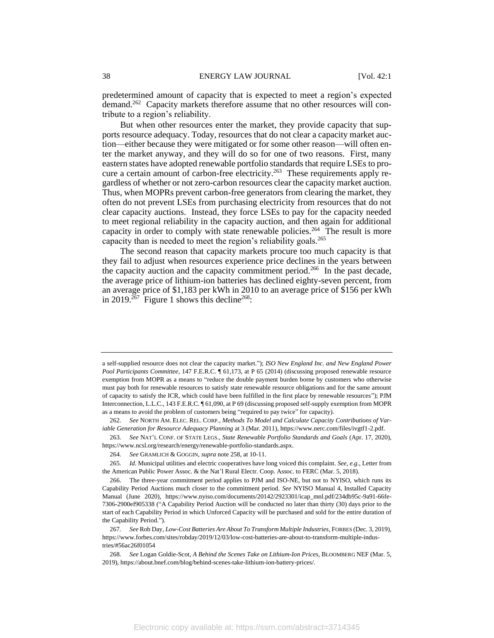predetermined amount of capacity that is expected to meet a region's expected demand.<sup>262</sup> Capacity markets therefore assume that no other resources will contribute to a region's reliability.

But when other resources enter the market, they provide capacity that supports resource adequacy. Today, resources that do not clear a capacity market auction—either because they were mitigated or for some other reason—will often enter the market anyway, and they will do so for one of two reasons. First, many eastern states have adopted renewable portfolio standards that require LSEs to procure a certain amount of carbon-free electricity.<sup>263</sup> These requirements apply regardless of whether or not zero-carbon resources clear the capacity market auction. Thus, when MOPRs prevent carbon-free generators from clearing the market, they often do not prevent LSEs from purchasing electricity from resources that do not clear capacity auctions. Instead, they force LSEs to pay for the capacity needed to meet regional reliability in the capacity auction, and then again for additional capacity in order to comply with state renewable policies.<sup>264</sup> The result is more capacity than is needed to meet the region's reliability goals.<sup>265</sup>

The second reason that capacity markets procure too much capacity is that they fail to adjust when resources experience price declines in the years between the capacity auction and the capacity commitment period.<sup>266</sup> In the past decade, the average price of lithium-ion batteries has declined eighty-seven percent, from an average price of \$1,183 per kWh in 2010 to an average price of \$156 per kWh in 2019.<sup>267</sup> Figure 1 shows this decline<sup>268</sup>:

a self-supplied resource does not clear the capacity market."); *ISO New England Inc. and New England Power Pool Participants Committee*, 147 F.E.R.C. ¶ 61,173, at P 65 (2014) (discussing proposed renewable resource exemption from MOPR as a means to "reduce the double payment burden borne by customers who otherwise must pay both for renewable resources to satisfy state renewable resource obligations and for the same amount of capacity to satisfy the ICR, which could have been fulfilled in the first place by renewable resources"); PJM Interconnection, L.L.C., 143 F.E.R.C. ¶ 61,090, at P 69 (discussing proposed self-supply exemption from MOPR as a means to avoid the problem of customers being "required to pay twice" for capacity).

<sup>262</sup>*. See* NORTH AM. ELEC. REL. CORP*., Methods To Model and Calculate Capacity Contributions of Variable Generation for Resource Adequacy Planning* at 3 (Mar. 2011), https://www.nerc.com/files/ivgtf1-2.pdf.

<sup>263</sup>*. See* NAT'L CONF. OF STATE LEGS., *State Renewable Portfolio Standards and Goals* (Apr. 17, 2020), https://www.ncsl.org/research/energy/renewable-portfolio-standards.aspx.

<sup>264</sup>*. See* GRAMLICH & GOGGIN, *supra* note 258, at 10-11.

<sup>265</sup>*. Id.* Municipal utilities and electric cooperatives have long voiced this complaint. *See, e.g*., Letter from the American Public Power Assoc. & the Nat'l Rural Electr. Coop. Assoc. to FERC (Mar. 5, 2018).

<sup>266.</sup> The three-year commitment period applies to PJM and ISO-NE, but not to NYISO, which runs its Capability Period Auctions much closer to the commitment period. *See* NYISO Manual 4, Installed Capacity Manual (June 2020), https://www.nyiso.com/documents/20142/2923301/icap\_mnl.pdf/234db95c-9a91-66fe-7306-2900ef905338 ("A Capability Period Auction will be conducted no later than thirty (30) days prior to the start of each Capability Period in which Unforced Capacity will be purchased and sold for the entire duration of the Capability Period.").

<sup>267</sup>*. See* Rob Day, *Low-Cost Batteries Are About To Transform Multiple Industries*, FORBES (Dec. 3, 2019), https://www.forbes.com/sites/robday/2019/12/03/low-cost-batteries-are-about-to-transform-multiple-industries/#56ac26f01054

<sup>268</sup>*. See* Logan Goldie-Scot, *A Behind the Scenes Take on Lithium-Ion Prices*, BLOOMBERG NEF (Mar. 5, 2019), https://about.bnef.com/blog/behind-scenes-take-lithium-ion-battery-prices/.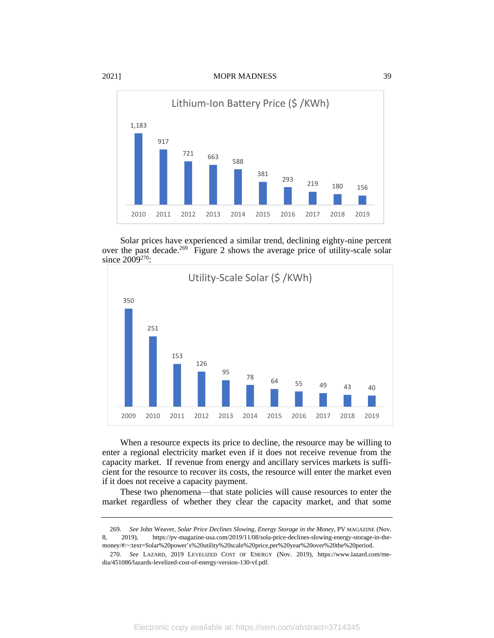

Solar prices have experienced a similar trend, declining eighty-nine percent over the past decade.<sup>269</sup> Figure 2 shows the average price of utility-scale solar since 2009<sup>270</sup>:



When a resource expects its price to decline, the resource may be willing to enter a regional electricity market even if it does not receive revenue from the capacity market. If revenue from energy and ancillary services markets is sufficient for the resource to recover its costs, the resource will enter the market even if it does not receive a capacity payment.

These two phenomena—that state policies will cause resources to enter the market regardless of whether they clear the capacity market, and that some

<sup>269</sup>*. See* John Weaver, *Solar Price Declines Slowing, Energy Storage in the Money*, PV MAGAZINE (Nov. 8, 2019), https://pv-magazine-usa.com/2019/11/08/sola-price-declines-slowing-energy-storage-in-themoney/#:~:text=Solar%20power's%20utility%20scale%20price,per%20year%20over%20the%20period.

<sup>270</sup>*. See* LAZARD, 2019 LEVELIZED COST OF ENERGY (Nov. 2019), https://www.lazard.com/media/451086/lazards-levelized-cost-of-energy-version-130-vf.pdf.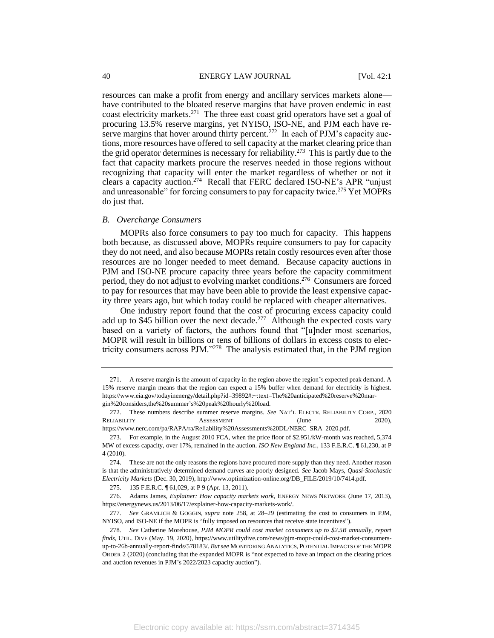resources can make a profit from energy and ancillary services markets alone have contributed to the bloated reserve margins that have proven endemic in east coast electricity markets.<sup>271</sup> The three east coast grid operators have set a goal of procuring 13.5% reserve margins, yet NYISO, ISO-NE, and PJM each have reserve margins that hover around thirty percent.<sup>272</sup> In each of PJM's capacity auctions, more resources have offered to sell capacity at the market clearing price than the grid operator determines is necessary for reliability.<sup>273</sup> This is partly due to the fact that capacity markets procure the reserves needed in those regions without recognizing that capacity will enter the market regardless of whether or not it clears a capacity auction.<sup>274</sup> Recall that FERC declared ISO-NE's APR "unjust and unreasonable" for forcing consumers to pay for capacity twice.<sup>275</sup> Yet MOPRs do just that.

#### *B. Overcharge Consumers*

MOPRs also force consumers to pay too much for capacity. This happens both because, as discussed above, MOPRs require consumers to pay for capacity they do not need, and also because MOPRs retain costly resources even after those resources are no longer needed to meet demand. Because capacity auctions in PJM and ISO-NE procure capacity three years before the capacity commitment period, they do not adjust to evolving market conditions.<sup>276</sup> Consumers are forced to pay for resources that may have been able to provide the least expensive capacity three years ago, but which today could be replaced with cheaper alternatives.

One industry report found that the cost of procuring excess capacity could add up to \$45 billion over the next decade.<sup>277</sup> Although the expected costs vary based on a variety of factors, the authors found that "[u]nder most scenarios, MOPR will result in billions or tens of billions of dollars in excess costs to electricity consumers across PJM."<sup>278</sup> The analysis estimated that, in the PJM region

<sup>271.</sup> A reserve margin is the amount of capacity in the region above the region's expected peak demand. A 15% reserve margin means that the region can expect a 15% buffer when demand for electricity is highest. https://www.eia.gov/todayinenergy/detail.php?id=39892#:~:text=The%20anticipated%20reserve%20margin%20considers,the%20summer's%20peak%20hourly%20load.

<sup>272.</sup> These numbers describe summer reserve margins. *See* NAT'L ELECTR. RELIABILITY CORP., 2020 RELIABILITY ASSESSMENT (June 2020), https://www.nerc.com/pa/RAPA/ra/Reliability%20Assessments%20DL/NERC\_SRA\_2020.pdf.

<sup>273.</sup> For example, in the August 2010 FCA, when the price floor of \$2.951/kW-month was reached, 5,374

MW of excess capacity, over 17%, remained in the auction. *ISO New England Inc.,* 133 F.E.R.C. ¶ 61,230, at P 4 (2010).

<sup>274.</sup> These are not the only reasons the regions have procured more supply than they need. Another reason is that the administratively determined demand curves are poorly designed. *See* Jacob Mays, *Quasi-Stochastic Electricity Markets* (Dec. 30, 2019), http://www.optimization-online.org/DB\_FILE/2019/10/7414.pdf.

<sup>275.</sup> 135 F.E.R.C. ¶ 61,029, at P 9 (Apr. 13, 2011).

<sup>276.</sup> Adams James, *Explainer: How capacity markets work*, ENERGY NEWS NETWORK (June 17, 2013), https://energynews.us/2013/06/17/explainer-how-capacity-markets-work/.

<sup>277</sup>*. See* GRAMLICH & GOGGIN, *supra* note 258, at 28–29 (estimating the cost to consumers in PJM, NYISO, and ISO-NE if the MOPR is "fully imposed on resources that receive state incentives").

<sup>278</sup>*. See* Catherine Morehouse*, PJM MOPR could cost market consumers up to \$2.5B annually, report finds,* UTIL. DIVE (May. 19, 2020), https://www.utilitydive.com/news/pjm-mopr-could-cost-market-consumersup-to-26b-annually-report-finds/578183/. *But see* MONITORING ANALYTICS, POTENTIAL IMPACTS OF THE MOPR ORDER 2 (2020) (concluding that the expanded MOPR is "not expected to have an impact on the clearing prices and auction revenues in PJM's 2022/2023 capacity auction").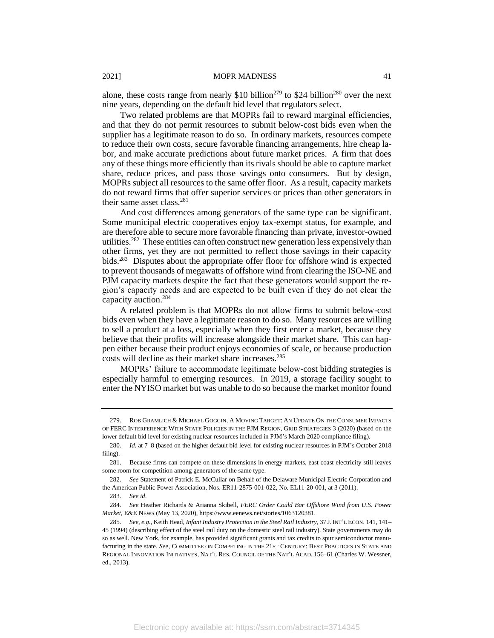alone, these costs range from nearly \$10 billion<sup>279</sup> to \$24 billion<sup>280</sup> over the next nine years, depending on the default bid level that regulators select.

Two related problems are that MOPRs fail to reward marginal efficiencies, and that they do not permit resources to submit below-cost bids even when the supplier has a legitimate reason to do so. In ordinary markets, resources compete to reduce their own costs, secure favorable financing arrangements, hire cheap labor, and make accurate predictions about future market prices. A firm that does any of these things more efficiently than its rivals should be able to capture market share, reduce prices, and pass those savings onto consumers. But by design, MOPRs subject all resources to the same offer floor. As a result, capacity markets do not reward firms that offer superior services or prices than other generators in their same asset class.<sup>281</sup>

And cost differences among generators of the same type can be significant. Some municipal electric cooperatives enjoy tax-exempt status, for example, and are therefore able to secure more favorable financing than private, investor-owned utilities.<sup>282</sup> These entities can often construct new generation less expensively than other firms, yet they are not permitted to reflect those savings in their capacity bids.<sup>283</sup> Disputes about the appropriate offer floor for offshore wind is expected to prevent thousands of megawatts of offshore wind from clearing the ISO-NE and PJM capacity markets despite the fact that these generators would support the region's capacity needs and are expected to be built even if they do not clear the capacity auction.<sup>284</sup>

A related problem is that MOPRs do not allow firms to submit below-cost bids even when they have a legitimate reason to do so. Many resources are willing to sell a product at a loss, especially when they first enter a market, because they believe that their profits will increase alongside their market share. This can happen either because their product enjoys economies of scale, or because production costs will decline as their market share increases.<sup>285</sup>

MOPRs' failure to accommodate legitimate below-cost bidding strategies is especially harmful to emerging resources. In 2019, a storage facility sought to enter the NYISO market but was unable to do so because the market monitor found

<sup>279.</sup> ROB GRAMLICH & MICHAEL GOGGIN, A MOVING TARGET: AN UPDATE ON THE CONSUMER IMPACTS OF FERC INTERFERENCE WITH STATE POLICIES IN THE PJM REGION, GRID STRATEGIES 3 (2020) (based on the lower default bid level for existing nuclear resources included in PJM's March 2020 compliance filing).

<sup>280</sup>*. Id.* at 7–8 (based on the higher default bid level for existing nuclear resources in PJM's October 2018 filing).

<sup>281.</sup> Because firms can compete on these dimensions in energy markets, east coast electricity still leaves some room for competition among generators of the same type.

<sup>282</sup>*. See* Statement of Patrick E. McCullar on Behalf of the Delaware Municipal Electric Corporation and the American Public Power Association, Nos. ER11-2875-001-022, No. EL11-20-001, at 3 (2011).

<sup>283</sup>*. See id*.

<sup>284</sup>*. See* Heather Richards & Arianna Skibell, *FERC Order Could Bar Offshore Wind from U.S. Power Market*, E&E NEWS (May 13, 2020), https://www.eenews.net/stories/1063120381.

<sup>285</sup>*. See, e.g.*, Keith Head, *Infant Industry Protection in the Steel Rail Industry*, 37 J. INT'L ECON. 141, 141– 45 (1994) (describing effect of the steel rail duty on the domestic steel rail industry). State governments may do so as well. New York, for example, has provided significant grants and tax credits to spur semiconductor manufacturing in the state. *See*, COMMITTEE ON COMPETING IN THE 21ST CENTURY: BEST PRACTICES IN STATE AND REGIONAL INNOVATION INITIATIVES, NAT'L RES. COUNCIL OF THE NAT'L ACAD. 156–61 (Charles W. Wessner, ed., 2013).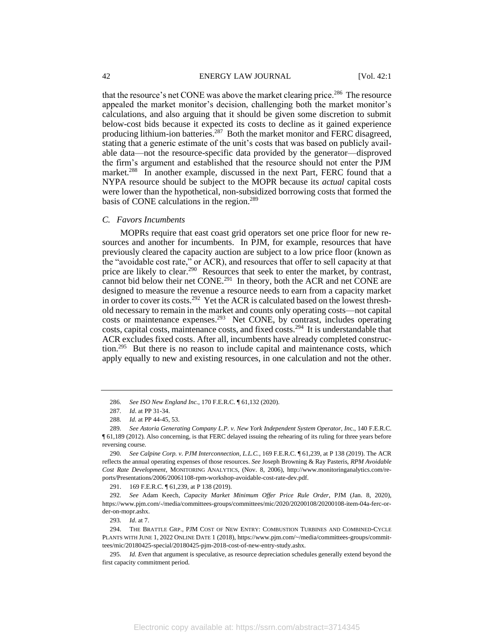that the resource's net CONE was above the market clearing price.<sup>286</sup> The resource appealed the market monitor's decision, challenging both the market monitor's calculations, and also arguing that it should be given some discretion to submit below-cost bids because it expected its costs to decline as it gained experience producing lithium-ion batteries.<sup>287</sup> Both the market monitor and FERC disagreed, stating that a generic estimate of the unit's costs that was based on publicly available data—not the resource-specific data provided by the generator—disproved the firm's argument and established that the resource should not enter the PJM market.<sup>288</sup> In another example, discussed in the next Part, FERC found that a NYPA resource should be subject to the MOPR because its *actual* capital costs were lower than the hypothetical, non-subsidized borrowing costs that formed the basis of CONE calculations in the region.<sup>289</sup>

#### *C. Favors Incumbents*

MOPRs require that east coast grid operators set one price floor for new resources and another for incumbents. In PJM, for example, resources that have previously cleared the capacity auction are subject to a low price floor (known as the "avoidable cost rate," or ACR), and resources that offer to sell capacity at that price are likely to clear.<sup>290</sup> Resources that seek to enter the market, by contrast, cannot bid below their net CONE.<sup>291</sup> In theory, both the ACR and net CONE are designed to measure the revenue a resource needs to earn from a capacity market in order to cover its costs.<sup>292</sup> Yet the ACR is calculated based on the lowest threshold necessary to remain in the market and counts only operating costs—not capital costs or maintenance expenses.<sup>293</sup> Net CONE, by contrast, includes operating costs, capital costs, maintenance costs, and fixed costs.<sup>294</sup> It is understandable that ACR excludes fixed costs. After all, incumbents have already completed construction.<sup>295</sup> But there is no reason to include capital and maintenance costs, which apply equally to new and existing resources, in one calculation and not the other.

<sup>286</sup>*. See ISO New England Inc.,* 170 F.E.R.C. ¶ 61,132 (2020).

<sup>287</sup>*. Id*. at PP 31-34.

<sup>288</sup>*. Id.* at PP 44-45, 53.

<sup>289</sup>*. See Astoria Generating Company L.P. v. New York Independent System Operator, In*c., 140 F.E.R.C. ¶ 61,189 (2012). Also concerning, is that FERC delayed issuing the rehearing of its ruling for three years before reversing course.

<sup>290</sup>*. See Calpine Corp. v. PJM Interconnection, L.L.C.*, 169 F.E.R.C. ¶ 61,239, at P 138 (2019). The ACR reflects the annual operating expenses of those resources. *See* Joseph Browning & Ray Pasteris, *RPM Avoidable Cost Rate Development*, MONITORING ANALYTICS, (Nov. 8, 2006), http://www.monitoringanalytics.com/reports/Presentations/2006/20061108-rpm-workshop-avoidable-cost-rate-dev.pdf.

<sup>291.</sup> 169 F.E.R.C. ¶ 61,239, at P 138 (2019).

<sup>292</sup>*. See* Adam Keech, *Capacity Market Minimum Offer Price Rule Order*, PJM (Jan. 8, 2020), https://www.pjm.com/-/media/committees-groups/committees/mic/2020/20200108/20200108-item-04a-ferc-order-on-mopr.ashx.

<sup>293</sup>*. Id*. at 7.

<sup>294.</sup> THE BRATTLE GRP., PJM COST OF NEW ENTRY: COMBUSTION TURBINES AND COMBINED-CYCLE PLANTS WITH JUNE 1, 2022 ONLINE DATE 1 (2018), https://www.pjm.com/~/media/committees-groups/committees/mic/20180425-special/20180425-pjm-2018-cost-of-new-entry-study.ashx.

<sup>295</sup>*. Id. Even* that argument is speculative, as resource depreciation schedules generally extend beyond the first capacity commitment period.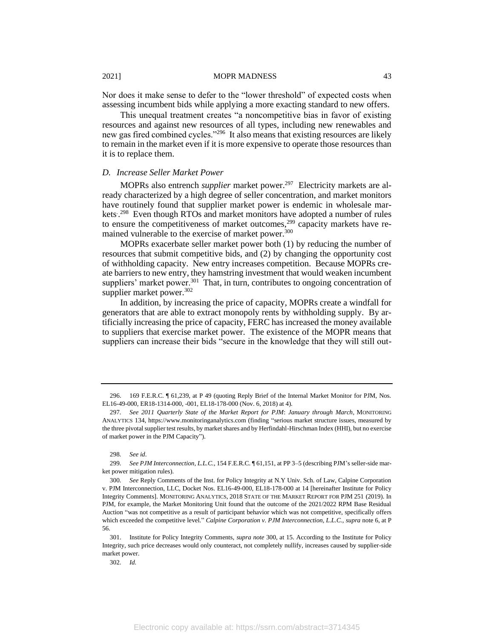Nor does it make sense to defer to the "lower threshold" of expected costs when assessing incumbent bids while applying a more exacting standard to new offers.

This unequal treatment creates "a noncompetitive bias in favor of existing resources and against new resources of all types, including new renewables and new gas fired combined cycles."<sup>296</sup> It also means that existing resources are likely to remain in the market even if it is more expensive to operate those resources than it is to replace them.

# *D. Increase Seller Market Power*

MOPRs also entrench *supplier* market power.<sup>297</sup> Electricity markets are already characterized by a high degree of seller concentration, and market monitors have routinely found that supplier market power is endemic in wholesale markets<sup>298</sup> Even though RTOs and market monitors have adopted a number of rules to ensure the competitiveness of market outcomes,<sup>299</sup> capacity markets have remained vulnerable to the exercise of market power.<sup>300</sup>

MOPRs exacerbate seller market power both (1) by reducing the number of resources that submit competitive bids, and (2) by changing the opportunity cost of withholding capacity. New entry increases competition. Because MOPRs create barriers to new entry, they hamstring investment that would weaken incumbent suppliers' market power.<sup>301</sup> That, in turn, contributes to ongoing concentration of supplier market power.<sup>302</sup>

In addition, by increasing the price of capacity, MOPRs create a windfall for generators that are able to extract monopoly rents by withholding supply. By artificially increasing the price of capacity, FERC has increased the money available to suppliers that exercise market power. The existence of the MOPR means that suppliers can increase their bids "secure in the knowledge that they will still out-

<sup>296.</sup> 169 F.E.R.C. ¶ 61,239, at P 49 (quoting Reply Brief of the Internal Market Monitor for PJM, Nos. EL16-49-000, ER18-1314-000, -001, EL18-178-000 (Nov. 6, 2018) at 4).

<sup>297</sup>*. See 2011 Quarterly State of the Market Report for PJM*: *January through March*, MONITORING ANALYTICS 134, https://www.monitoringanalytics.com (finding "serious market structure issues, measured by the three pivotal supplier test results, by market shares and by Herfindahl-Hirschman Index (HHI), but no exercise of market power in the PJM Capacity").

<sup>298</sup>*. See id*.

<sup>299</sup>*. See PJM Interconnection, L.L.C.,* 154 F.E.R.C. ¶ 61,151, at PP 3–5 (describing PJM's seller-side market power mitigation rules).

<sup>300</sup>*. See* Reply Comments of the Inst. for Policy Integrity at N.Y Univ. Sch. of Law, Calpine Corporation v. PJM Interconnection, LLC, Docket Nos. EL16-49-000, EL18-178-000 at 14 [hereinafter Institute for Policy Integrity Comments]. MONITORING ANALYTICS, 2018 STATE OF THE MARKET REPORT FOR PJM 251 (2019). In PJM, for example, the Market Monitoring Unit found that the outcome of the 2021/2022 RPM Base Residual Auction "was not competitive as a result of participant behavior which was not competitive, specifically offers which exceeded the competitive level." *Calpine Corporation v. PJM Interconnection, L.L.C., supra* note 6, at P 56.

<sup>301.</sup> Institute for Policy Integrity Comments, *supra note* 300, at 15. According to the Institute for Policy Integrity, such price decreases would only counteract, not completely nullify, increases caused by supplier-side market power.

<sup>302</sup>*. Id.*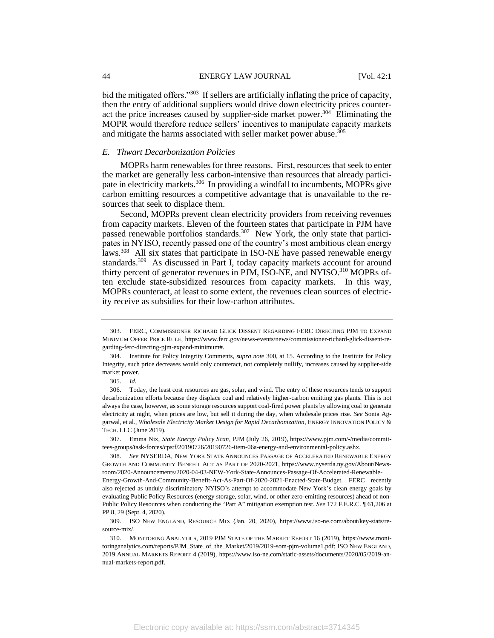bid the mitigated offers."<sup>303</sup> If sellers are artificially inflating the price of capacity, then the entry of additional suppliers would drive down electricity prices counteract the price increases caused by supplier-side market power.<sup>304</sup> Eliminating the MOPR would therefore reduce sellers' incentives to manipulate capacity markets and mitigate the harms associated with seller market power abuse.<sup>305</sup>

### *E. Thwart Decarbonization Policies*

MOPRs harm renewables for three reasons. First, resources that seek to enter the market are generally less carbon-intensive than resources that already participate in electricity markets.<sup>306</sup> In providing a windfall to incumbents, MOPRs give carbon emitting resources a competitive advantage that is unavailable to the resources that seek to displace them.

Second, MOPRs prevent clean electricity providers from receiving revenues from capacity markets. Eleven of the fourteen states that participate in PJM have passed renewable portfolios standards.<sup>307</sup> New York, the only state that participates in NYISO, recently passed one of the country's most ambitious clean energy laws.<sup>308</sup> All six states that participate in ISO-NE have passed renewable energy standards.<sup>309</sup> As discussed in Part I, today capacity markets account for around thirty percent of generator revenues in PJM, ISO-NE, and NYISO.<sup>310</sup> MOPRs often exclude state-subsidized resources from capacity markets. In this way, MOPRs counteract, at least to some extent, the revenues clean sources of electricity receive as subsidies for their low-carbon attributes.

<sup>303.</sup> FERC, COMMISSIONER RICHARD GLICK DISSENT REGARDING FERC DIRECTING PJM TO EXPAND MINIMUM OFFER PRICE RULE, https://www.ferc.gov/news-events/news/commissioner-richard-glick-dissent-regarding-ferc-directing-pjm-expand-minimum#.

<sup>304.</sup> Institute for Policy Integrity Comments, *supra note* 300, at 15. According to the Institute for Policy Integrity, such price decreases would only counteract, not completely nullify, increases caused by supplier-side market power.

<sup>305</sup>*. Id.*

<sup>306.</sup> Today, the least cost resources are gas, solar, and wind. The entry of these resources tends to support decarbonization efforts because they displace coal and relatively higher-carbon emitting gas plants. This is not always the case, however, as some storage resources support coal-fired power plants by allowing coal to generate electricity at night, when prices are low, but sell it during the day, when wholesale prices rise. *See* Sonia Aggarwal, et al., *Wholesale Electricity Market Design for Rapid Decarbonization*, ENERGY INNOVATION POLICY & TECH. LLC (June 2019).

<sup>307.</sup> Emma Nix, *State Energy Policy Scan*, PJM (July 26, 2019), https://www.pjm.com/-/media/committees-groups/task-forces/cpstf/20190726/20190726-item-06a-energy-and-environmental-policy.ashx.

<sup>308</sup>*. See* NYSERDA, NEW YORK STATE ANNOUNCES PASSAGE OF ACCELERATED RENEWABLE ENERGY GROWTH AND COMMUNITY BENEFIT ACT AS PART OF 2020-2021, https://www.nyserda.ny.gov/About/Newsroom/2020-Announcements/2020-04-03-NEW-York-State-Announces-Passage-Of-Accelerated-Renewable-

Energy-Growth-And-Community-Benefit-Act-As-Part-Of-2020-2021-Enacted-State-Budget. FERC recently also rejected as unduly discriminatory NYISO's attempt to accommodate New York's clean energy goals by evaluating Public Policy Resources (energy storage, solar, wind, or other zero-emitting resources) ahead of non-Public Policy Resources when conducting the "Part A" mitigation exemption test. *See* 172 F.E.R.C. ¶ 61,206 at PP 8, 29 (Sept. 4, 2020).

<sup>309.</sup> ISO NEW ENGLAND, RESOURCE MIX (Jan. 20, 2020), https://www.iso-ne.com/about/key-stats/resource-mix/.

<sup>310.</sup> MONITORING ANALYTICS, 2019 PJM STATE OF THE MARKET REPORT 16 (2019), https://www.monitoringanalytics.com/reports/PJM\_State\_of\_the\_Market/2019/2019-som-pjm-volume1.pdf; ISO NEW ENGLAND, 2019 ANNUAL MARKETS REPORT 4 (2019), https://www.iso-ne.com/static-assets/documents/2020/05/2019-annual-markets-report.pdf.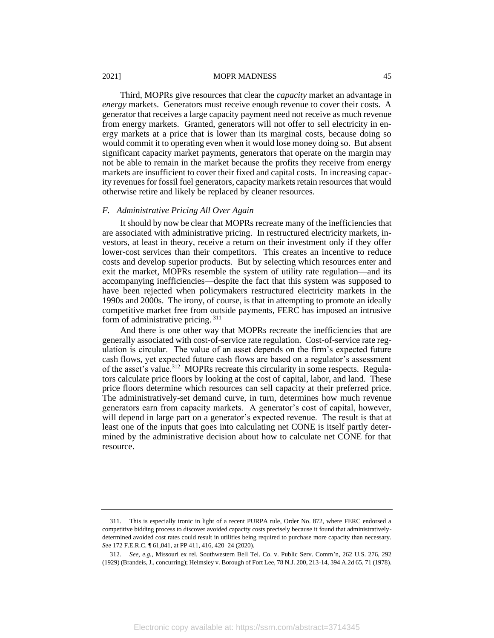Third, MOPRs give resources that clear the *capacity* market an advantage in *energy* markets. Generators must receive enough revenue to cover their costs. A generator that receives a large capacity payment need not receive as much revenue from energy markets. Granted, generators will not offer to sell electricity in energy markets at a price that is lower than its marginal costs, because doing so would commit it to operating even when it would lose money doing so. But absent significant capacity market payments, generators that operate on the margin may not be able to remain in the market because the profits they receive from energy markets are insufficient to cover their fixed and capital costs. In increasing capacity revenues for fossil fuel generators, capacity markets retain resources that would otherwise retire and likely be replaced by cleaner resources.

#### *F. Administrative Pricing All Over Again*

It should by now be clear that MOPRs recreate many of the inefficiencies that are associated with administrative pricing. In restructured electricity markets, investors, at least in theory, receive a return on their investment only if they offer lower-cost services than their competitors. This creates an incentive to reduce costs and develop superior products. But by selecting which resources enter and exit the market, MOPRs resemble the system of utility rate regulation—and its accompanying inefficiencies—despite the fact that this system was supposed to have been rejected when policymakers restructured electricity markets in the 1990s and 2000s. The irony, of course, is that in attempting to promote an ideally competitive market free from outside payments, FERC has imposed an intrusive form of administrative pricing. <sup>311</sup>

And there is one other way that MOPRs recreate the inefficiencies that are generally associated with cost-of-service rate regulation. Cost-of-service rate regulation is circular. The value of an asset depends on the firm's expected future cash flows, yet expected future cash flows are based on a regulator's assessment of the asset's value.<sup>312</sup> MOPRs recreate this circularity in some respects. Regulators calculate price floors by looking at the cost of capital, labor, and land. These price floors determine which resources can sell capacity at their preferred price. The administratively-set demand curve, in turn, determines how much revenue generators earn from capacity markets. A generator's cost of capital, however, will depend in large part on a generator's expected revenue. The result is that at least one of the inputs that goes into calculating net CONE is itself partly determined by the administrative decision about how to calculate net CONE for that resource.

<sup>311.</sup> This is especially ironic in light of a recent PURPA rule, Order No. 872, where FERC endorsed a competitive bidding process to discover avoided capacity costs precisely because it found that administrativelydetermined avoided cost rates could result in utilities being required to purchase more capacity than necessary. *See* 172 F.E.R.C. ¶ 61,041, at PP 411, 416, 420–24 (2020).

<sup>312</sup>*. See, e.g.,* Missouri ex rel. Southwestern Bell Tel. Co. v. Public Serv. Comm'n, 262 U.S. 276, 292 (1929) (Brandeis, J., concurring); Helmsley v. Borough of Fort Lee, 78 N.J. 200, 213-14, 394 A.2d 65, 71 (1978).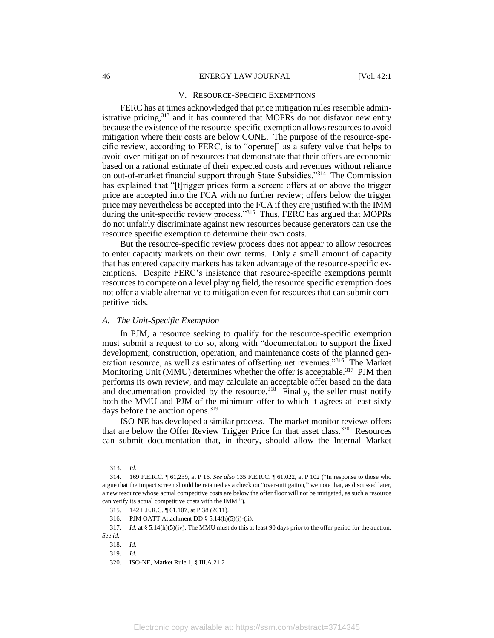#### V. RESOURCE-SPECIFIC EXEMPTIONS

FERC has at times acknowledged that price mitigation rules resemble administrative pricing,<sup>313</sup> and it has countered that MOPRs do not disfavor new entry because the existence of the resource-specific exemption allows resources to avoid mitigation where their costs are below CONE. The purpose of the resource-specific review, according to FERC, is to "operate[] as a safety valve that helps to avoid over-mitigation of resources that demonstrate that their offers are economic based on a rational estimate of their expected costs and revenues without reliance on out-of-market financial support through State Subsidies."<sup>314</sup> The Commission has explained that "[t]rigger prices form a screen: offers at or above the trigger price are accepted into the FCA with no further review; offers below the trigger price may nevertheless be accepted into the FCA if they are justified with the IMM during the unit-specific review process."<sup>315</sup> Thus, FERC has argued that MOPRs do not unfairly discriminate against new resources because generators can use the resource specific exemption to determine their own costs.

But the resource-specific review process does not appear to allow resources to enter capacity markets on their own terms. Only a small amount of capacity that has entered capacity markets has taken advantage of the resource-specific exemptions. Despite FERC's insistence that resource-specific exemptions permit resources to compete on a level playing field, the resource specific exemption does not offer a viable alternative to mitigation even for resources that can submit competitive bids.

#### *A. The Unit-Specific Exemption*

In PJM, a resource seeking to qualify for the resource-specific exemption must submit a request to do so, along with "documentation to support the fixed development, construction, operation, and maintenance costs of the planned generation resource, as well as estimates of offsetting net revenues."<sup>316</sup> The Market Monitoring Unit (MMU) determines whether the offer is acceptable.<sup>317</sup> PJM then performs its own review, and may calculate an acceptable offer based on the data and documentation provided by the resource.<sup>318</sup> Finally, the seller must notify both the MMU and PJM of the minimum offer to which it agrees at least sixty days before the auction opens.<sup>319</sup>

ISO-NE has developed a similar process. The market monitor reviews offers that are below the Offer Review Trigger Price for that asset class.<sup>320</sup> Resources can submit documentation that, in theory, should allow the Internal Market

<sup>313</sup>*. Id*.

<sup>314.</sup> 169 F.E.R.C. ¶ 61,239, at P 16. *See also* 135 F.E.R.C. ¶ 61,022, at P 102 ("In response to those who argue that the impact screen should be retained as a check on "over-mitigation," we note that, as discussed later, a new resource whose actual competitive costs are below the offer floor will not be mitigated, as such a resource can verify its actual competitive costs with the IMM.").

<sup>315.</sup> 142 F.E.R.C. ¶ 61,107, at P 38 (2011).

<sup>316.</sup> PJM OATT Attachment DD § 5.14(h)(5)(i)-(ii).

<sup>317</sup>*. Id.* at § 5.14(h)(5)(iv). The MMU must do this at least 90 days prior to the offer period for the auction. *See id.*

<sup>318</sup>*. Id.*

<sup>319</sup>*. Id.*

<sup>320.</sup> ISO-NE, Market Rule 1, § III.A.21.2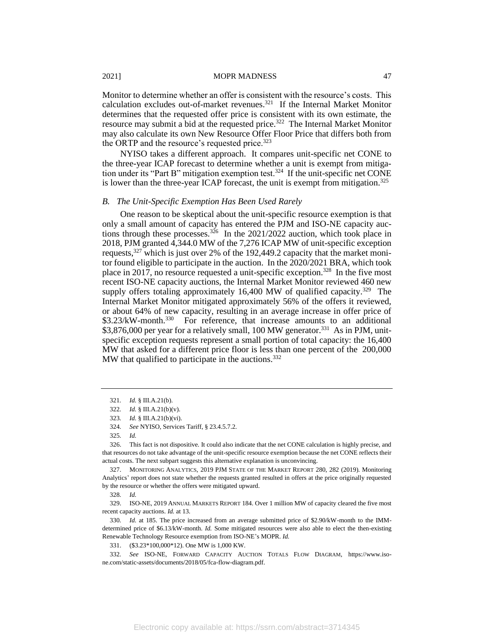Monitor to determine whether an offer is consistent with the resource's costs. This calculation excludes out-of-market revenues.<sup>321</sup> If the Internal Market Monitor determines that the requested offer price is consistent with its own estimate, the resource may submit a bid at the requested price.<sup>322</sup> The Internal Market Monitor may also calculate its own New Resource Offer Floor Price that differs both from the ORTP and the resource's requested price.<sup>323</sup>

NYISO takes a different approach. It compares unit-specific net CONE to the three-year ICAP forecast to determine whether a unit is exempt from mitigation under its "Part B" mitigation exemption test.<sup>324</sup> If the unit-specific net CONE is lower than the three-year ICAP forecast, the unit is exempt from mitigation.<sup>325</sup>

#### *B. The Unit-Specific Exemption Has Been Used Rarely*

One reason to be skeptical about the unit-specific resource exemption is that only a small amount of capacity has entered the PJM and ISO-NE capacity auctions through these processes.<sup>326</sup> In the 2021/2022 auction, which took place in 2018, PJM granted 4,344.0 MW of the 7,276 ICAP MW of unit-specific exception requests,<sup>327</sup> which is just over 2% of the 192,449.2 capacity that the market monitor found eligible to participate in the auction. In the 2020/2021 BRA, which took place in 2017, no resource requested a unit-specific exception.<sup>328</sup> In the five most recent ISO-NE capacity auctions, the Internal Market Monitor reviewed 460 new supply offers totaling approximately  $16,400$  MW of qualified capacity.<sup>329</sup> The Internal Market Monitor mitigated approximately 56% of the offers it reviewed, or about 64% of new capacity, resulting in an average increase in offer price of \$3.23/kW-month.<sup>330</sup> For reference, that increase amounts to an additional \$3,876,000 per year for a relatively small, 100 MW generator.<sup>331</sup> As in PJM, unitspecific exception requests represent a small portion of total capacity: the 16,400 MW that asked for a different price floor is less than one percent of the 200,000 MW that qualified to participate in the auctions.<sup>332</sup>

326. This fact is not dispositive. It could also indicate that the net CONE calculation is highly precise, and that resources do not take advantage of the unit-specific resource exemption because the net CONE reflects their actual costs. The next subpart suggests this alternative explanation is unconvincing.

327. MONITORING ANALYTICS, 2019 PJM STATE OF THE MARKET REPORT 280, 282 (2019). Monitoring Analytics' report does not state whether the requests granted resulted in offers at the price originally requested by the resource or whether the offers were mitigated upward.

328*. Id.*

329. ISO-NE, 2019 ANNUAL MARKETS REPORT 184. Over 1 million MW of capacity cleared the five most recent capacity auctions. *Id.* at 13.

330*. Id.* at 185. The price increased from an average submitted price of \$2.90/kW-month to the IMMdetermined price of \$6.13/kW-month. *Id.* Some mitigated resources were also able to elect the then-existing Renewable Technology Resource exemption from ISO-NE's MOPR. *Id.*

331. (\$3.23\*100,000\*12). One MW is 1,000 KW.

332*. See* ISO-NE, FORWARD CAPACITY AUCTION TOTALS FLOW DIAGRAM, https://www.isone.com/static-assets/documents/2018/05/fca-flow-diagram.pdf.

<sup>321</sup>*. Id.* § III.A.21(b).

<sup>322</sup>*. Id.* § III.A.21(b)(v).

<sup>323</sup>*. Id.* § III.A.21(b)(vi).

<sup>324</sup>*. See* NYISO, Services Tariff, § 23.4.5.7.2.

<sup>325</sup>*. Id.*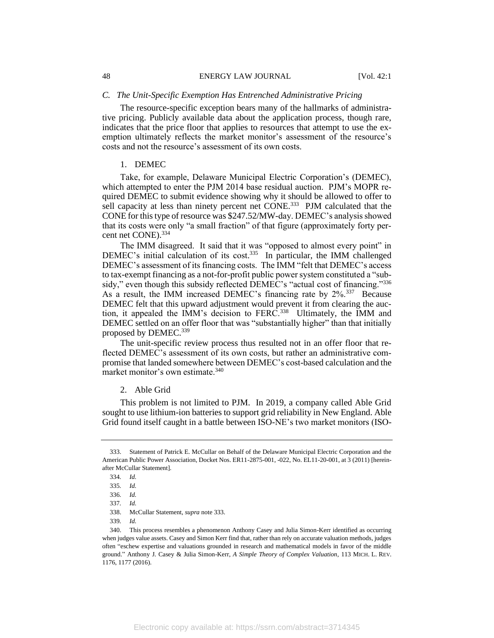### *C. The Unit-Specific Exemption Has Entrenched Administrative Pricing*

The resource-specific exception bears many of the hallmarks of administrative pricing. Publicly available data about the application process, though rare, indicates that the price floor that applies to resources that attempt to use the exemption ultimately reflects the market monitor's assessment of the resource's costs and not the resource's assessment of its own costs.

# 1. DEMEC

Take, for example, Delaware Municipal Electric Corporation's (DEMEC), which attempted to enter the PJM 2014 base residual auction. PJM's MOPR required DEMEC to submit evidence showing why it should be allowed to offer to sell capacity at less than ninety percent net CONE.<sup>333</sup> PJM calculated that the CONE for this type of resource was \$247.52/MW-day. DEMEC's analysis showed that its costs were only "a small fraction" of that figure (approximately forty percent net CONE).<sup>334</sup>

The IMM disagreed. It said that it was "opposed to almost every point" in DEMEC's initial calculation of its cost.<sup>335</sup> In particular, the IMM challenged DEMEC's assessment of its financing costs. The IMM "felt that DEMEC's access to tax-exempt financing as a not-for-profit public power system constituted a "subsidy," even though this subsidy reflected DEMEC's "actual cost of financing."336 As a result, the IMM increased DEMEC's financing rate by 2%.<sup>337</sup> Because DEMEC felt that this upward adjustment would prevent it from clearing the auction, it appealed the IMM's decision to FERC.<sup>338</sup> Ultimately, the IMM and DEMEC settled on an offer floor that was "substantially higher" than that initially proposed by DEMEC.<sup>339</sup>

The unit-specific review process thus resulted not in an offer floor that reflected DEMEC's assessment of its own costs, but rather an administrative compromise that landed somewhere between DEMEC's cost-based calculation and the market monitor's own estimate.<sup>340</sup>

# 2. Able Grid

This problem is not limited to PJM. In 2019, a company called Able Grid sought to use lithium-ion batteries to support grid reliability in New England. Able Grid found itself caught in a battle between ISO-NE's two market monitors (ISO-

<sup>333.</sup> Statement of Patrick E. McCullar on Behalf of the Delaware Municipal Electric Corporation and the American Public Power Association, Docket Nos. ER11-2875-001, -022, No. EL11-20-001, at 3 (2011) [hereinafter McCullar Statement].

<sup>334</sup>*. Id.*

<sup>335</sup>*. Id.*

<sup>336</sup>*. Id.*

<sup>337</sup>*. Id.*

<sup>338.</sup> McCullar Statement, *supra* note 333.

<sup>339</sup>*. Id.*

<sup>340.</sup> This process resembles a phenomenon Anthony Casey and Julia Simon-Kerr identified as occurring when judges value assets. Casey and Simon Kerr find that, rather than rely on accurate valuation methods, judges often "eschew expertise and valuations grounded in research and mathematical models in favor of the middle ground." Anthony J. Casey & Julia Simon-Kerr, *A Simple Theory of Complex Valuation*, 113 MICH. L. REV. 1176, 1177 (2016).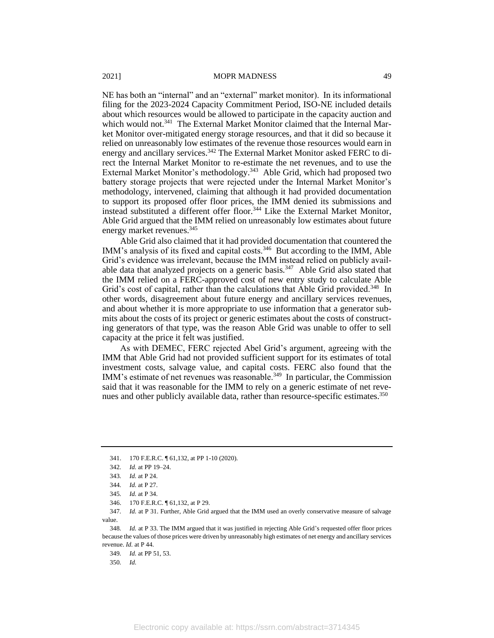NE has both an "internal" and an "external" market monitor). In its informational filing for the 2023-2024 Capacity Commitment Period, ISO-NE included details about which resources would be allowed to participate in the capacity auction and which would not.<sup>341</sup> The External Market Monitor claimed that the Internal Market Monitor over-mitigated energy storage resources, and that it did so because it relied on unreasonably low estimates of the revenue those resources would earn in energy and ancillary services.<sup>342</sup> The External Market Monitor asked FERC to direct the Internal Market Monitor to re-estimate the net revenues, and to use the External Market Monitor's methodology.<sup>343</sup> Able Grid, which had proposed two battery storage projects that were rejected under the Internal Market Monitor's methodology, intervened, claiming that although it had provided documentation to support its proposed offer floor prices, the IMM denied its submissions and instead substituted a different offer floor.<sup>344</sup> Like the External Market Monitor, Able Grid argued that the IMM relied on unreasonably low estimates about future energy market revenues.<sup>345</sup>

Able Grid also claimed that it had provided documentation that countered the IMM's analysis of its fixed and capital costs.<sup>346</sup> But according to the IMM, Able Grid's evidence was irrelevant, because the IMM instead relied on publicly available data that analyzed projects on a generic basis.<sup>347</sup> Able Grid also stated that the IMM relied on a FERC-approved cost of new entry study to calculate Able Grid's cost of capital, rather than the calculations that Able Grid provided.<sup>348</sup> In other words, disagreement about future energy and ancillary services revenues, and about whether it is more appropriate to use information that a generator submits about the costs of its project or generic estimates about the costs of constructing generators of that type, was the reason Able Grid was unable to offer to sell capacity at the price it felt was justified.

As with DEMEC, FERC rejected Abel Grid's argument, agreeing with the IMM that Able Grid had not provided sufficient support for its estimates of total investment costs, salvage value, and capital costs. FERC also found that the IMM's estimate of net revenues was reasonable.<sup>349</sup> In particular, the Commission said that it was reasonable for the IMM to rely on a generic estimate of net revenues and other publicly available data, rather than resource-specific estimates.<sup>350</sup>

350*. Id.*

<sup>341.</sup> 170 F.E.R.C. ¶ 61,132, at PP 1-10 (2020).

<sup>342</sup>*. Id.* at PP 19–24.

<sup>343</sup>*. Id.* at P 24.

<sup>344</sup>*. Id.* at P 27.

<sup>345</sup>*. Id.* at P 34.

<sup>346.</sup> 170 F.E.R.C. ¶ 61,132, at P 29.

<sup>347</sup>*. Id.* at P 31. Further, Able Grid argued that the IMM used an overly conservative measure of salvage value.

<sup>348</sup>*. Id.* at P 33. The IMM argued that it was justified in rejecting Able Grid's requested offer floor prices because the values of those prices were driven by unreasonably high estimates of net energy and ancillary services revenue. *Id.* at P 44.

<sup>349</sup>*. Id.* at PP 51, 53.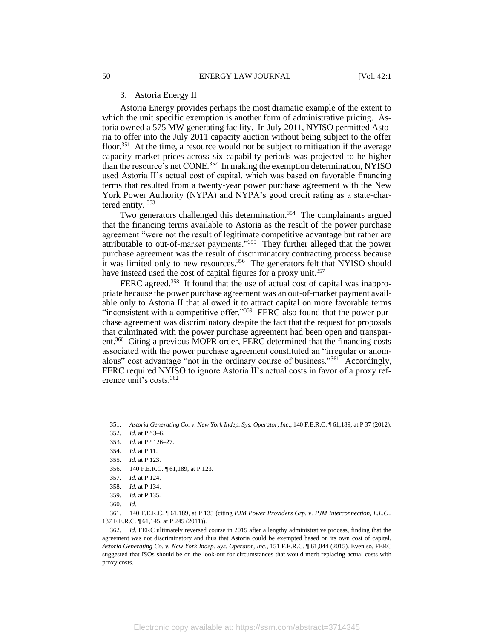#### 3. Astoria Energy II

Astoria Energy provides perhaps the most dramatic example of the extent to which the unit specific exemption is another form of administrative pricing. Astoria owned a 575 MW generating facility. In July 2011, NYISO permitted Astoria to offer into the July 2011 capacity auction without being subject to the offer floor.<sup>351</sup> At the time, a resource would not be subject to mitigation if the average capacity market prices across six capability periods was projected to be higher than the resource's net CONE.<sup>352</sup> In making the exemption determination, NYISO used Astoria II's actual cost of capital, which was based on favorable financing terms that resulted from a twenty-year power purchase agreement with the New York Power Authority (NYPA) and NYPA's good credit rating as a state-chartered entity. <sup>353</sup>

Two generators challenged this determination.<sup>354</sup> The complainants argued that the financing terms available to Astoria as the result of the power purchase agreement "were not the result of legitimate competitive advantage but rather are attributable to out-of-market payments."<sup>355</sup> They further alleged that the power purchase agreement was the result of discriminatory contracting process because it was limited only to new resources.<sup>356</sup> The generators felt that NYISO should have instead used the cost of capital figures for a proxy unit.<sup>357</sup>

FERC agreed.<sup>358</sup> It found that the use of actual cost of capital was inappropriate because the power purchase agreement was an out-of-market payment available only to Astoria II that allowed it to attract capital on more favorable terms "inconsistent with a competitive offer."<sup>359</sup> FERC also found that the power purchase agreement was discriminatory despite the fact that the request for proposals that culminated with the power purchase agreement had been open and transparent.<sup>360</sup> Citing a previous MOPR order, FERC determined that the financing costs associated with the power purchase agreement constituted an "irregular or anomalous" cost advantage "not in the ordinary course of business."<sup>361</sup> Accordingly, FERC required NYISO to ignore Astoria II's actual costs in favor of a proxy reference unit's costs.<sup>362</sup>

361. 140 F.E.R.C. ¶ 61,189, at P 135 (citing *PJM Power Providers Grp. v. PJM Interconnection, L.L.C*., 137 F.E.R.C. ¶ 61,145, at P 245 (2011)).

362*. Id.* FERC ultimately reversed course in 2015 after a lengthy administrative process, finding that the agreement was not discriminatory and thus that Astoria could be exempted based on its own cost of capital. *Astoria Generating Co. v. New York Indep. Sys. Operator, Inc*., 151 F.E.R.C. ¶ 61,044 (2015). Even so, FERC suggested that ISOs should be on the look-out for circumstances that would merit replacing actual costs with proxy costs.

<sup>351</sup>*. Astoria Generating Co. v. New York Indep. Sys. Operator, Inc*., 140 F.E.R.C. ¶ 61,189, at P 37 (2012).

<sup>352</sup>*. Id.* at PP 3–6.

<sup>353</sup>*. Id.* at PP 126–27.

<sup>354</sup>*. Id.* at P 11.

<sup>355</sup>*. Id.* at P 123.

<sup>356.</sup> 140 F.E.R.C. ¶ 61,189, at P 123.

<sup>357</sup>*. Id.* at P 124.

<sup>358</sup>*. Id.* at P 134.

<sup>359</sup>*. Id.* at P 135*.*

<sup>360</sup>*. Id.*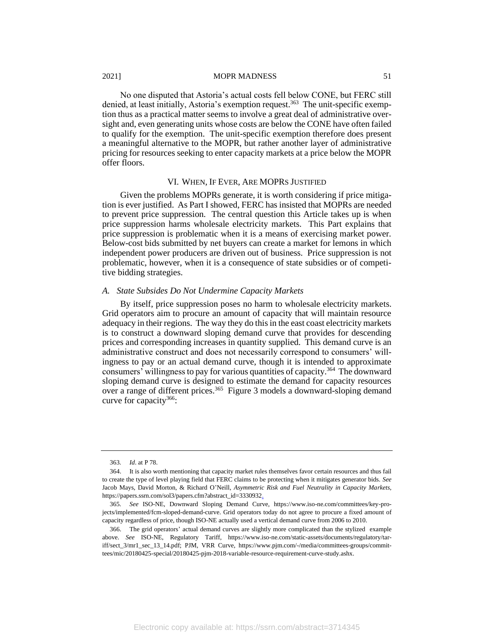No one disputed that Astoria's actual costs fell below CONE, but FERC still denied, at least initially, Astoria's exemption request.<sup>363</sup> The unit-specific exemption thus as a practical matter seems to involve a great deal of administrative oversight and, even generating units whose costs are below the CONE have often failed to qualify for the exemption. The unit-specific exemption therefore does present a meaningful alternative to the MOPR, but rather another layer of administrative pricing for resources seeking to enter capacity markets at a price below the MOPR offer floors.

#### VI. WHEN, IF EVER, ARE MOPRS JUSTIFIED

Given the problems MOPRs generate, it is worth considering if price mitigation is ever justified. As Part I showed, FERC has insisted that MOPRs are needed to prevent price suppression. The central question this Article takes up is when price suppression harms wholesale electricity markets. This Part explains that price suppression is problematic when it is a means of exercising market power. Below-cost bids submitted by net buyers can create a market for lemons in which independent power producers are driven out of business. Price suppression is not problematic, however, when it is a consequence of state subsidies or of competitive bidding strategies.

#### *A. State Subsides Do Not Undermine Capacity Markets*

By itself, price suppression poses no harm to wholesale electricity markets. Grid operators aim to procure an amount of capacity that will maintain resource adequacy in their regions. The way they do this in the east coast electricity markets is to construct a downward sloping demand curve that provides for descending prices and corresponding increases in quantity supplied. This demand curve is an administrative construct and does not necessarily correspond to consumers' willingness to pay or an actual demand curve, though it is intended to approximate consumers' willingness to pay for various quantities of capacity.<sup>364</sup> The downward sloping demand curve is designed to estimate the demand for capacity resources over a range of different prices.<sup>365</sup> Figure 3 models a downward-sloping demand curve for capacity<sup>366</sup>:

<sup>363</sup>*. Id*. at P 78.

<sup>364.</sup> It is also worth mentioning that capacity market rules themselves favor certain resources and thus fail to create the type of level playing field that FERC claims to be protecting when it mitigates generator bids. *See*  Jacob Mays, David Morton, & Richard O'Neill, *Asymmetric Risk and Fuel Neutrality in Capacity Markets*, https://papers.ssrn.com/sol3/papers.cfm?abstract\_id=3330932.

<sup>365</sup>*. See* ISO-NE, Downward Sloping Demand Curve, https://www.iso-ne.com/committees/key-projects/implemented/fcm-sloped-demand-curve. Grid operators today do not agree to procure a fixed amount of capacity regardless of price, though ISO-NE actually used a vertical demand curve from 2006 to 2010.

<sup>366.</sup> The grid operators' actual demand curves are slightly more complicated than the stylized example above. *See* ISO-NE, Regulatory Tariff, https://www.iso-ne.com/static-assets/documents/regulatory/tariff/sect\_3/mr1\_sec\_13\_14.pdf; PJM, VRR Curve, https://www.pjm.com/-/media/committees-groups/committees/mic/20180425-special/20180425-pjm-2018-variable-resource-requirement-curve-study.ashx.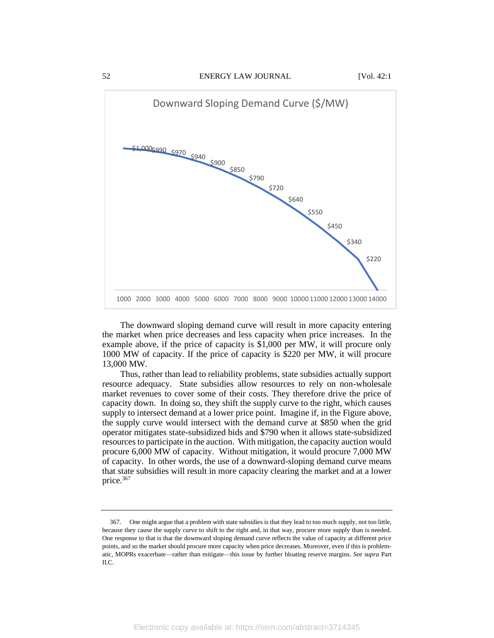

The downward sloping demand curve will result in more capacity entering the market when price decreases and less capacity when price increases. In the example above, if the price of capacity is \$1,000 per MW, it will procure only 1000 MW of capacity. If the price of capacity is \$220 per MW, it will procure 13,000 MW.

Thus, rather than lead to reliability problems, state subsidies actually support resource adequacy. State subsidies allow resources to rely on non-wholesale market revenues to cover some of their costs. They therefore drive the price of capacity down. In doing so, they shift the supply curve to the right, which causes supply to intersect demand at a lower price point. Imagine if, in the Figure above, the supply curve would intersect with the demand curve at \$850 when the grid operator mitigates state-subsidized bids and \$790 when it allows state-subsidized resources to participate in the auction. With mitigation, the capacity auction would procure 6,000 MW of capacity. Without mitigation, it would procure 7,000 MW of capacity. In other words, the use of a downward-sloping demand curve means that state subsidies will result in more capacity clearing the market and at a lower price.<sup>367</sup>

<sup>367.</sup> One might argue that a problem with state subsidies is that they lead to too much supply, not too little, because they cause the supply curve to shift to the right and, in that way, procure more supply than is needed. One response to that is that the downward sloping demand curve reflects the value of capacity at different price points, and so the market should procure more capacity when price decreases. Moreover, even if this is problematic, MOPRs exacerbate—rather than mitigate—this issue by further bloating reserve margins. *See supra* Part II.C.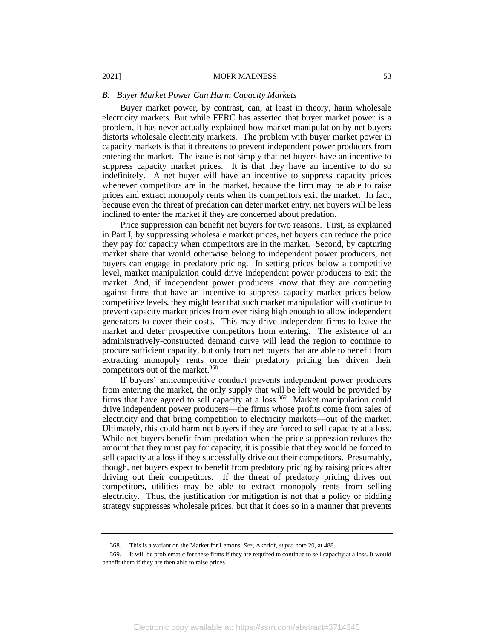#### *B. Buyer Market Power Can Harm Capacity Markets*

Buyer market power, by contrast, can, at least in theory, harm wholesale electricity markets. But while FERC has asserted that buyer market power is a problem, it has never actually explained how market manipulation by net buyers distorts wholesale electricity markets. The problem with buyer market power in capacity markets is that it threatens to prevent independent power producers from entering the market. The issue is not simply that net buyers have an incentive to suppress capacity market prices. It is that they have an incentive to do so indefinitely. A net buyer will have an incentive to suppress capacity prices whenever competitors are in the market, because the firm may be able to raise prices and extract monopoly rents when its competitors exit the market. In fact, because even the threat of predation can deter market entry, net buyers will be less inclined to enter the market if they are concerned about predation.

Price suppression can benefit net buyers for two reasons. First, as explained in Part I, by suppressing wholesale market prices, net buyers can reduce the price they pay for capacity when competitors are in the market. Second, by capturing market share that would otherwise belong to independent power producers, net buyers can engage in predatory pricing. In setting prices below a competitive level, market manipulation could drive independent power producers to exit the market. And, if independent power producers know that they are competing against firms that have an incentive to suppress capacity market prices below competitive levels, they might fear that such market manipulation will continue to prevent capacity market prices from ever rising high enough to allow independent generators to cover their costs. This may drive independent firms to leave the market and deter prospective competitors from entering. The existence of an administratively-constructed demand curve will lead the region to continue to procure sufficient capacity, but only from net buyers that are able to benefit from extracting monopoly rents once their predatory pricing has driven their competitors out of the market.<sup>368</sup>

If buyers' anticompetitive conduct prevents independent power producers from entering the market, the only supply that will be left would be provided by firms that have agreed to sell capacity at a loss.<sup>369</sup> Market manipulation could drive independent power producers—the firms whose profits come from sales of electricity and that bring competition to electricity markets—out of the market. Ultimately, this could harm net buyers if they are forced to sell capacity at a loss. While net buyers benefit from predation when the price suppression reduces the amount that they must pay for capacity, it is possible that they would be forced to sell capacity at a loss if they successfully drive out their competitors. Presumably, though, net buyers expect to benefit from predatory pricing by raising prices after driving out their competitors. If the threat of predatory pricing drives out competitors, utilities may be able to extract monopoly rents from selling electricity. Thus, the justification for mitigation is not that a policy or bidding strategy suppresses wholesale prices, but that it does so in a manner that prevents

<sup>368.</sup> This is a variant on the Market for Lemons. *See,* Akerlof, *supra* note 20, at 488.

<sup>369.</sup> It will be problematic for these firms if they are required to continue to sell capacity at a loss. It would benefit them if they are then able to raise prices.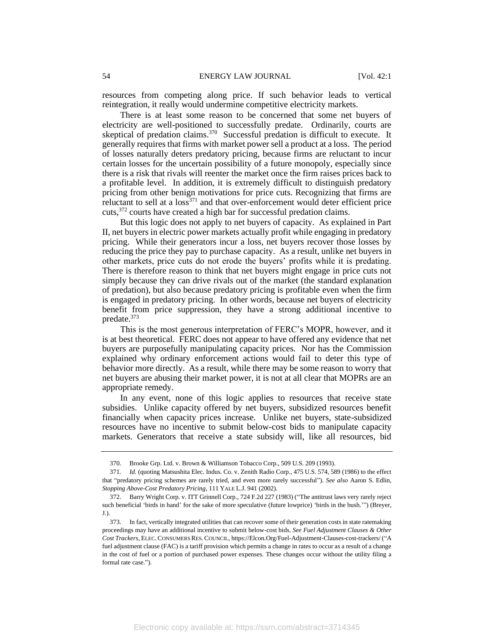resources from competing along price. If such behavior leads to vertical reintegration, it really would undermine competitive electricity markets.

There is at least some reason to be concerned that some net buyers of electricity are well-positioned to successfully predate. Ordinarily, courts are skeptical of predation claims.<sup>370</sup> Successful predation is difficult to execute. It generally requires that firms with market power sell a product at a loss. The period of losses naturally deters predatory pricing, because firms are reluctant to incur certain losses for the uncertain possibility of a future monopoly, especially since there is a risk that rivals will reenter the market once the firm raises prices back to a profitable level. In addition, it is extremely difficult to distinguish predatory pricing from other benign motivations for price cuts. Recognizing that firms are reluctant to sell at a loss<sup>371</sup> and that over-enforcement would deter efficient price cuts,<sup>372</sup> courts have created a high bar for successful predation claims.

But this logic does not apply to net buyers of capacity. As explained in Part II, net buyers in electric power markets actually profit while engaging in predatory pricing. While their generators incur a loss, net buyers recover those losses by reducing the price they pay to purchase capacity. As a result, unlike net buyers in other markets, price cuts do not erode the buyers' profits while it is predating. There is therefore reason to think that net buyers might engage in price cuts not simply because they can drive rivals out of the market (the standard explanation of predation), but also because predatory pricing is profitable even when the firm is engaged in predatory pricing. In other words, because net buyers of electricity benefit from price suppression, they have a strong additional incentive to predate.<sup>373</sup>

This is the most generous interpretation of FERC's MOPR, however, and it is at best theoretical. FERC does not appear to have offered any evidence that net buyers are purposefully manipulating capacity prices. Nor has the Commission explained why ordinary enforcement actions would fail to deter this type of behavior more directly. As a result, while there may be some reason to worry that net buyers are abusing their market power, it is not at all clear that MOPRs are an appropriate remedy.

In any event, none of this logic applies to resources that receive state subsidies. Unlike capacity offered by net buyers, subsidized resources benefit financially when capacity prices increase. Unlike net buyers, state-subsidized resources have no incentive to submit below-cost bids to manipulate capacity markets. Generators that receive a state subsidy will, like all resources, bid

<sup>370.</sup> Brooke Grp. Ltd. v. Brown & Williamson Tobacco Corp., 509 U.S. 209 (1993).

<sup>371</sup>*. Id.* (quoting Matsushita Elec. Indus. Co. v. Zenith Radio Corp., 475 U.S. 574, 589 (1986) to the effect that "predatory pricing schemes are rarely tried, and even more rarely successful"). *See also* Aaron S. Edlin, *Stopping Above-Cost Predatory Pricing*, 111 YALE L.J. 941 (2002).

<sup>372.</sup> Barry Wright Corp. v. ITT Grinnell Corp., 724 F.2d 227 (1983) ("The antitrust laws very rarely reject such beneficial 'birds in hand' for the sake of more speculative (future lowprice) 'birds in the bush.'") (Breyer, J.).

<sup>373.</sup> In fact, vertically integrated utilities that can recover some of their generation costs in state ratemaking proceedings may have an additional incentive to submit below-cost bids. *See Fuel Adjustment Clauses & Other Cost Trackers*, ELEC.CONSUMERS RES.COUNCIL, https://Elcon.Org/Fuel-Adjustment-Clauses-cost-trackers/ ("A fuel adjustment clause (FAC) is a tariff provision which permits a change in rates to occur as a result of a change in the cost of fuel or a portion of purchased power expenses. These changes occur without the utility filing a formal rate case.").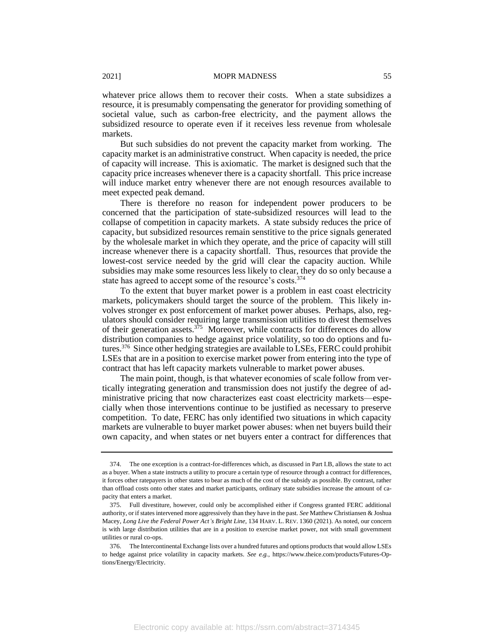whatever price allows them to recover their costs. When a state subsidizes a resource, it is presumably compensating the generator for providing something of societal value, such as carbon-free electricity, and the payment allows the subsidized resource to operate even if it receives less revenue from wholesale markets.

But such subsidies do not prevent the capacity market from working. The capacity market is an administrative construct. When capacity is needed, the price of capacity will increase. This is axiomatic. The market is designed such that the capacity price increases whenever there is a capacity shortfall. This price increase will induce market entry whenever there are not enough resources available to meet expected peak demand.

There is therefore no reason for independent power producers to be concerned that the participation of state-subsidized resources will lead to the collapse of competition in capacity markets. A state subsidy reduces the price of capacity, but subsidized resources remain senstitive to the price signals generated by the wholesale market in which they operate, and the price of capacity will still increase whenever there is a capacity shortfall. Thus, resources that provide the lowest-cost service needed by the grid will clear the capacity auction. While subsidies may make some resources less likely to clear, they do so only because a state has agreed to accept some of the resource's costs.<sup>374</sup>

To the extent that buyer market power is a problem in east coast electricity markets, policymakers should target the source of the problem. This likely involves stronger ex post enforcement of market power abuses. Perhaps, also, regulators should consider requiring large transmission utilities to divest themselves of their generation assets. $375$  Moreover, while contracts for differences do allow distribution companies to hedge against price volatility, so too do options and futures.<sup>376</sup> Since other hedging strategies are available to LSEs, FERC could prohibit LSEs that are in a position to exercise market power from entering into the type of contract that has left capacity markets vulnerable to market power abuses.

The main point, though, is that whatever economies of scale follow from vertically integrating generation and transmission does not justify the degree of administrative pricing that now characterizes east coast electricity markets—especially when those interventions continue to be justified as necessary to preserve competition. To date, FERC has only identified two situations in which capacity markets are vulnerable to buyer market power abuses: when net buyers build their own capacity, and when states or net buyers enter a contract for differences that

<sup>374.</sup> The one exception is a contract-for-differences which, as discussed in Part I.B, allows the state to act as a buyer. When a state instructs a utility to procure a certain type of resource through a contract for differences, it forces other ratepayers in other states to bear as much of the cost of the subsidy as possible. By contrast, rather than offload costs onto other states and market participants, ordinary state subsidies increase the amount of capacity that enters a market.

<sup>375.</sup> Full divestiture, however, could only be accomplished either if Congress granted FERC additional authority, or if states intervened more aggressively than they have in the past. *See* Matthew Christiansen & Joshua Macey, *Long Live the Federal Power Act's Bright Line*, 134 HARV. L. REV. 1360 (2021). As noted, our concern is with large distribution utilities that are in a position to exercise market power, not with small government utilities or rural co-ops.

<sup>376.</sup> The Intercontinental Exchange lists over a hundred futures and options products that would allow LSEs to hedge against price volatility in capacity markets. *See e.g.*, https://www.theice.com/products/Futures-Options/Energy/Electricity.